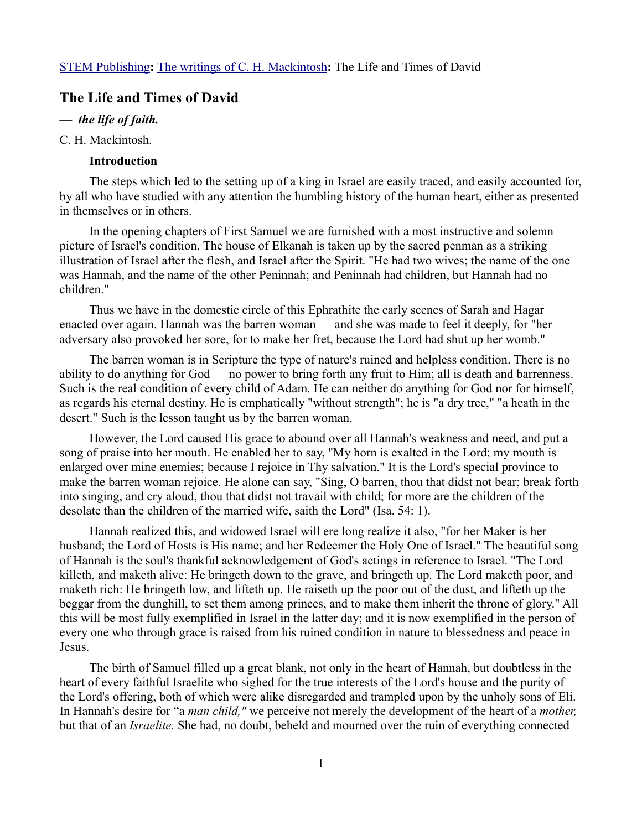# **The Life and Times of David**

### — *the life of faith.*

### C. H. Mackintosh.

# **Introduction**

The steps which led to the setting up of a king in Israel are easily traced, and easily accounted for, by all who have studied with any attention the humbling history of the human heart, either as presented in themselves or in others.

In the opening chapters of First Samuel we are furnished with a most instructive and solemn picture of Israel's condition. The house of Elkanah is taken up by the sacred penman as a striking illustration of Israel after the flesh, and Israel after the Spirit. "He had two wives; the name of the one was Hannah, and the name of the other Peninnah; and Peninnah had children, but Hannah had no children."

Thus we have in the domestic circle of this Ephrathite the early scenes of Sarah and Hagar enacted over again. Hannah was the barren woman — and she was made to feel it deeply, for "her adversary also provoked her sore, for to make her fret, because the Lord had shut up her womb."

The barren woman is in Scripture the type of nature's ruined and helpless condition. There is no ability to do anything for God — no power to bring forth any fruit to Him; all is death and barrenness. Such is the real condition of every child of Adam. He can neither do anything for God nor for himself, as regards his eternal destiny. He is emphatically "without strength"; he is "a dry tree," "a heath in the desert." Such is the lesson taught us by the barren woman.

However, the Lord caused His grace to abound over all Hannah's weakness and need, and put a song of praise into her mouth. He enabled her to say, "My horn is exalted in the Lord; my mouth is enlarged over mine enemies; because I rejoice in Thy salvation." It is the Lord's special province to make the barren woman rejoice. He alone can say, "Sing, O barren, thou that didst not bear; break forth into singing, and cry aloud, thou that didst not travail with child; for more are the children of the desolate than the children of the married wife, saith the Lord" (Isa. 54: 1).

Hannah realized this, and widowed Israel will ere long realize it also, "for her Maker is her husband; the Lord of Hosts is His name; and her Redeemer the Holy One of Israel." The beautiful song of Hannah is the soul's thankful acknowledgement of God's actings in reference to Israel. "The Lord killeth, and maketh alive: He bringeth down to the grave, and bringeth up. The Lord maketh poor, and maketh rich: He bringeth low, and lifteth up. He raiseth up the poor out of the dust, and lifteth up the beggar from the dunghill, to set them among princes, and to make them inherit the throne of glory." All this will be most fully exemplified in Israel in the latter day; and it is now exemplified in the person of every one who through grace is raised from his ruined condition in nature to blessedness and peace in Jesus.

The birth of Samuel filled up a great blank, not only in the heart of Hannah, but doubtless in the heart of every faithful Israelite who sighed for the true interests of the Lord's house and the purity of the Lord's offering, both of which were alike disregarded and trampled upon by the unholy sons of Eli. In Hannah's desire for "a *man child,"* we perceive not merely the development of the heart of a *mother,* but that of an *Israelite.* She had, no doubt, beheld and mourned over the ruin of everything connected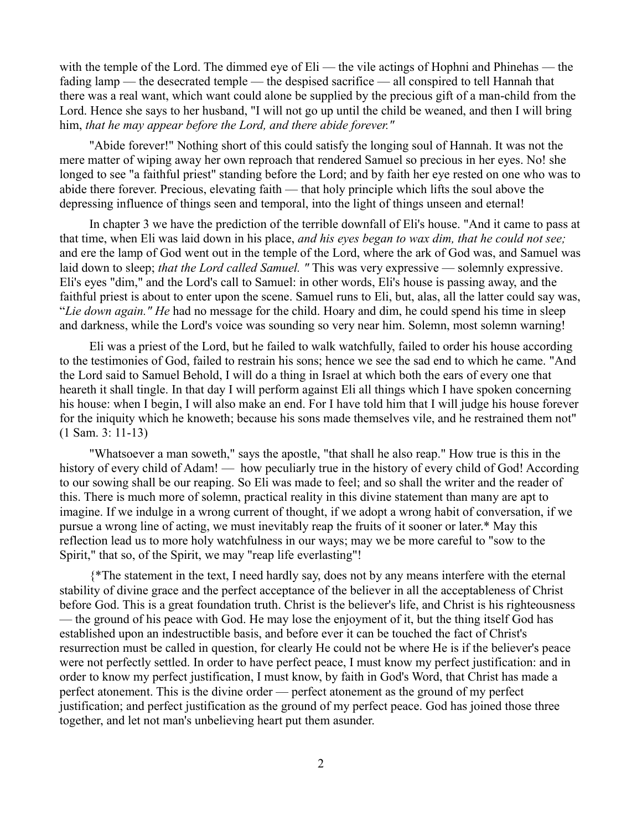with the temple of the Lord. The dimmed eye of Eli — the vile actings of Hophni and Phinehas — the fading lamp — the desecrated temple — the despised sacrifice — all conspired to tell Hannah that there was a real want, which want could alone be supplied by the precious gift of a man-child from the Lord. Hence she says to her husband, "I will not go up until the child be weaned, and then I will bring him, *that he may appear before the Lord, and there abide forever."* 

"Abide forever!" Nothing short of this could satisfy the longing soul of Hannah. It was not the mere matter of wiping away her own reproach that rendered Samuel so precious in her eyes. No! she longed to see "a faithful priest" standing before the Lord; and by faith her eye rested on one who was to abide there forever. Precious, elevating faith — that holy principle which lifts the soul above the depressing influence of things seen and temporal, into the light of things unseen and eternal!

In chapter 3 we have the prediction of the terrible downfall of Eli's house. "And it came to pass at that time, when Eli was laid down in his place, *and his eyes began to wax dim, that he could not see;* and ere the lamp of God went out in the temple of the Lord, where the ark of God was, and Samuel was laid down to sleep; *that the Lord called Samuel. "* This was very expressive — solemnly expressive. Eli's eyes "dim," and the Lord's call to Samuel: in other words, Eli's house is passing away, and the faithful priest is about to enter upon the scene. Samuel runs to Eli, but, alas, all the latter could say was, "*Lie down again." He* had no message for the child. Hoary and dim, he could spend his time in sleep and darkness, while the Lord's voice was sounding so very near him. Solemn, most solemn warning!

Eli was a priest of the Lord, but he failed to walk watchfully, failed to order his house according to the testimonies of God, failed to restrain his sons; hence we see the sad end to which he came. "And the Lord said to Samuel Behold, I will do a thing in Israel at which both the ears of every one that heareth it shall tingle. In that day I will perform against Eli all things which I have spoken concerning his house: when I begin, I will also make an end. For I have told him that I will judge his house forever for the iniquity which he knoweth; because his sons made themselves vile, and he restrained them not" (1 Sam. 3: 11-13)

"Whatsoever a man soweth," says the apostle, "that shall he also reap." How true is this in the history of every child of Adam! — how peculiarly true in the history of every child of God! According to our sowing shall be our reaping. So Eli was made to feel; and so shall the writer and the reader of this. There is much more of solemn, practical reality in this divine statement than many are apt to imagine. If we indulge in a wrong current of thought, if we adopt a wrong habit of conversation, if we pursue a wrong line of acting, we must inevitably reap the fruits of it sooner or later.\* May this reflection lead us to more holy watchfulness in our ways; may we be more careful to "sow to the Spirit," that so, of the Spirit, we may "reap life everlasting"!

{\*The statement in the text, I need hardly say, does not by any means interfere with the eternal stability of divine grace and the perfect acceptance of the believer in all the acceptableness of Christ before God. This is a great foundation truth. Christ is the believer's life, and Christ is his righteousness — the ground of his peace with God. He may lose the enjoyment of it, but the thing itself God has established upon an indestructible basis, and before ever it can be touched the fact of Christ's resurrection must be called in question, for clearly He could not be where He is if the believer's peace were not perfectly settled. In order to have perfect peace, I must know my perfect justification: and in order to know my perfect justification, I must know, by faith in God's Word, that Christ has made a perfect atonement. This is the divine order — perfect atonement as the ground of my perfect justification; and perfect justification as the ground of my perfect peace. God has joined those three together, and let not man's unbelieving heart put them asunder.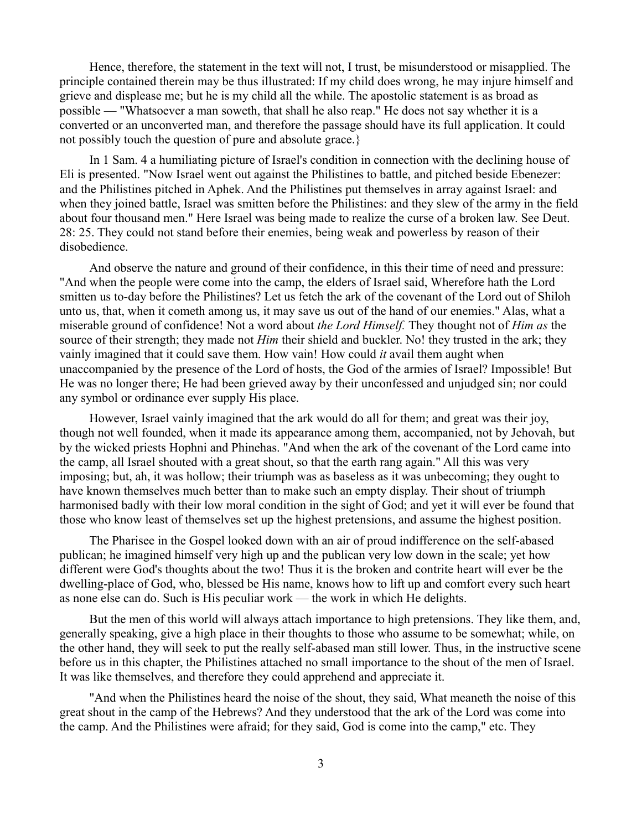Hence, therefore, the statement in the text will not, I trust, be misunderstood or misapplied. The principle contained therein may be thus illustrated: If my child does wrong, he may injure himself and grieve and displease me; but he is my child all the while. The apostolic statement is as broad as possible — "Whatsoever a man soweth, that shall he also reap." He does not say whether it is a converted or an unconverted man, and therefore the passage should have its full application. It could not possibly touch the question of pure and absolute grace.}

In 1 Sam. 4 a humiliating picture of Israel's condition in connection with the declining house of Eli is presented. "Now Israel went out against the Philistines to battle, and pitched beside Ebenezer: and the Philistines pitched in Aphek. And the Philistines put themselves in array against Israel: and when they joined battle, Israel was smitten before the Philistines: and they slew of the army in the field about four thousand men." Here Israel was being made to realize the curse of a broken law. See Deut. 28: 25. They could not stand before their enemies, being weak and powerless by reason of their disobedience.

And observe the nature and ground of their confidence, in this their time of need and pressure: "And when the people were come into the camp, the elders of Israel said, Wherefore hath the Lord smitten us to-day before the Philistines? Let us fetch the ark of the covenant of the Lord out of Shiloh unto us, that, when it cometh among us, it may save us out of the hand of our enemies." Alas, what a miserable ground of confidence! Not a word about *the Lord Himself.* They thought not of *Him as* the source of their strength; they made not *Him* their shield and buckler. No! they trusted in the ark; they vainly imagined that it could save them. How vain! How could *it* avail them aught when unaccompanied by the presence of the Lord of hosts, the God of the armies of Israel? Impossible! But He was no longer there; He had been grieved away by their unconfessed and unjudged sin; nor could any symbol or ordinance ever supply His place.

However, Israel vainly imagined that the ark would do all for them; and great was their joy, though not well founded, when it made its appearance among them, accompanied, not by Jehovah, but by the wicked priests Hophni and Phinehas. "And when the ark of the covenant of the Lord came into the camp, all Israel shouted with a great shout, so that the earth rang again." All this was very imposing; but, ah, it was hollow; their triumph was as baseless as it was unbecoming; they ought to have known themselves much better than to make such an empty display. Their shout of triumph harmonised badly with their low moral condition in the sight of God; and yet it will ever be found that those who know least of themselves set up the highest pretensions, and assume the highest position.

The Pharisee in the Gospel looked down with an air of proud indifference on the self-abased publican; he imagined himself very high up and the publican very low down in the scale; yet how different were God's thoughts about the two! Thus it is the broken and contrite heart will ever be the dwelling-place of God, who, blessed be His name, knows how to lift up and comfort every such heart as none else can do. Such is His peculiar work — the work in which He delights.

But the men of this world will always attach importance to high pretensions. They like them, and, generally speaking, give a high place in their thoughts to those who assume to be somewhat; while, on the other hand, they will seek to put the really self-abased man still lower. Thus, in the instructive scene before us in this chapter, the Philistines attached no small importance to the shout of the men of Israel. It was like themselves, and therefore they could apprehend and appreciate it.

"And when the Philistines heard the noise of the shout, they said, What meaneth the noise of this great shout in the camp of the Hebrews? And they understood that the ark of the Lord was come into the camp. And the Philistines were afraid; for they said, God is come into the camp," etc. They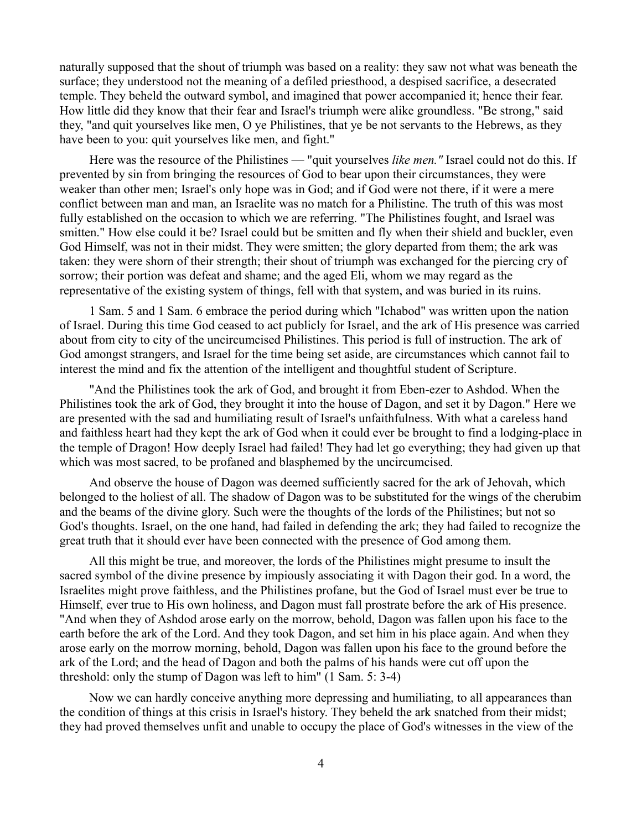naturally supposed that the shout of triumph was based on a reality: they saw not what was beneath the surface; they understood not the meaning of a defiled priesthood, a despised sacrifice, a desecrated temple. They beheld the outward symbol, and imagined that power accompanied it; hence their fear. How little did they know that their fear and Israel's triumph were alike groundless. "Be strong," said they, "and quit yourselves like men, O ye Philistines, that ye be not servants to the Hebrews, as they have been to you: quit yourselves like men, and fight."

Here was the resource of the Philistines — "quit yourselves *like men."* Israel could not do this. If prevented by sin from bringing the resources of God to bear upon their circumstances, they were weaker than other men; Israel's only hope was in God; and if God were not there, if it were a mere conflict between man and man, an Israelite was no match for a Philistine. The truth of this was most fully established on the occasion to which we are referring. "The Philistines fought, and Israel was smitten." How else could it be? Israel could but be smitten and fly when their shield and buckler, even God Himself, was not in their midst. They were smitten; the glory departed from them; the ark was taken: they were shorn of their strength; their shout of triumph was exchanged for the piercing cry of sorrow; their portion was defeat and shame; and the aged Eli, whom we may regard as the representative of the existing system of things, fell with that system, and was buried in its ruins.

1 Sam. 5 and 1 Sam. 6 embrace the period during which "Ichabod" was written upon the nation of Israel. During this time God ceased to act publicly for Israel, and the ark of His presence was carried about from city to city of the uncircumcised Philistines. This period is full of instruction. The ark of God amongst strangers, and Israel for the time being set aside, are circumstances which cannot fail to interest the mind and fix the attention of the intelligent and thoughtful student of Scripture.

"And the Philistines took the ark of God, and brought it from Eben-ezer to Ashdod. When the Philistines took the ark of God, they brought it into the house of Dagon, and set it by Dagon." Here we are presented with the sad and humiliating result of Israel's unfaithfulness. With what a careless hand and faithless heart had they kept the ark of God when it could ever be brought to find a lodging-place in the temple of Dragon! How deeply Israel had failed! They had let go everything; they had given up that which was most sacred, to be profaned and blasphemed by the uncircumcised.

And observe the house of Dagon was deemed sufficiently sacred for the ark of Jehovah, which belonged to the holiest of all. The shadow of Dagon was to be substituted for the wings of the cherubim and the beams of the divine glory. Such were the thoughts of the lords of the Philistines; but not so God's thoughts. Israel, on the one hand, had failed in defending the ark; they had failed to recognize the great truth that it should ever have been connected with the presence of God among them.

All this might be true, and moreover, the lords of the Philistines might presume to insult the sacred symbol of the divine presence by impiously associating it with Dagon their god. In a word, the Israelites might prove faithless, and the Philistines profane, but the God of Israel must ever be true to Himself, ever true to His own holiness, and Dagon must fall prostrate before the ark of His presence. "And when they of Ashdod arose early on the morrow, behold, Dagon was fallen upon his face to the earth before the ark of the Lord. And they took Dagon, and set him in his place again. And when they arose early on the morrow morning, behold, Dagon was fallen upon his face to the ground before the ark of the Lord; and the head of Dagon and both the palms of his hands were cut off upon the threshold: only the stump of Dagon was left to him" (1 Sam. 5: 3-4)

Now we can hardly conceive anything more depressing and humiliating, to all appearances than the condition of things at this crisis in Israel's history. They beheld the ark snatched from their midst; they had proved themselves unfit and unable to occupy the place of God's witnesses in the view of the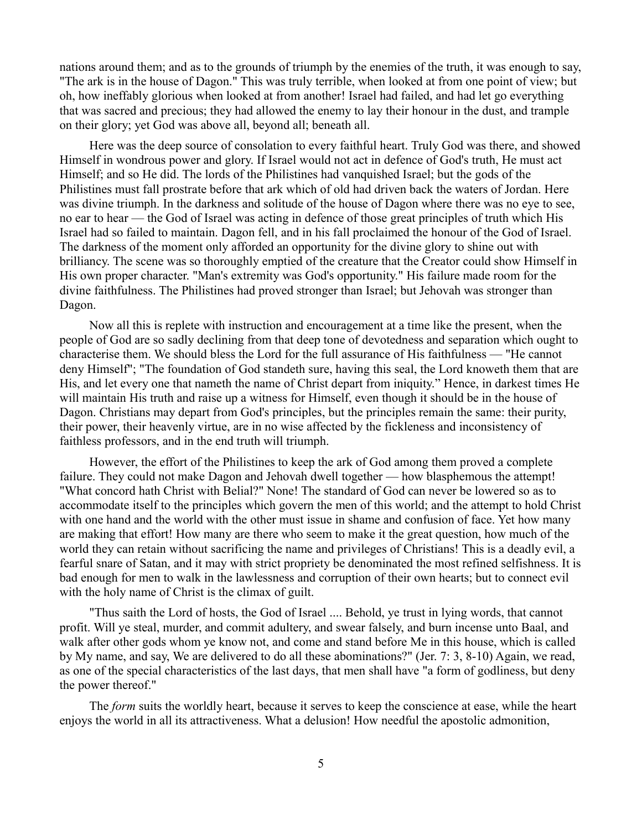nations around them; and as to the grounds of triumph by the enemies of the truth, it was enough to say, "The ark is in the house of Dagon." This was truly terrible, when looked at from one point of view; but oh, how ineffably glorious when looked at from another! Israel had failed, and had let go everything that was sacred and precious; they had allowed the enemy to lay their honour in the dust, and trample on their glory; yet God was above all, beyond all; beneath all.

Here was the deep source of consolation to every faithful heart. Truly God was there, and showed Himself in wondrous power and glory. If Israel would not act in defence of God's truth, He must act Himself; and so He did. The lords of the Philistines had vanquished Israel; but the gods of the Philistines must fall prostrate before that ark which of old had driven back the waters of Jordan. Here was divine triumph. In the darkness and solitude of the house of Dagon where there was no eye to see, no ear to hear — the God of Israel was acting in defence of those great principles of truth which His Israel had so failed to maintain. Dagon fell, and in his fall proclaimed the honour of the God of Israel. The darkness of the moment only afforded an opportunity for the divine glory to shine out with brilliancy. The scene was so thoroughly emptied of the creature that the Creator could show Himself in His own proper character. "Man's extremity was God's opportunity." His failure made room for the divine faithfulness. The Philistines had proved stronger than Israel; but Jehovah was stronger than Dagon.

Now all this is replete with instruction and encouragement at a time like the present, when the people of God are so sadly declining from that deep tone of devotedness and separation which ought to characterise them. We should bless the Lord for the full assurance of His faithfulness — "He cannot deny Himself"; "The foundation of God standeth sure, having this seal, the Lord knoweth them that are His, and let every one that nameth the name of Christ depart from iniquity." Hence, in darkest times He will maintain His truth and raise up a witness for Himself, even though it should be in the house of Dagon. Christians may depart from God's principles, but the principles remain the same: their purity, their power, their heavenly virtue, are in no wise affected by the fickleness and inconsistency of faithless professors, and in the end truth will triumph.

However, the effort of the Philistines to keep the ark of God among them proved a complete failure. They could not make Dagon and Jehovah dwell together — how blasphemous the attempt! "What concord hath Christ with Belial?" None! The standard of God can never be lowered so as to accommodate itself to the principles which govern the men of this world; and the attempt to hold Christ with one hand and the world with the other must issue in shame and confusion of face. Yet how many are making that effort! How many are there who seem to make it the great question, how much of the world they can retain without sacrificing the name and privileges of Christians! This is a deadly evil, a fearful snare of Satan, and it may with strict propriety be denominated the most refined selfishness. It is bad enough for men to walk in the lawlessness and corruption of their own hearts; but to connect evil with the holy name of Christ is the climax of guilt.

"Thus saith the Lord of hosts, the God of Israel .... Behold, ye trust in lying words, that cannot profit. Will ye steal, murder, and commit adultery, and swear falsely, and burn incense unto Baal, and walk after other gods whom ye know not, and come and stand before Me in this house, which is called by My name, and say, We are delivered to do all these abominations?" (Jer. 7: 3, 8-10) Again, we read, as one of the special characteristics of the last days, that men shall have "a form of godliness, but deny the power thereof."

The *form* suits the worldly heart, because it serves to keep the conscience at ease, while the heart enjoys the world in all its attractiveness. What a delusion! How needful the apostolic admonition,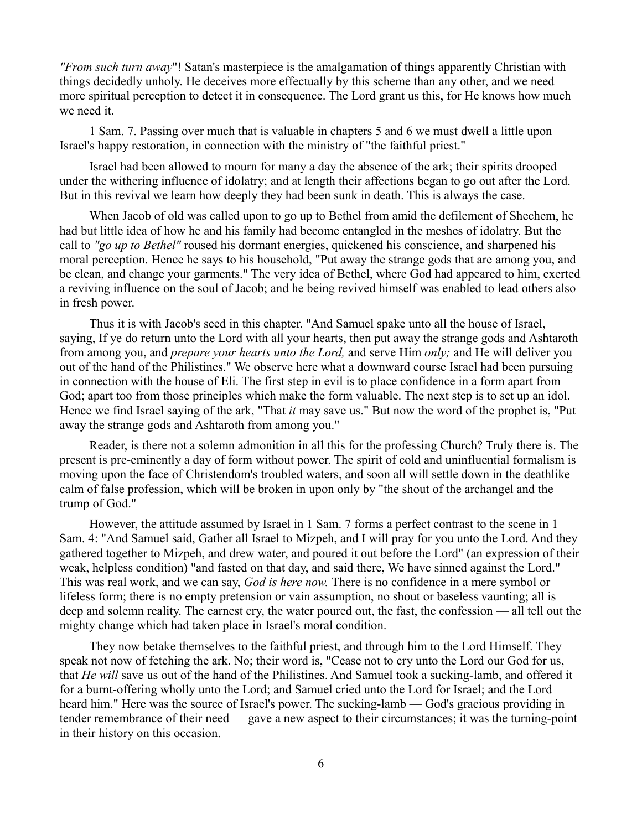*"From such turn away*"! Satan's masterpiece is the amalgamation of things apparently Christian with things decidedly unholy. He deceives more effectually by this scheme than any other, and we need more spiritual perception to detect it in consequence. The Lord grant us this, for He knows how much we need it.

1 Sam. 7. Passing over much that is valuable in chapters 5 and 6 we must dwell a little upon Israel's happy restoration, in connection with the ministry of "the faithful priest."

Israel had been allowed to mourn for many a day the absence of the ark; their spirits drooped under the withering influence of idolatry; and at length their affections began to go out after the Lord. But in this revival we learn how deeply they had been sunk in death. This is always the case.

When Jacob of old was called upon to go up to Bethel from amid the defilement of Shechem, he had but little idea of how he and his family had become entangled in the meshes of idolatry. But the call to *"go up to Bethel"* roused his dormant energies, quickened his conscience, and sharpened his moral perception. Hence he says to his household, "Put away the strange gods that are among you, and be clean, and change your garments." The very idea of Bethel, where God had appeared to him, exerted a reviving influence on the soul of Jacob; and he being revived himself was enabled to lead others also in fresh power.

Thus it is with Jacob's seed in this chapter. "And Samuel spake unto all the house of Israel, saying, If ye do return unto the Lord with all your hearts, then put away the strange gods and Ashtaroth from among you, and *prepare your hearts unto the Lord,* and serve Him *only;* and He will deliver you out of the hand of the Philistines." We observe here what a downward course Israel had been pursuing in connection with the house of Eli. The first step in evil is to place confidence in a form apart from God; apart too from those principles which make the form valuable. The next step is to set up an idol. Hence we find Israel saying of the ark, "That *it* may save us." But now the word of the prophet is, "Put away the strange gods and Ashtaroth from among you."

Reader, is there not a solemn admonition in all this for the professing Church? Truly there is. The present is pre-eminently a day of form without power. The spirit of cold and uninfluential formalism is moving upon the face of Christendom's troubled waters, and soon all will settle down in the deathlike calm of false profession, which will be broken in upon only by "the shout of the archangel and the trump of God."

However, the attitude assumed by Israel in 1 Sam. 7 forms a perfect contrast to the scene in 1 Sam. 4: "And Samuel said, Gather all Israel to Mizpeh, and I will pray for you unto the Lord. And they gathered together to Mizpeh, and drew water, and poured it out before the Lord" (an expression of their weak, helpless condition) "and fasted on that day, and said there, We have sinned against the Lord." This was real work, and we can say, *God is here now.* There is no confidence in a mere symbol or lifeless form; there is no empty pretension or vain assumption, no shout or baseless vaunting; all is deep and solemn reality. The earnest cry, the water poured out, the fast, the confession — all tell out the mighty change which had taken place in Israel's moral condition.

They now betake themselves to the faithful priest, and through him to the Lord Himself. They speak not now of fetching the ark. No; their word is, "Cease not to cry unto the Lord our God for us, that *He will* save us out of the hand of the Philistines. And Samuel took a sucking-lamb, and offered it for a burnt-offering wholly unto the Lord; and Samuel cried unto the Lord for Israel; and the Lord heard him." Here was the source of Israel's power. The sucking-lamb — God's gracious providing in tender remembrance of their need — gave a new aspect to their circumstances; it was the turning-point in their history on this occasion.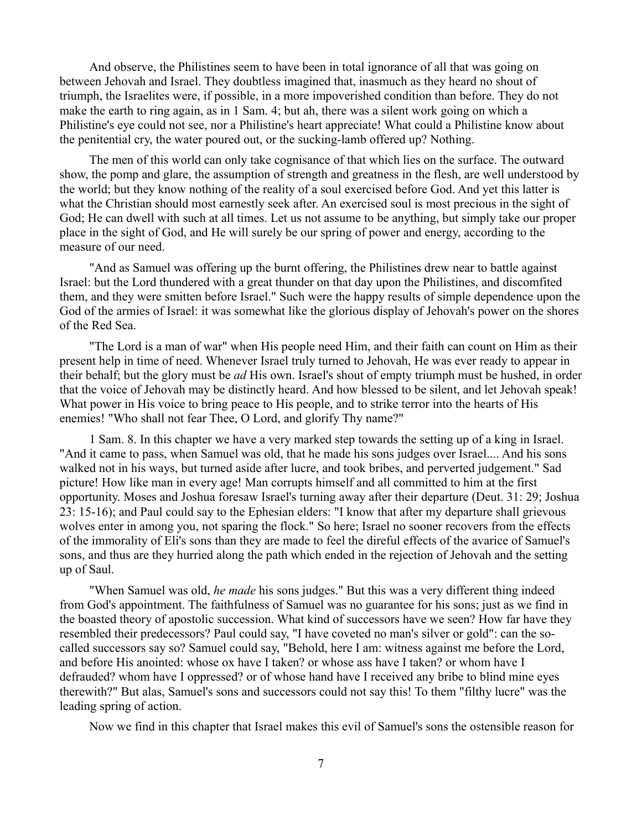And observe, the Philistines seem to have been in total ignorance of all that was going on between Jehovah and Israel. They doubtless imagined that, inasmuch as they heard no shout of triumph, the Israelites were, if possible, in a more impoverished condition than before. They do not make the earth to ring again, as in 1 Sam. 4; but ah, there was a silent work going on which a Philistine's eye could not see, nor a Philistine's heart appreciate! What could a Philistine know about the penitential cry, the water poured out, or the sucking-lamb offered up? Nothing.

The men of this world can only take cognisance of that which lies on the surface. The outward show, the pomp and glare, the assumption of strength and greatness in the flesh, are well understood by the world; but they know nothing of the reality of a soul exercised before God. And yet this latter is what the Christian should most earnestly seek after. An exercised soul is most precious in the sight of God; He can dwell with such at all times. Let us not assume to be anything, but simply take our proper place in the sight of God, and He will surely be our spring of power and energy, according to the measure of our need.

"And as Samuel was offering up the burnt offering, the Philistines drew near to battle against Israel: but the Lord thundered with a great thunder on that day upon the Philistines, and discomfited them, and they were smitten before Israel." Such were the happy results of simple dependence upon the God of the armies of Israel: it was somewhat like the glorious display of Jehovah's power on the shores of the Red Sea.

"The Lord is a man of war" when His people need Him, and their faith can count on Him as their present help in time of need. Whenever Israel truly turned to Jehovah, He was ever ready to appear in their behalf; but the glory must be *ad* His own. Israel's shout of empty triumph must be hushed, in order that the voice of Jehovah may be distinctly heard. And how blessed to be silent, and let Jehovah speak! What power in His voice to bring peace to His people, and to strike terror into the hearts of His enemies! "Who shall not fear Thee, O Lord, and glorify Thy name?"

1 Sam. 8. In this chapter we have a very marked step towards the setting up of a king in Israel. "And it came to pass, when Samuel was old, that he made his sons judges over Israel.... And his sons walked not in his ways, but turned aside after lucre, and took bribes, and perverted judgement." Sad picture! How like man in every age! Man corrupts himself and all committed to him at the first opportunity. Moses and Joshua foresaw Israel's turning away after their departure (Deut. 31: 29; Joshua 23: 15-16); and Paul could say to the Ephesian elders: "I know that after my departure shall grievous wolves enter in among you, not sparing the flock." So here; Israel no sooner recovers from the effects of the immorality of Eli's sons than they are made to feel the direful effects of the avarice of Samuel's sons, and thus are they hurried along the path which ended in the rejection of Jehovah and the setting up of Saul.

"When Samuel was old, *he made* his sons judges." But this was a very different thing indeed from God's appointment. The faithfulness of Samuel was no guarantee for his sons; just as we find in the boasted theory of apostolic succession. What kind of successors have we seen? How far have they resembled their predecessors? Paul could say, "I have coveted no man's silver or gold": can the socalled successors say so? Samuel could say, "Behold, here I am: witness against me before the Lord, and before His anointed: whose ox have I taken? or whose ass have I taken? or whom have I defrauded? whom have I oppressed? or of whose hand have I received any bribe to blind mine eyes therewith?" But alas, Samuel's sons and successors could not say this! To them "filthy lucre" was the leading spring of action.

Now we find in this chapter that Israel makes this evil of Samuel's sons the ostensible reason for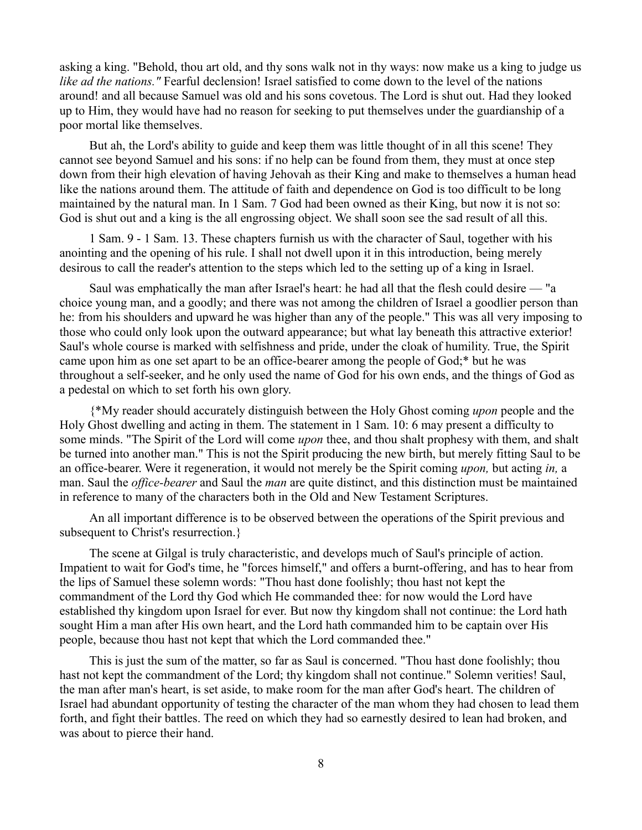asking a king. "Behold, thou art old, and thy sons walk not in thy ways: now make us a king to judge us *like ad the nations."* Fearful declension! Israel satisfied to come down to the level of the nations around! and all because Samuel was old and his sons covetous. The Lord is shut out. Had they looked up to Him, they would have had no reason for seeking to put themselves under the guardianship of a poor mortal like themselves.

But ah, the Lord's ability to guide and keep them was little thought of in all this scene! They cannot see beyond Samuel and his sons: if no help can be found from them, they must at once step down from their high elevation of having Jehovah as their King and make to themselves a human head like the nations around them. The attitude of faith and dependence on God is too difficult to be long maintained by the natural man. In 1 Sam. 7 God had been owned as their King, but now it is not so: God is shut out and a king is the all engrossing object. We shall soon see the sad result of all this.

1 Sam. 9 - 1 Sam. 13. These chapters furnish us with the character of Saul, together with his anointing and the opening of his rule. I shall not dwell upon it in this introduction, being merely desirous to call the reader's attention to the steps which led to the setting up of a king in Israel.

Saul was emphatically the man after Israel's heart: he had all that the flesh could desire — "a choice young man, and a goodly; and there was not among the children of Israel a goodlier person than he: from his shoulders and upward he was higher than any of the people." This was all very imposing to those who could only look upon the outward appearance; but what lay beneath this attractive exterior! Saul's whole course is marked with selfishness and pride, under the cloak of humility. True, the Spirit came upon him as one set apart to be an office-bearer among the people of God;\* but he was throughout a self-seeker, and he only used the name of God for his own ends, and the things of God as a pedestal on which to set forth his own glory.

{\*My reader should accurately distinguish between the Holy Ghost coming *upon* people and the Holy Ghost dwelling and acting in them. The statement in 1 Sam. 10: 6 may present a difficulty to some minds. "The Spirit of the Lord will come *upon* thee, and thou shalt prophesy with them, and shalt be turned into another man." This is not the Spirit producing the new birth, but merely fitting Saul to be an office-bearer. Were it regeneration, it would not merely be the Spirit coming *upon,* but acting *in,* a man. Saul the *office-bearer* and Saul the *man* are quite distinct, and this distinction must be maintained in reference to many of the characters both in the Old and New Testament Scriptures.

An all important difference is to be observed between the operations of the Spirit previous and subsequent to Christ's resurrection.}

The scene at Gilgal is truly characteristic, and develops much of Saul's principle of action. Impatient to wait for God's time, he "forces himself," and offers a burnt-offering, and has to hear from the lips of Samuel these solemn words: "Thou hast done foolishly; thou hast not kept the commandment of the Lord thy God which He commanded thee: for now would the Lord have established thy kingdom upon Israel for ever. But now thy kingdom shall not continue: the Lord hath sought Him a man after His own heart, and the Lord hath commanded him to be captain over His people, because thou hast not kept that which the Lord commanded thee."

This is just the sum of the matter, so far as Saul is concerned. "Thou hast done foolishly; thou hast not kept the commandment of the Lord; thy kingdom shall not continue." Solemn verities! Saul, the man after man's heart, is set aside, to make room for the man after God's heart. The children of Israel had abundant opportunity of testing the character of the man whom they had chosen to lead them forth, and fight their battles. The reed on which they had so earnestly desired to lean had broken, and was about to pierce their hand.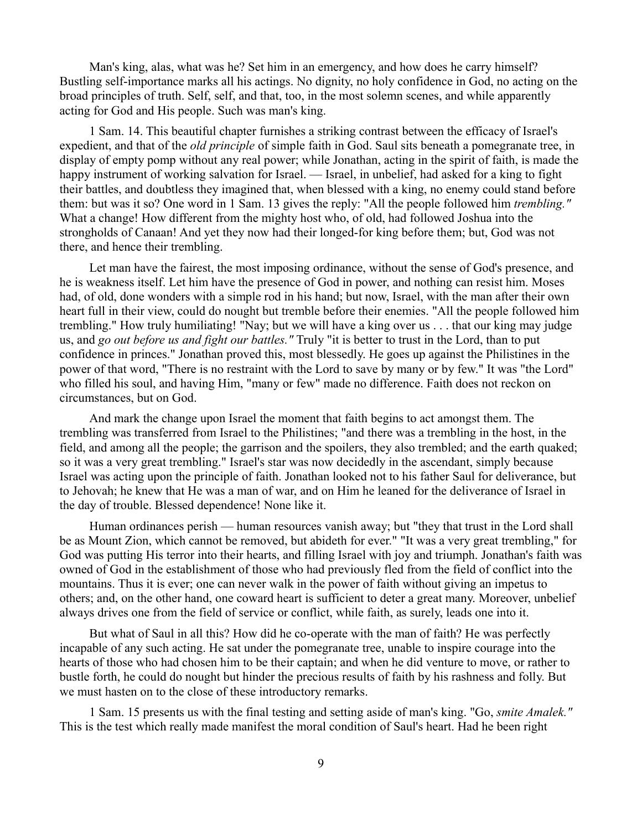Man's king, alas, what was he? Set him in an emergency, and how does he carry himself? Bustling self-importance marks all his actings. No dignity, no holy confidence in God, no acting on the broad principles of truth. Self, self, and that, too, in the most solemn scenes, and while apparently acting for God and His people. Such was man's king.

1 Sam. 14. This beautiful chapter furnishes a striking contrast between the efficacy of Israel's expedient, and that of the *old principle* of simple faith in God. Saul sits beneath a pomegranate tree, in display of empty pomp without any real power; while Jonathan, acting in the spirit of faith, is made the happy instrument of working salvation for Israel. — Israel, in unbelief, had asked for a king to fight their battles, and doubtless they imagined that, when blessed with a king, no enemy could stand before them: but was it so? One word in 1 Sam. 13 gives the reply: "All the people followed him *trembling."* What a change! How different from the mighty host who, of old, had followed Joshua into the strongholds of Canaan! And yet they now had their longed-for king before them; but, God was not there, and hence their trembling.

Let man have the fairest, the most imposing ordinance, without the sense of God's presence, and he is weakness itself. Let him have the presence of God in power, and nothing can resist him. Moses had, of old, done wonders with a simple rod in his hand; but now, Israel, with the man after their own heart full in their view, could do nought but tremble before their enemies. "All the people followed him trembling." How truly humiliating! "Nay; but we will have a king over us . . . that our king may judge us, and *go out before us and fight our battles."* Truly "it is better to trust in the Lord, than to put confidence in princes." Jonathan proved this, most blessedly. He goes up against the Philistines in the power of that word, "There is no restraint with the Lord to save by many or by few." It was "the Lord" who filled his soul, and having Him, "many or few" made no difference. Faith does not reckon on circumstances, but on God.

And mark the change upon Israel the moment that faith begins to act amongst them. The trembling was transferred from Israel to the Philistines; "and there was a trembling in the host, in the field, and among all the people; the garrison and the spoilers, they also trembled; and the earth quaked; so it was a very great trembling." Israel's star was now decidedly in the ascendant, simply because Israel was acting upon the principle of faith. Jonathan looked not to his father Saul for deliverance, but to Jehovah; he knew that He was a man of war, and on Him he leaned for the deliverance of Israel in the day of trouble. Blessed dependence! None like it.

Human ordinances perish — human resources vanish away; but "they that trust in the Lord shall be as Mount Zion, which cannot be removed, but abideth for ever." "It was a very great trembling," for God was putting His terror into their hearts, and filling Israel with joy and triumph. Jonathan's faith was owned of God in the establishment of those who had previously fled from the field of conflict into the mountains. Thus it is ever; one can never walk in the power of faith without giving an impetus to others; and, on the other hand, one coward heart is sufficient to deter a great many. Moreover, unbelief always drives one from the field of service or conflict, while faith, as surely, leads one into it.

But what of Saul in all this? How did he co-operate with the man of faith? He was perfectly incapable of any such acting. He sat under the pomegranate tree, unable to inspire courage into the hearts of those who had chosen him to be their captain; and when he did venture to move, or rather to bustle forth, he could do nought but hinder the precious results of faith by his rashness and folly. But we must hasten on to the close of these introductory remarks.

1 Sam. 15 presents us with the final testing and setting aside of man's king. "Go, *smite Amalek."* This is the test which really made manifest the moral condition of Saul's heart. Had he been right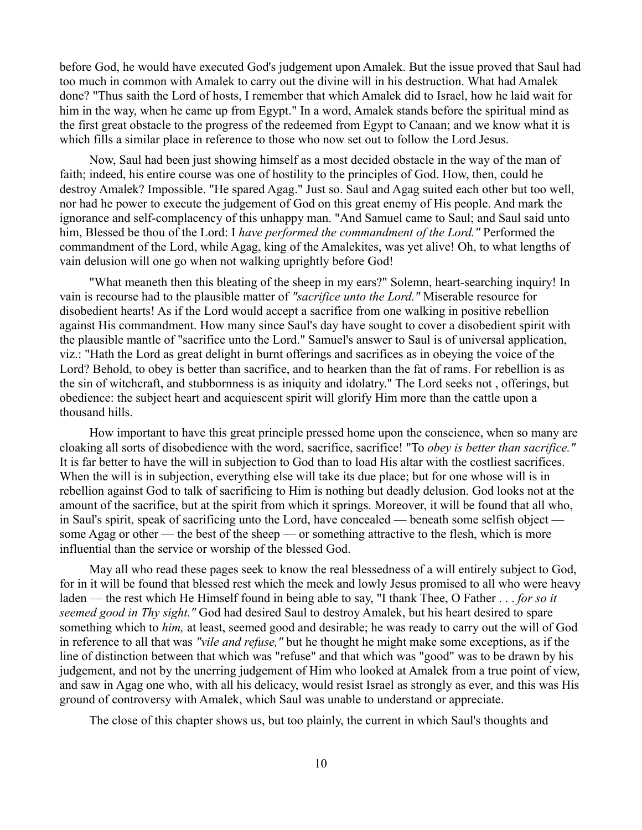before God, he would have executed God's judgement upon Amalek. But the issue proved that Saul had too much in common with Amalek to carry out the divine will in his destruction. What had Amalek done? "Thus saith the Lord of hosts, I remember that which Amalek did to Israel, how he laid wait for him in the way, when he came up from Egypt." In a word, Amalek stands before the spiritual mind as the first great obstacle to the progress of the redeemed from Egypt to Canaan; and we know what it is which fills a similar place in reference to those who now set out to follow the Lord Jesus.

Now, Saul had been just showing himself as a most decided obstacle in the way of the man of faith; indeed, his entire course was one of hostility to the principles of God. How, then, could he destroy Amalek? Impossible. "He spared Agag." Just so. Saul and Agag suited each other but too well, nor had he power to execute the judgement of God on this great enemy of His people. And mark the ignorance and self-complacency of this unhappy man. "And Samuel came to Saul; and Saul said unto him, Blessed be thou of the Lord: I *have performed the commandment of the Lord."* Performed the commandment of the Lord, while Agag, king of the Amalekites, was yet alive! Oh, to what lengths of vain delusion will one go when not walking uprightly before God!

"What meaneth then this bleating of the sheep in my ears?" Solemn, heart-searching inquiry! In vain is recourse had to the plausible matter of *"sacrifice unto the Lord."* Miserable resource for disobedient hearts! As if the Lord would accept a sacrifice from one walking in positive rebellion against His commandment. How many since Saul's day have sought to cover a disobedient spirit with the plausible mantle of "sacrifice unto the Lord." Samuel's answer to Saul is of universal application, viz.: "Hath the Lord as great delight in burnt offerings and sacrifices as in obeying the voice of the Lord? Behold, to obey is better than sacrifice, and to hearken than the fat of rams. For rebellion is as the sin of witchcraft, and stubbornness is as iniquity and idolatry." The Lord seeks not , offerings, but obedience: the subject heart and acquiescent spirit will glorify Him more than the cattle upon a thousand hills.

How important to have this great principle pressed home upon the conscience, when so many are cloaking all sorts of disobedience with the word, sacrifice, sacrifice! "To *obey is better than sacrifice."* It is far better to have the will in subjection to God than to load His altar with the costliest sacrifices. When the will is in subjection, everything else will take its due place; but for one whose will is in rebellion against God to talk of sacrificing to Him is nothing but deadly delusion. God looks not at the amount of the sacrifice, but at the spirit from which it springs. Moreover, it will be found that all who, in Saul's spirit, speak of sacrificing unto the Lord, have concealed — beneath some selfish object some Agag or other — the best of the sheep — or something attractive to the flesh, which is more influential than the service or worship of the blessed God.

May all who read these pages seek to know the real blessedness of a will entirely subject to God, for in it will be found that blessed rest which the meek and lowly Jesus promised to all who were heavy laden — the rest which He Himself found in being able to say, "I thank Thee, O Father . . . *for so it seemed good in Thy sight."* God had desired Saul to destroy Amalek, but his heart desired to spare something which to *him,* at least, seemed good and desirable; he was ready to carry out the will of God in reference to all that was *"vile and refuse,"* but he thought he might make some exceptions, as if the line of distinction between that which was "refuse" and that which was "good" was to be drawn by his judgement, and not by the unerring judgement of Him who looked at Amalek from a true point of view, and saw in Agag one who, with all his delicacy, would resist Israel as strongly as ever, and this was His ground of controversy with Amalek, which Saul was unable to understand or appreciate.

The close of this chapter shows us, but too plainly, the current in which Saul's thoughts and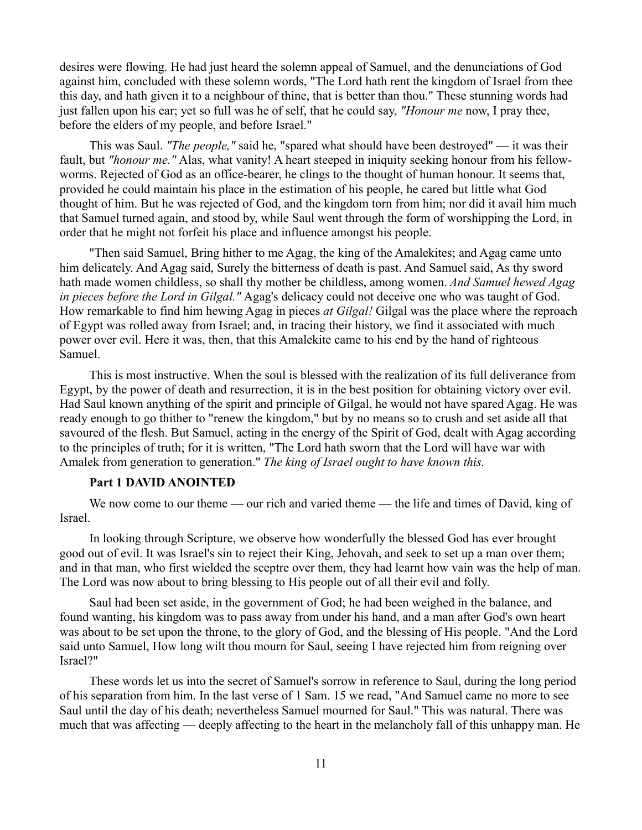desires were flowing. He had just heard the solemn appeal of Samuel, and the denunciations of God against him, concluded with these solemn words, "The Lord hath rent the kingdom of Israel from thee this day, and hath given it to a neighbour of thine, that is better than thou." These stunning words had just fallen upon his ear; yet so full was he of self, that he could say, *"Honour me* now, I pray thee, before the elders of my people, and before Israel."

This was Saul. *"The people,"* said he, "spared what should have been destroyed" — it was their fault, but *"honour me."* Alas, what vanity! A heart steeped in iniquity seeking honour from his fellowworms. Rejected of God as an office-bearer, he clings to the thought of human honour. It seems that, provided he could maintain his place in the estimation of his people, he cared but little what God thought of him. But he was rejected of God, and the kingdom torn from him; nor did it avail him much that Samuel turned again, and stood by, while Saul went through the form of worshipping the Lord, in order that he might not forfeit his place and influence amongst his people.

"Then said Samuel, Bring hither to me Agag, the king of the Amalekites; and Agag came unto him delicately. And Agag said, Surely the bitterness of death is past. And Samuel said, As thy sword hath made women childless, so shall thy mother be childless, among women. *And Samuel hewed Agag in pieces before the Lord in Gilgal."* Agag's delicacy could not deceive one who was taught of God. How remarkable to find him hewing Agag in pieces *at Gilgal!* Gilgal was the place where the reproach of Egypt was rolled away from Israel; and, in tracing their history, we find it associated with much power over evil. Here it was, then, that this Amalekite came to his end by the hand of righteous Samuel.

This is most instructive. When the soul is blessed with the realization of its full deliverance from Egypt, by the power of death and resurrection, it is in the best position for obtaining victory over evil. Had Saul known anything of the spirit and principle of Gilgal, he would not have spared Agag. He was ready enough to go thither to "renew the kingdom," but by no means so to crush and set aside all that savoured of the flesh. But Samuel, acting in the energy of the Spirit of God, dealt with Agag according to the principles of truth; for it is written, "The Lord hath sworn that the Lord will have war with Amalek from generation to generation." *The king of Israel ought to have known this.*

#### **Part 1 DAVID ANOINTED**

We now come to our theme — our rich and varied theme — the life and times of David, king of Israel.

In looking through Scripture, we observe how wonderfully the blessed God has ever brought good out of evil. It was Israel's sin to reject their King, Jehovah, and seek to set up a man over them; and in that man, who first wielded the sceptre over them, they had learnt how vain was the help of man. The Lord was now about to bring blessing to His people out of all their evil and folly.

Saul had been set aside, in the government of God; he had been weighed in the balance, and found wanting, his kingdom was to pass away from under his hand, and a man after God's own heart was about to be set upon the throne, to the glory of God, and the blessing of His people. "And the Lord said unto Samuel, How long wilt thou mourn for Saul, seeing I have rejected him from reigning over Israel?"

These words let us into the secret of Samuel's sorrow in reference to Saul, during the long period of his separation from him. In the last verse of 1 Sam. 15 we read, "And Samuel came no more to see Saul until the day of his death; nevertheless Samuel mourned for Saul." This was natural. There was much that was affecting — deeply affecting to the heart in the melancholy fall of this unhappy man. He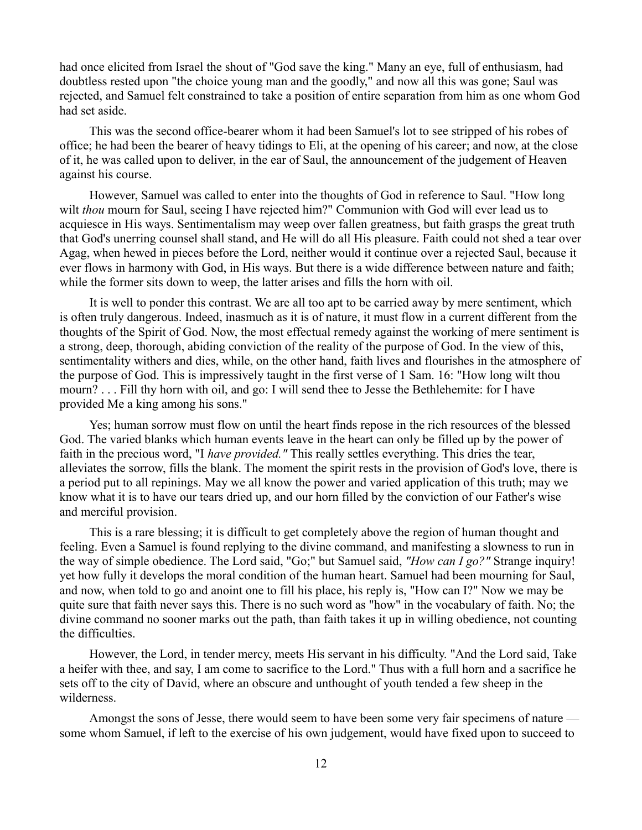had once elicited from Israel the shout of "God save the king." Many an eye, full of enthusiasm, had doubtless rested upon "the choice young man and the goodly," and now all this was gone; Saul was rejected, and Samuel felt constrained to take a position of entire separation from him as one whom God had set aside.

This was the second office-bearer whom it had been Samuel's lot to see stripped of his robes of office; he had been the bearer of heavy tidings to Eli, at the opening of his career; and now, at the close of it, he was called upon to deliver, in the ear of Saul, the announcement of the judgement of Heaven against his course.

However, Samuel was called to enter into the thoughts of God in reference to Saul. "How long wilt *thou* mourn for Saul, seeing I have rejected him?" Communion with God will ever lead us to acquiesce in His ways. Sentimentalism may weep over fallen greatness, but faith grasps the great truth that God's unerring counsel shall stand, and He will do all His pleasure. Faith could not shed a tear over Agag, when hewed in pieces before the Lord, neither would it continue over a rejected Saul, because it ever flows in harmony with God, in His ways. But there is a wide difference between nature and faith; while the former sits down to weep, the latter arises and fills the horn with oil.

It is well to ponder this contrast. We are all too apt to be carried away by mere sentiment, which is often truly dangerous. Indeed, inasmuch as it is of nature, it must flow in a current different from the thoughts of the Spirit of God. Now, the most effectual remedy against the working of mere sentiment is a strong, deep, thorough, abiding conviction of the reality of the purpose of God. In the view of this, sentimentality withers and dies, while, on the other hand, faith lives and flourishes in the atmosphere of the purpose of God. This is impressively taught in the first verse of 1 Sam. 16: "How long wilt thou mourn? . . . Fill thy horn with oil, and go: I will send thee to Jesse the Bethlehemite: for I have provided Me a king among his sons."

Yes; human sorrow must flow on until the heart finds repose in the rich resources of the blessed God. The varied blanks which human events leave in the heart can only be filled up by the power of faith in the precious word, "I *have provided."* This really settles everything. This dries the tear, alleviates the sorrow, fills the blank. The moment the spirit rests in the provision of God's love, there is a period put to all repinings. May we all know the power and varied application of this truth; may we know what it is to have our tears dried up, and our horn filled by the conviction of our Father's wise and merciful provision.

This is a rare blessing; it is difficult to get completely above the region of human thought and feeling. Even a Samuel is found replying to the divine command, and manifesting a slowness to run in the way of simple obedience. The Lord said, "Go;" but Samuel said, *"How can I go?"* Strange inquiry! yet how fully it develops the moral condition of the human heart. Samuel had been mourning for Saul, and now, when told to go and anoint one to fill his place, his reply is, "How can I?" Now we may be quite sure that faith never says this. There is no such word as "how" in the vocabulary of faith. No; the divine command no sooner marks out the path, than faith takes it up in willing obedience, not counting the difficulties.

However, the Lord, in tender mercy, meets His servant in his difficulty. "And the Lord said, Take a heifer with thee, and say, I am come to sacrifice to the Lord." Thus with a full horn and a sacrifice he sets off to the city of David, where an obscure and unthought of youth tended a few sheep in the wilderness.

Amongst the sons of Jesse, there would seem to have been some very fair specimens of nature some whom Samuel, if left to the exercise of his own judgement, would have fixed upon to succeed to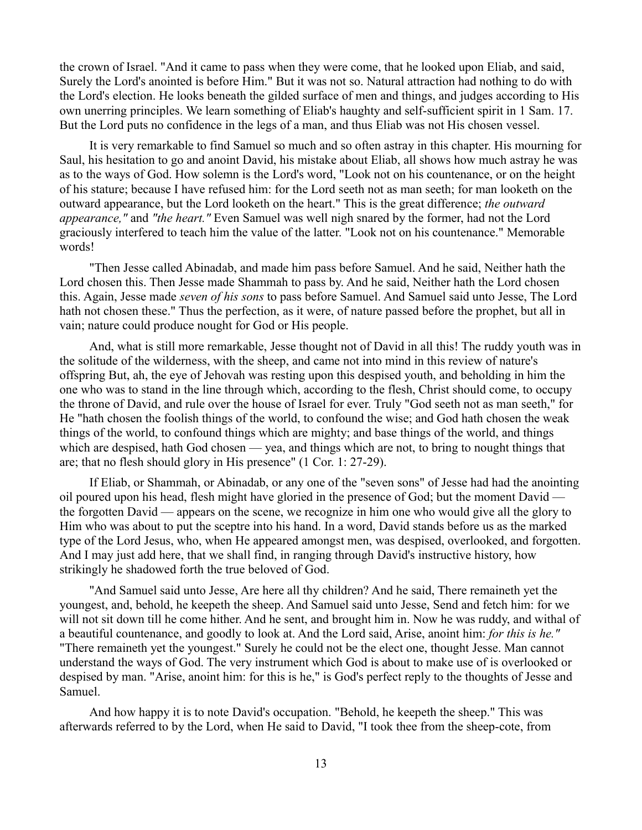the crown of Israel. "And it came to pass when they were come, that he looked upon Eliab, and said, Surely the Lord's anointed is before Him." But it was not so. Natural attraction had nothing to do with the Lord's election. He looks beneath the gilded surface of men and things, and judges according to His own unerring principles. We learn something of Eliab's haughty and self-sufficient spirit in 1 Sam. 17. But the Lord puts no confidence in the legs of a man, and thus Eliab was not His chosen vessel.

It is very remarkable to find Samuel so much and so often astray in this chapter. His mourning for Saul, his hesitation to go and anoint David, his mistake about Eliab, all shows how much astray he was as to the ways of God. How solemn is the Lord's word, "Look not on his countenance, or on the height of his stature; because I have refused him: for the Lord seeth not as man seeth; for man looketh on the outward appearance, but the Lord looketh on the heart." This is the great difference; *the outward appearance,"* and *"the heart."* Even Samuel was well nigh snared by the former, had not the Lord graciously interfered to teach him the value of the latter. "Look not on his countenance." Memorable words!

"Then Jesse called Abinadab, and made him pass before Samuel. And he said, Neither hath the Lord chosen this. Then Jesse made Shammah to pass by. And he said, Neither hath the Lord chosen this. Again, Jesse made *seven of his sons* to pass before Samuel. And Samuel said unto Jesse, The Lord hath not chosen these." Thus the perfection, as it were, of nature passed before the prophet, but all in vain; nature could produce nought for God or His people.

And, what is still more remarkable, Jesse thought not of David in all this! The ruddy youth was in the solitude of the wilderness, with the sheep, and came not into mind in this review of nature's offspring But, ah, the eye of Jehovah was resting upon this despised youth, and beholding in him the one who was to stand in the line through which, according to the flesh, Christ should come, to occupy the throne of David, and rule over the house of Israel for ever. Truly "God seeth not as man seeth," for He "hath chosen the foolish things of the world, to confound the wise; and God hath chosen the weak things of the world, to confound things which are mighty; and base things of the world, and things which are despised, hath God chosen — yea, and things which are not, to bring to nought things that are; that no flesh should glory in His presence" (1 Cor. 1: 27-29).

If Eliab, or Shammah, or Abinadab, or any one of the "seven sons" of Jesse had had the anointing oil poured upon his head, flesh might have gloried in the presence of God; but the moment David the forgotten David — appears on the scene, we recognize in him one who would give all the glory to Him who was about to put the sceptre into his hand. In a word, David stands before us as the marked type of the Lord Jesus, who, when He appeared amongst men, was despised, overlooked, and forgotten. And I may just add here, that we shall find, in ranging through David's instructive history, how strikingly he shadowed forth the true beloved of God.

"And Samuel said unto Jesse, Are here all thy children? And he said, There remaineth yet the youngest, and, behold, he keepeth the sheep. And Samuel said unto Jesse, Send and fetch him: for we will not sit down till he come hither. And he sent, and brought him in. Now he was ruddy, and withal of a beautiful countenance, and goodly to look at. And the Lord said, Arise, anoint him: *for this is he."* "There remaineth yet the youngest." Surely he could not be the elect one, thought Jesse. Man cannot understand the ways of God. The very instrument which God is about to make use of is overlooked or despised by man. "Arise, anoint him: for this is he," is God's perfect reply to the thoughts of Jesse and Samuel.

And how happy it is to note David's occupation. "Behold, he keepeth the sheep." This was afterwards referred to by the Lord, when He said to David, "I took thee from the sheep-cote, from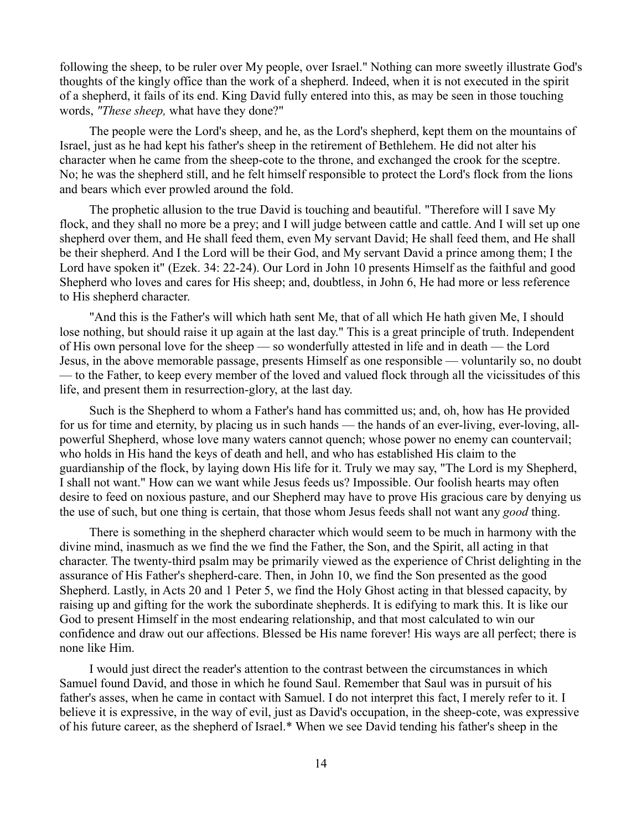following the sheep, to be ruler over My people, over Israel." Nothing can more sweetly illustrate God's thoughts of the kingly office than the work of a shepherd. Indeed, when it is not executed in the spirit of a shepherd, it fails of its end. King David fully entered into this, as may be seen in those touching words, *"These sheep,* what have they done?"

The people were the Lord's sheep, and he, as the Lord's shepherd, kept them on the mountains of Israel, just as he had kept his father's sheep in the retirement of Bethlehem. He did not alter his character when he came from the sheep-cote to the throne, and exchanged the crook for the sceptre. No; he was the shepherd still, and he felt himself responsible to protect the Lord's flock from the lions and bears which ever prowled around the fold.

The prophetic allusion to the true David is touching and beautiful. "Therefore will I save My flock, and they shall no more be a prey; and I will judge between cattle and cattle. And I will set up one shepherd over them, and He shall feed them, even My servant David; He shall feed them, and He shall be their shepherd. And I the Lord will be their God, and My servant David a prince among them; I the Lord have spoken it" (Ezek. 34: 22-24). Our Lord in John 10 presents Himself as the faithful and good Shepherd who loves and cares for His sheep; and, doubtless, in John 6, He had more or less reference to His shepherd character.

"And this is the Father's will which hath sent Me, that of all which He hath given Me, I should lose nothing, but should raise it up again at the last day." This is a great principle of truth. Independent of His own personal love for the sheep — so wonderfully attested in life and in death — the Lord Jesus, in the above memorable passage, presents Himself as one responsible — voluntarily so, no doubt — to the Father, to keep every member of the loved and valued flock through all the vicissitudes of this life, and present them in resurrection-glory, at the last day.

Such is the Shepherd to whom a Father's hand has committed us; and, oh, how has He provided for us for time and eternity, by placing us in such hands — the hands of an ever-living, ever-loving, allpowerful Shepherd, whose love many waters cannot quench; whose power no enemy can countervail; who holds in His hand the keys of death and hell, and who has established His claim to the guardianship of the flock, by laying down His life for it. Truly we may say, "The Lord is my Shepherd, I shall not want." How can we want while Jesus feeds us? Impossible. Our foolish hearts may often desire to feed on noxious pasture, and our Shepherd may have to prove His gracious care by denying us the use of such, but one thing is certain, that those whom Jesus feeds shall not want any *good* thing.

There is something in the shepherd character which would seem to be much in harmony with the divine mind, inasmuch as we find the we find the Father, the Son, and the Spirit, all acting in that character. The twenty-third psalm may be primarily viewed as the experience of Christ delighting in the assurance of His Father's shepherd-care. Then, in John 10, we find the Son presented as the good Shepherd. Lastly, in Acts 20 and 1 Peter 5, we find the Holy Ghost acting in that blessed capacity, by raising up and gifting for the work the subordinate shepherds. It is edifying to mark this. It is like our God to present Himself in the most endearing relationship, and that most calculated to win our confidence and draw out our affections. Blessed be His name forever! His ways are all perfect; there is none like Him.

I would just direct the reader's attention to the contrast between the circumstances in which Samuel found David, and those in which he found Saul. Remember that Saul was in pursuit of his father's asses, when he came in contact with Samuel. I do not interpret this fact, I merely refer to it. I believe it is expressive, in the way of evil, just as David's occupation, in the sheep-cote, was expressive of his future career, as the shepherd of Israel.\* When we see David tending his father's sheep in the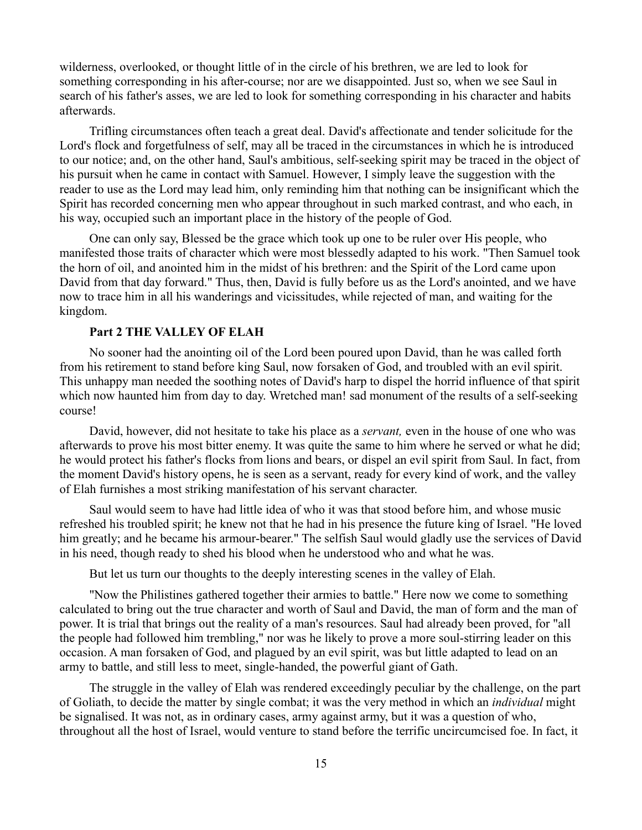wilderness, overlooked, or thought little of in the circle of his brethren, we are led to look for something corresponding in his after-course; nor are we disappointed. Just so, when we see Saul in search of his father's asses, we are led to look for something corresponding in his character and habits afterwards.

Trifling circumstances often teach a great deal. David's affectionate and tender solicitude for the Lord's flock and forgetfulness of self, may all be traced in the circumstances in which he is introduced to our notice; and, on the other hand, Saul's ambitious, self-seeking spirit may be traced in the object of his pursuit when he came in contact with Samuel. However, I simply leave the suggestion with the reader to use as the Lord may lead him, only reminding him that nothing can be insignificant which the Spirit has recorded concerning men who appear throughout in such marked contrast, and who each, in his way, occupied such an important place in the history of the people of God.

One can only say, Blessed be the grace which took up one to be ruler over His people, who manifested those traits of character which were most blessedly adapted to his work. "Then Samuel took the horn of oil, and anointed him in the midst of his brethren: and the Spirit of the Lord came upon David from that day forward." Thus, then, David is fully before us as the Lord's anointed, and we have now to trace him in all his wanderings and vicissitudes, while rejected of man, and waiting for the kingdom.

# **Part 2 THE VALLEY OF ELAH**

No sooner had the anointing oil of the Lord been poured upon David, than he was called forth from his retirement to stand before king Saul, now forsaken of God, and troubled with an evil spirit. This unhappy man needed the soothing notes of David's harp to dispel the horrid influence of that spirit which now haunted him from day to day. Wretched man! sad monument of the results of a self-seeking course!

David, however, did not hesitate to take his place as a *servant,* even in the house of one who was afterwards to prove his most bitter enemy. It was quite the same to him where he served or what he did; he would protect his father's flocks from lions and bears, or dispel an evil spirit from Saul. In fact, from the moment David's history opens, he is seen as a servant, ready for every kind of work, and the valley of Elah furnishes a most striking manifestation of his servant character.

Saul would seem to have had little idea of who it was that stood before him, and whose music refreshed his troubled spirit; he knew not that he had in his presence the future king of Israel. "He loved him greatly; and he became his armour-bearer." The selfish Saul would gladly use the services of David in his need, though ready to shed his blood when he understood who and what he was.

But let us turn our thoughts to the deeply interesting scenes in the valley of Elah.

"Now the Philistines gathered together their armies to battle." Here now we come to something calculated to bring out the true character and worth of Saul and David, the man of form and the man of power. It is trial that brings out the reality of a man's resources. Saul had already been proved, for "all the people had followed him trembling," nor was he likely to prove a more soul-stirring leader on this occasion. A man forsaken of God, and plagued by an evil spirit, was but little adapted to lead on an army to battle, and still less to meet, single-handed, the powerful giant of Gath.

The struggle in the valley of Elah was rendered exceedingly peculiar by the challenge, on the part of Goliath, to decide the matter by single combat; it was the very method in which an *individual* might be signalised. It was not, as in ordinary cases, army against army, but it was a question of who, throughout all the host of Israel, would venture to stand before the terrific uncircumcised foe. In fact, it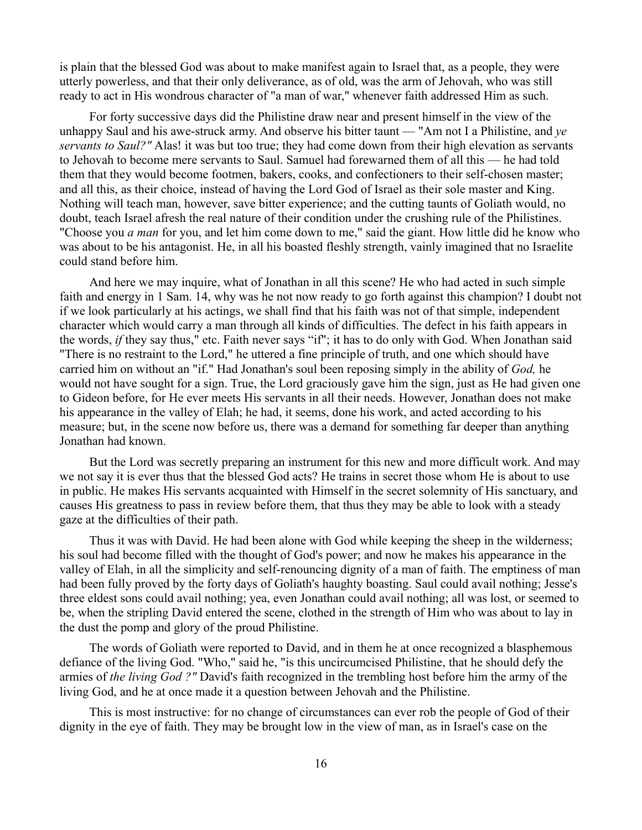is plain that the blessed God was about to make manifest again to Israel that, as a people, they were utterly powerless, and that their only deliverance, as of old, was the arm of Jehovah, who was still ready to act in His wondrous character of "a man of war," whenever faith addressed Him as such.

For forty successive days did the Philistine draw near and present himself in the view of the unhappy Saul and his awe-struck army. And observe his bitter taunt — "Am not I a Philistine, and *ye servants to Saul?"* Alas! it was but too true; they had come down from their high elevation as servants to Jehovah to become mere servants to Saul. Samuel had forewarned them of all this — he had told them that they would become footmen, bakers, cooks, and confectioners to their self-chosen master; and all this, as their choice, instead of having the Lord God of Israel as their sole master and King. Nothing will teach man, however, save bitter experience; and the cutting taunts of Goliath would, no doubt, teach Israel afresh the real nature of their condition under the crushing rule of the Philistines. "Choose you *a man* for you, and let him come down to me," said the giant. How little did he know who was about to be his antagonist. He, in all his boasted fleshly strength, vainly imagined that no Israelite could stand before him.

And here we may inquire, what of Jonathan in all this scene? He who had acted in such simple faith and energy in 1 Sam. 14, why was he not now ready to go forth against this champion? I doubt not if we look particularly at his actings, we shall find that his faith was not of that simple, independent character which would carry a man through all kinds of difficulties. The defect in his faith appears in the words, *if* they say thus," etc. Faith never says "if"; it has to do only with God. When Jonathan said "There is no restraint to the Lord," he uttered a fine principle of truth, and one which should have carried him on without an "if." Had Jonathan's soul been reposing simply in the ability of *God,* he would not have sought for a sign. True, the Lord graciously gave him the sign, just as He had given one to Gideon before, for He ever meets His servants in all their needs. However, Jonathan does not make his appearance in the valley of Elah; he had, it seems, done his work, and acted according to his measure; but, in the scene now before us, there was a demand for something far deeper than anything Jonathan had known.

But the Lord was secretly preparing an instrument for this new and more difficult work. And may we not say it is ever thus that the blessed God acts? He trains in secret those whom He is about to use in public. He makes His servants acquainted with Himself in the secret solemnity of His sanctuary, and causes His greatness to pass in review before them, that thus they may be able to look with a steady gaze at the difficulties of their path.

Thus it was with David. He had been alone with God while keeping the sheep in the wilderness; his soul had become filled with the thought of God's power; and now he makes his appearance in the valley of Elah, in all the simplicity and self-renouncing dignity of a man of faith. The emptiness of man had been fully proved by the forty days of Goliath's haughty boasting. Saul could avail nothing; Jesse's three eldest sons could avail nothing; yea, even Jonathan could avail nothing; all was lost, or seemed to be, when the stripling David entered the scene, clothed in the strength of Him who was about to lay in the dust the pomp and glory of the proud Philistine.

The words of Goliath were reported to David, and in them he at once recognized a blasphemous defiance of the living God. "Who," said he, "is this uncircumcised Philistine, that he should defy the armies of *the living God ?"* David's faith recognized in the trembling host before him the army of the living God, and he at once made it a question between Jehovah and the Philistine.

This is most instructive: for no change of circumstances can ever rob the people of God of their dignity in the eye of faith. They may be brought low in the view of man, as in Israel's case on the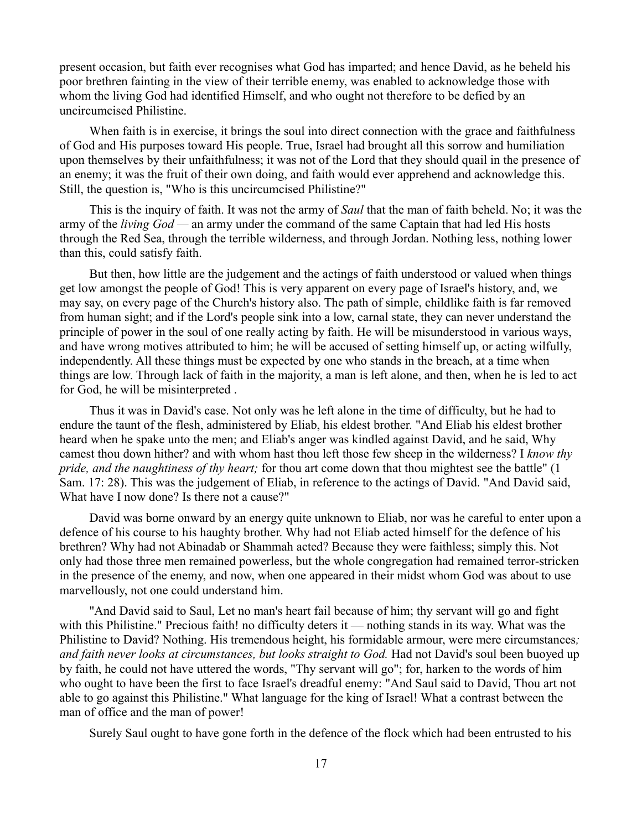present occasion, but faith ever recognises what God has imparted; and hence David, as he beheld his poor brethren fainting in the view of their terrible enemy, was enabled to acknowledge those with whom the living God had identified Himself, and who ought not therefore to be defied by an uncircumcised Philistine.

When faith is in exercise, it brings the soul into direct connection with the grace and faithfulness of God and His purposes toward His people. True, Israel had brought all this sorrow and humiliation upon themselves by their unfaithfulness; it was not of the Lord that they should quail in the presence of an enemy; it was the fruit of their own doing, and faith would ever apprehend and acknowledge this. Still, the question is, "Who is this uncircumcised Philistine?"

This is the inquiry of faith. It was not the army of *Saul* that the man of faith beheld. No; it was the army of the *living God —* an army under the command of the same Captain that had led His hosts through the Red Sea, through the terrible wilderness, and through Jordan. Nothing less, nothing lower than this, could satisfy faith.

But then, how little are the judgement and the actings of faith understood or valued when things get low amongst the people of God! This is very apparent on every page of Israel's history, and, we may say, on every page of the Church's history also. The path of simple, childlike faith is far removed from human sight; and if the Lord's people sink into a low, carnal state, they can never understand the principle of power in the soul of one really acting by faith. He will be misunderstood in various ways, and have wrong motives attributed to him; he will be accused of setting himself up, or acting wilfully, independently. All these things must be expected by one who stands in the breach, at a time when things are low. Through lack of faith in the majority, a man is left alone, and then, when he is led to act for God, he will be misinterpreted .

Thus it was in David's case. Not only was he left alone in the time of difficulty, but he had to endure the taunt of the flesh, administered by Eliab, his eldest brother. "And Eliab his eldest brother heard when he spake unto the men; and Eliab's anger was kindled against David, and he said, Why camest thou down hither? and with whom hast thou left those few sheep in the wilderness? I *know thy pride, and the naughtiness of thy heart;* for thou art come down that thou mightest see the battle" (1 Sam. 17: 28). This was the judgement of Eliab, in reference to the actings of David. "And David said, What have I now done? Is there not a cause?"

David was borne onward by an energy quite unknown to Eliab, nor was he careful to enter upon a defence of his course to his haughty brother. Why had not Eliab acted himself for the defence of his brethren? Why had not Abinadab or Shammah acted? Because they were faithless; simply this. Not only had those three men remained powerless, but the whole congregation had remained terror-stricken in the presence of the enemy, and now, when one appeared in their midst whom God was about to use marvellously, not one could understand him.

"And David said to Saul, Let no man's heart fail because of him; thy servant will go and fight with this Philistine." Precious faith! no difficulty deters it — nothing stands in its way. What was the Philistine to David? Nothing. His tremendous height, his formidable armour, were mere circumstances*;* and faith never looks at circumstances, but looks straight to God. Had not David's soul been buoyed up by faith, he could not have uttered the words, "Thy servant will go"; for, harken to the words of him who ought to have been the first to face Israel's dreadful enemy: "And Saul said to David, Thou art not able to go against this Philistine." What language for the king of Israel! What a contrast between the man of office and the man of power!

Surely Saul ought to have gone forth in the defence of the flock which had been entrusted to his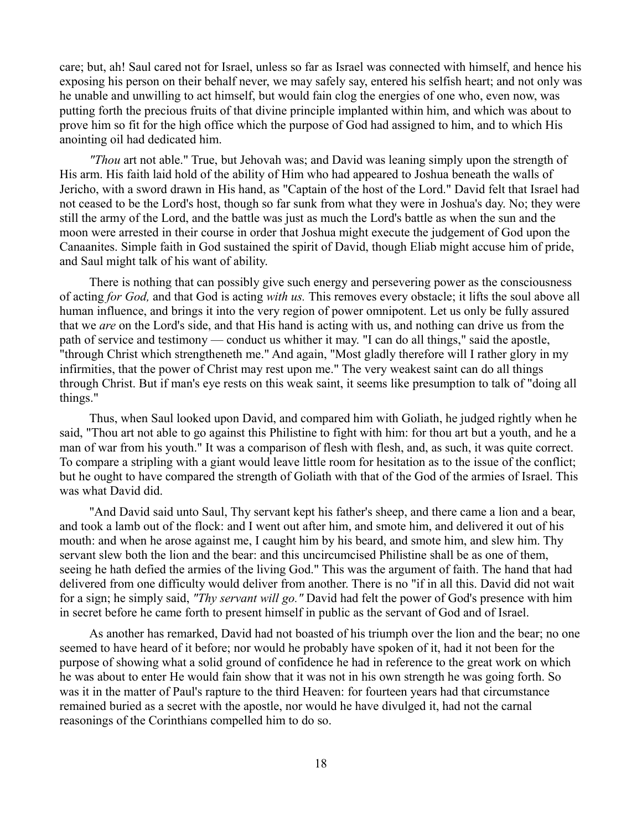care; but, ah! Saul cared not for Israel, unless so far as Israel was connected with himself, and hence his exposing his person on their behalf never, we may safely say, entered his selfish heart; and not only was he unable and unwilling to act himself, but would fain clog the energies of one who, even now, was putting forth the precious fruits of that divine principle implanted within him, and which was about to prove him so fit for the high office which the purpose of God had assigned to him, and to which His anointing oil had dedicated him.

*"Thou* art not able." True, but Jehovah was; and David was leaning simply upon the strength of His arm. His faith laid hold of the ability of Him who had appeared to Joshua beneath the walls of Jericho, with a sword drawn in His hand, as "Captain of the host of the Lord." David felt that Israel had not ceased to be the Lord's host, though so far sunk from what they were in Joshua's day. No; they were still the army of the Lord, and the battle was just as much the Lord's battle as when the sun and the moon were arrested in their course in order that Joshua might execute the judgement of God upon the Canaanites. Simple faith in God sustained the spirit of David, though Eliab might accuse him of pride, and Saul might talk of his want of ability.

There is nothing that can possibly give such energy and persevering power as the consciousness of acting *for God,* and that God is acting *with us.* This removes every obstacle; it lifts the soul above all human influence, and brings it into the very region of power omnipotent. Let us only be fully assured that we *are* on the Lord's side, and that His hand is acting with us, and nothing can drive us from the path of service and testimony — conduct us whither it may. "I can do all things," said the apostle, "through Christ which strengtheneth me." And again, "Most gladly therefore will I rather glory in my infirmities, that the power of Christ may rest upon me." The very weakest saint can do all things through Christ. But if man's eye rests on this weak saint, it seems like presumption to talk of "doing all things."

Thus, when Saul looked upon David, and compared him with Goliath, he judged rightly when he said, "Thou art not able to go against this Philistine to fight with him: for thou art but a youth, and he a man of war from his youth." It was a comparison of flesh with flesh, and, as such, it was quite correct. To compare a stripling with a giant would leave little room for hesitation as to the issue of the conflict; but he ought to have compared the strength of Goliath with that of the God of the armies of Israel. This was what David did.

"And David said unto Saul, Thy servant kept his father's sheep, and there came a lion and a bear, and took a lamb out of the flock: and I went out after him, and smote him, and delivered it out of his mouth: and when he arose against me, I caught him by his beard, and smote him, and slew him. Thy servant slew both the lion and the bear: and this uncircumcised Philistine shall be as one of them, seeing he hath defied the armies of the living God." This was the argument of faith. The hand that had delivered from one difficulty would deliver from another. There is no "if in all this. David did not wait for a sign; he simply said, *"Thy servant will go."* David had felt the power of God's presence with him in secret before he came forth to present himself in public as the servant of God and of Israel.

As another has remarked, David had not boasted of his triumph over the lion and the bear; no one seemed to have heard of it before; nor would he probably have spoken of it, had it not been for the purpose of showing what a solid ground of confidence he had in reference to the great work on which he was about to enter He would fain show that it was not in his own strength he was going forth. So was it in the matter of Paul's rapture to the third Heaven: for fourteen years had that circumstance remained buried as a secret with the apostle, nor would he have divulged it, had not the carnal reasonings of the Corinthians compelled him to do so.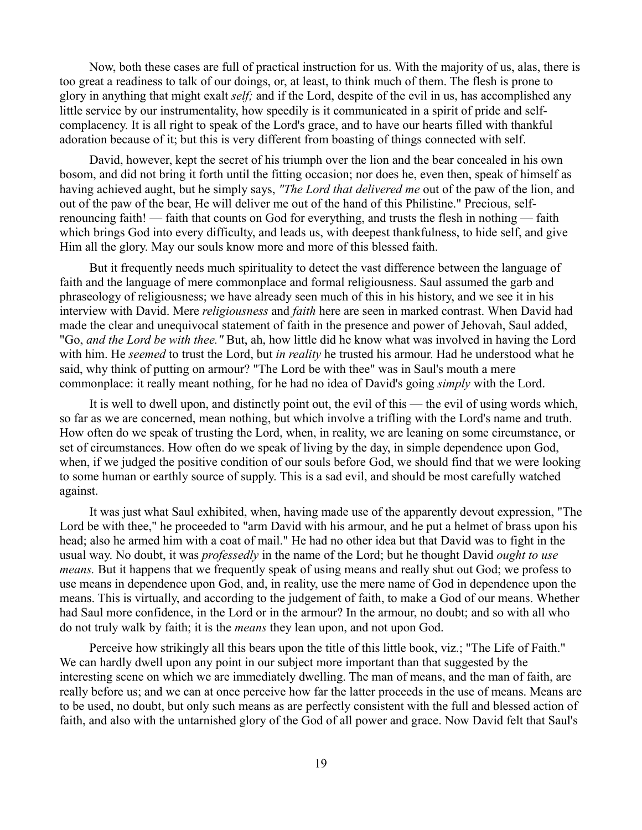Now, both these cases are full of practical instruction for us. With the majority of us, alas, there is too great a readiness to talk of our doings, or, at least, to think much of them. The flesh is prone to glory in anything that might exalt *self;* and if the Lord, despite of the evil in us, has accomplished any little service by our instrumentality, how speedily is it communicated in a spirit of pride and selfcomplacency. It is all right to speak of the Lord's grace, and to have our hearts filled with thankful adoration because of it; but this is very different from boasting of things connected with self.

David, however, kept the secret of his triumph over the lion and the bear concealed in his own bosom, and did not bring it forth until the fitting occasion; nor does he, even then, speak of himself as having achieved aught, but he simply says, *"The Lord that delivered me* out of the paw of the lion, and out of the paw of the bear, He will deliver me out of the hand of this Philistine." Precious, selfrenouncing faith! — faith that counts on God for everything, and trusts the flesh in nothing — faith which brings God into every difficulty, and leads us, with deepest thankfulness, to hide self, and give Him all the glory. May our souls know more and more of this blessed faith.

But it frequently needs much spirituality to detect the vast difference between the language of faith and the language of mere commonplace and formal religiousness. Saul assumed the garb and phraseology of religiousness; we have already seen much of this in his history, and we see it in his interview with David. Mere *religiousness* and *faith* here are seen in marked contrast. When David had made the clear and unequivocal statement of faith in the presence and power of Jehovah, Saul added, "Go, *and the Lord be with thee."* But, ah, how little did he know what was involved in having the Lord with him. He *seemed* to trust the Lord, but *in reality* he trusted his armour. Had he understood what he said, why think of putting on armour? "The Lord be with thee" was in Saul's mouth a mere commonplace: it really meant nothing, for he had no idea of David's going *simply* with the Lord.

It is well to dwell upon, and distinctly point out, the evil of this — the evil of using words which, so far as we are concerned, mean nothing, but which involve a trifling with the Lord's name and truth. How often do we speak of trusting the Lord, when, in reality, we are leaning on some circumstance, or set of circumstances. How often do we speak of living by the day, in simple dependence upon God, when, if we judged the positive condition of our souls before God, we should find that we were looking to some human or earthly source of supply. This is a sad evil, and should be most carefully watched against.

It was just what Saul exhibited, when, having made use of the apparently devout expression, "The Lord be with thee," he proceeded to "arm David with his armour, and he put a helmet of brass upon his head; also he armed him with a coat of mail." He had no other idea but that David was to fight in the usual way. No doubt, it was *professedly* in the name of the Lord; but he thought David *ought to use means.* But it happens that we frequently speak of using means and really shut out God; we profess to use means in dependence upon God, and, in reality, use the mere name of God in dependence upon the means. This is virtually, and according to the judgement of faith, to make a God of our means. Whether had Saul more confidence, in the Lord or in the armour? In the armour, no doubt; and so with all who do not truly walk by faith; it is the *means* they lean upon, and not upon God.

Perceive how strikingly all this bears upon the title of this little book, viz.; "The Life of Faith." We can hardly dwell upon any point in our subject more important than that suggested by the interesting scene on which we are immediately dwelling. The man of means, and the man of faith, are really before us; and we can at once perceive how far the latter proceeds in the use of means. Means are to be used, no doubt, but only such means as are perfectly consistent with the full and blessed action of faith, and also with the untarnished glory of the God of all power and grace. Now David felt that Saul's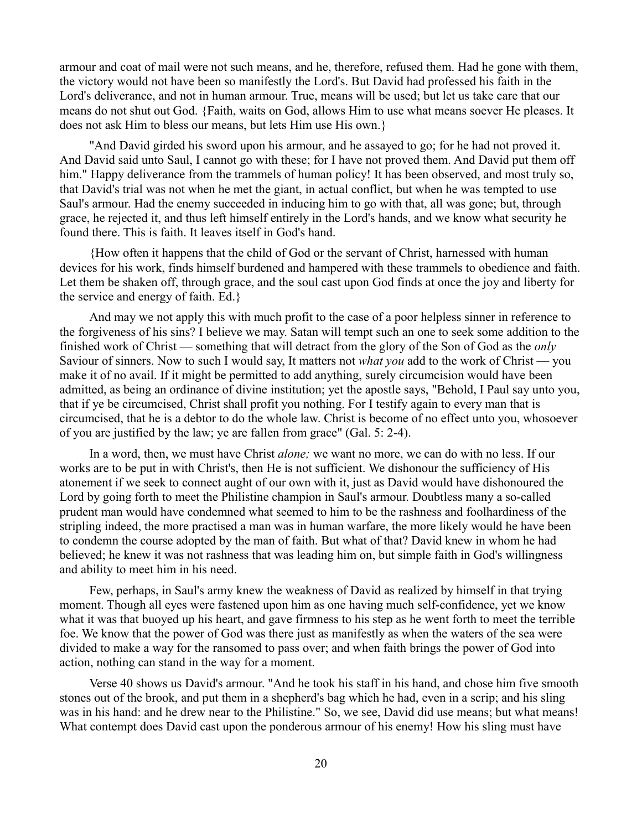armour and coat of mail were not such means, and he, therefore, refused them. Had he gone with them, the victory would not have been so manifestly the Lord's. But David had professed his faith in the Lord's deliverance, and not in human armour. True, means will be used; but let us take care that our means do not shut out God. {Faith, waits on God, allows Him to use what means soever He pleases. It does not ask Him to bless our means, but lets Him use His own.}

"And David girded his sword upon his armour, and he assayed to go; for he had not proved it. And David said unto Saul, I cannot go with these; for I have not proved them. And David put them off him." Happy deliverance from the trammels of human policy! It has been observed, and most truly so, that David's trial was not when he met the giant, in actual conflict, but when he was tempted to use Saul's armour. Had the enemy succeeded in inducing him to go with that, all was gone; but, through grace, he rejected it, and thus left himself entirely in the Lord's hands, and we know what security he found there. This is faith. It leaves itself in God's hand.

{How often it happens that the child of God or the servant of Christ, harnessed with human devices for his work, finds himself burdened and hampered with these trammels to obedience and faith. Let them be shaken off, through grace, and the soul cast upon God finds at once the joy and liberty for the service and energy of faith. Ed.}

And may we not apply this with much profit to the case of a poor helpless sinner in reference to the forgiveness of his sins? I believe we may. Satan will tempt such an one to seek some addition to the finished work of Christ — something that will detract from the glory of the Son of God as the *only* Saviour of sinners. Now to such I would say, It matters not *what you* add to the work of Christ — you make it of no avail. If it might be permitted to add anything, surely circumcision would have been admitted, as being an ordinance of divine institution; yet the apostle says, "Behold, I Paul say unto you, that if ye be circumcised, Christ shall profit you nothing. For I testify again to every man that is circumcised, that he is a debtor to do the whole law. Christ is become of no effect unto you, whosoever of you are justified by the law; ye are fallen from grace" (Gal. 5: 2-4).

In a word, then, we must have Christ *alone;* we want no more, we can do with no less. If our works are to be put in with Christ's, then He is not sufficient. We dishonour the sufficiency of His atonement if we seek to connect aught of our own with it, just as David would have dishonoured the Lord by going forth to meet the Philistine champion in Saul's armour. Doubtless many a so-called prudent man would have condemned what seemed to him to be the rashness and foolhardiness of the stripling indeed, the more practised a man was in human warfare, the more likely would he have been to condemn the course adopted by the man of faith. But what of that? David knew in whom he had believed; he knew it was not rashness that was leading him on, but simple faith in God's willingness and ability to meet him in his need.

Few, perhaps, in Saul's army knew the weakness of David as realized by himself in that trying moment. Though all eyes were fastened upon him as one having much self-confidence, yet we know what it was that buoyed up his heart, and gave firmness to his step as he went forth to meet the terrible foe. We know that the power of God was there just as manifestly as when the waters of the sea were divided to make a way for the ransomed to pass over; and when faith brings the power of God into action, nothing can stand in the way for a moment.

Verse 40 shows us David's armour. "And he took his staff in his hand, and chose him five smooth stones out of the brook, and put them in a shepherd's bag which he had, even in a scrip; and his sling was in his hand: and he drew near to the Philistine." So, we see, David did use means; but what means! What contempt does David cast upon the ponderous armour of his enemy! How his sling must have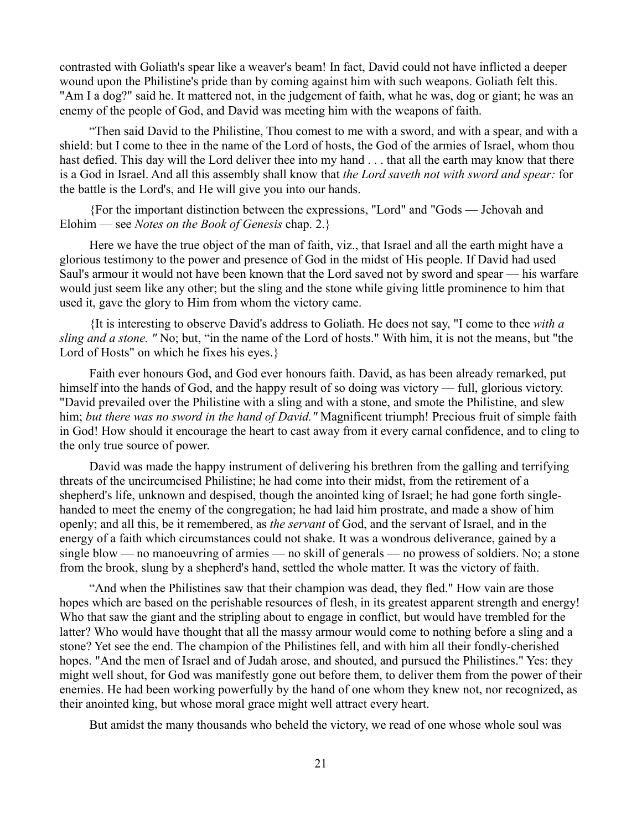contrasted with Goliath's spear like a weaver's beam! In fact, David could not have inflicted a deeper wound upon the Philistine's pride than by coming against him with such weapons. Goliath felt this. "Am I a dog?" said he. It mattered not, in the judgement of faith, what he was, dog or giant; he was an enemy of the people of God, and David was meeting him with the weapons of faith.

"Then said David to the Philistine, Thou comest to me with a sword, and with a spear, and with a shield: but I come to thee in the name of the Lord of hosts, the God of the armies of Israel, whom thou hast defied. This day will the Lord deliver thee into my hand . . . that all the earth may know that there is a God in Israel. And all this assembly shall know that *the Lord saveth not with sword and spear:* for the battle is the Lord's, and He will give you into our hands.

{For the important distinction between the expressions, "Lord" and "Gods — Jehovah and Elohim — see *Notes on the Book of Genesis* chap. 2.}

Here we have the true object of the man of faith, viz., that Israel and all the earth might have a glorious testimony to the power and presence of God in the midst of His people. If David had used Saul's armour it would not have been known that the Lord saved not by sword and spear — his warfare would just seem like any other; but the sling and the stone while giving little prominence to him that used it, gave the glory to Him from whom the victory came.

{It is interesting to observe David's address to Goliath. He does not say, "I come to thee *with a sling and a stone. "* No; but, "in the name of the Lord of hosts." With him, it is not the means, but "the Lord of Hosts" on which he fixes his eyes.

Faith ever honours God, and God ever honours faith. David, as has been already remarked, put himself into the hands of God, and the happy result of so doing was victory — full, glorious victory. "David prevailed over the Philistine with a sling and with a stone, and smote the Philistine, and slew him; *but there was no sword in the hand of David.*" Magnificent triumph! Precious fruit of simple faith in God! How should it encourage the heart to cast away from it every carnal confidence, and to cling to the only true source of power.

David was made the happy instrument of delivering his brethren from the galling and terrifying threats of the uncircumcised Philistine; he had come into their midst, from the retirement of a shepherd's life, unknown and despised, though the anointed king of Israel; he had gone forth singlehanded to meet the enemy of the congregation; he had laid him prostrate, and made a show of him openly; and all this, be it remembered, as *the servant* of God, and the servant of Israel, and in the energy of a faith which circumstances could not shake. It was a wondrous deliverance, gained by a single blow — no manoeuvring of armies — no skill of generals — no prowess of soldiers. No; a stone from the brook, slung by a shepherd's hand, settled the whole matter. It was the victory of faith.

"And when the Philistines saw that their champion was dead, they fled." How vain are those hopes which are based on the perishable resources of flesh, in its greatest apparent strength and energy! Who that saw the giant and the stripling about to engage in conflict, but would have trembled for the latter? Who would have thought that all the massy armour would come to nothing before a sling and a stone? Yet see the end. The champion of the Philistines fell, and with him all their fondly-cherished hopes. "And the men of Israel and of Judah arose, and shouted, and pursued the Philistines." Yes: they might well shout, for God was manifestly gone out before them, to deliver them from the power of their enemies. He had been working powerfully by the hand of one whom they knew not, nor recognized, as their anointed king, but whose moral grace might well attract every heart.

But amidst the many thousands who beheld the victory, we read of one whose whole soul was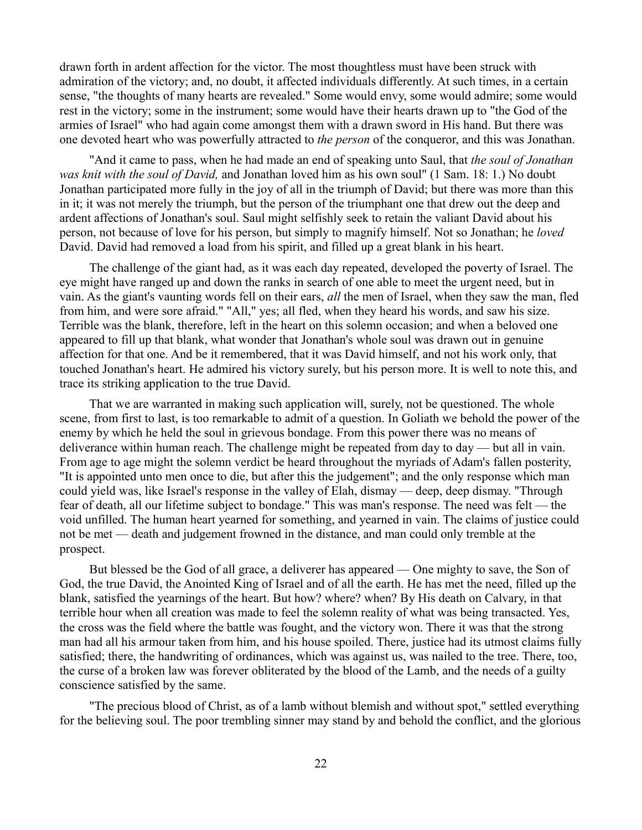drawn forth in ardent affection for the victor. The most thoughtless must have been struck with admiration of the victory; and, no doubt, it affected individuals differently. At such times, in a certain sense, "the thoughts of many hearts are revealed." Some would envy, some would admire; some would rest in the victory; some in the instrument; some would have their hearts drawn up to "the God of the armies of Israel" who had again come amongst them with a drawn sword in His hand. But there was one devoted heart who was powerfully attracted to *the person* of the conqueror, and this was Jonathan.

"And it came to pass, when he had made an end of speaking unto Saul, that *the soul of Jonathan was knit with the soul of David,* and Jonathan loved him as his own soul" (1 Sam. 18: 1.) No doubt Jonathan participated more fully in the joy of all in the triumph of David; but there was more than this in it; it was not merely the triumph, but the person of the triumphant one that drew out the deep and ardent affections of Jonathan's soul. Saul might selfishly seek to retain the valiant David about his person, not because of love for his person, but simply to magnify himself. Not so Jonathan; he *loved* David. David had removed a load from his spirit, and filled up a great blank in his heart.

The challenge of the giant had, as it was each day repeated, developed the poverty of Israel. The eye might have ranged up and down the ranks in search of one able to meet the urgent need, but in vain. As the giant's vaunting words fell on their ears, *all* the men of Israel, when they saw the man, fled from him, and were sore afraid." "All," yes; all fled, when they heard his words, and saw his size. Terrible was the blank, therefore, left in the heart on this solemn occasion; and when a beloved one appeared to fill up that blank, what wonder that Jonathan's whole soul was drawn out in genuine affection for that one. And be it remembered, that it was David himself, and not his work only, that touched Jonathan's heart. He admired his victory surely, but his person more. It is well to note this, and trace its striking application to the true David.

That we are warranted in making such application will, surely, not be questioned. The whole scene, from first to last, is too remarkable to admit of a question. In Goliath we behold the power of the enemy by which he held the soul in grievous bondage. From this power there was no means of deliverance within human reach. The challenge might be repeated from day to day — but all in vain. From age to age might the solemn verdict be heard throughout the myriads of Adam's fallen posterity, "It is appointed unto men once to die, but after this the judgement"; and the only response which man could yield was, like Israel's response in the valley of Elah, dismay — deep, deep dismay. "Through fear of death, all our lifetime subject to bondage." This was man's response. The need was felt — the void unfilled. The human heart yearned for something, and yearned in vain. The claims of justice could not be met — death and judgement frowned in the distance, and man could only tremble at the prospect.

But blessed be the God of all grace, a deliverer has appeared — One mighty to save, the Son of God, the true David, the Anointed King of Israel and of all the earth. He has met the need, filled up the blank, satisfied the yearnings of the heart. But how? where? when? By His death on Calvary, in that terrible hour when all creation was made to feel the solemn reality of what was being transacted. Yes, the cross was the field where the battle was fought, and the victory won. There it was that the strong man had all his armour taken from him, and his house spoiled. There, justice had its utmost claims fully satisfied; there, the handwriting of ordinances, which was against us, was nailed to the tree. There, too, the curse of a broken law was forever obliterated by the blood of the Lamb, and the needs of a guilty conscience satisfied by the same.

"The precious blood of Christ, as of a lamb without blemish and without spot," settled everything for the believing soul. The poor trembling sinner may stand by and behold the conflict, and the glorious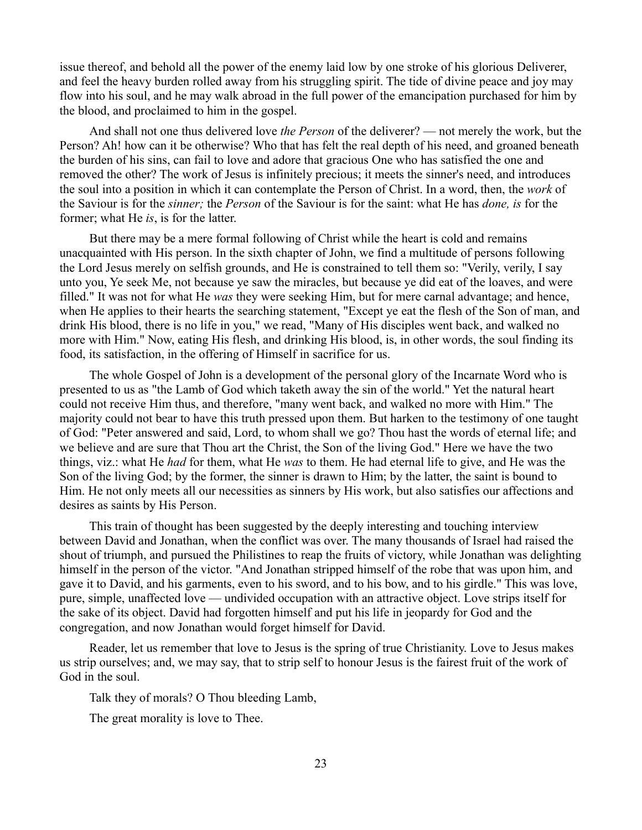issue thereof, and behold all the power of the enemy laid low by one stroke of his glorious Deliverer, and feel the heavy burden rolled away from his struggling spirit. The tide of divine peace and joy may flow into his soul, and he may walk abroad in the full power of the emancipation purchased for him by the blood, and proclaimed to him in the gospel.

And shall not one thus delivered love *the Person* of the deliverer? — not merely the work, but the Person? Ah! how can it be otherwise? Who that has felt the real depth of his need, and groaned beneath the burden of his sins, can fail to love and adore that gracious One who has satisfied the one and removed the other? The work of Jesus is infinitely precious; it meets the sinner's need, and introduces the soul into a position in which it can contemplate the Person of Christ. In a word, then, the *work* of the Saviour is for the *sinner;* the *Person* of the Saviour is for the saint: what He has *done, is* for the former; what He *is*, is for the latter.

But there may be a mere formal following of Christ while the heart is cold and remains unacquainted with His person. In the sixth chapter of John, we find a multitude of persons following the Lord Jesus merely on selfish grounds, and He is constrained to tell them so: "Verily, verily, I say unto you, Ye seek Me, not because ye saw the miracles, but because ye did eat of the loaves, and were filled." It was not for what He *was* they were seeking Him, but for mere carnal advantage; and hence, when He applies to their hearts the searching statement, "Except ye eat the flesh of the Son of man, and drink His blood, there is no life in you," we read, "Many of His disciples went back, and walked no more with Him." Now, eating His flesh, and drinking His blood, is, in other words, the soul finding its food, its satisfaction, in the offering of Himself in sacrifice for us.

The whole Gospel of John is a development of the personal glory of the Incarnate Word who is presented to us as "the Lamb of God which taketh away the sin of the world." Yet the natural heart could not receive Him thus, and therefore, "many went back, and walked no more with Him." The majority could not bear to have this truth pressed upon them. But harken to the testimony of one taught of God: "Peter answered and said, Lord, to whom shall we go? Thou hast the words of eternal life; and we believe and are sure that Thou art the Christ, the Son of the living God." Here we have the two things, viz.: what He *had* for them, what He *was* to them. He had eternal life to give, and He was the Son of the living God; by the former, the sinner is drawn to Him; by the latter, the saint is bound to Him. He not only meets all our necessities as sinners by His work, but also satisfies our affections and desires as saints by His Person.

This train of thought has been suggested by the deeply interesting and touching interview between David and Jonathan, when the conflict was over. The many thousands of Israel had raised the shout of triumph, and pursued the Philistines to reap the fruits of victory, while Jonathan was delighting himself in the person of the victor. "And Jonathan stripped himself of the robe that was upon him, and gave it to David, and his garments, even to his sword, and to his bow, and to his girdle." This was love, pure, simple, unaffected love — undivided occupation with an attractive object. Love strips itself for the sake of its object. David had forgotten himself and put his life in jeopardy for God and the congregation, and now Jonathan would forget himself for David.

Reader, let us remember that love to Jesus is the spring of true Christianity. Love to Jesus makes us strip ourselves; and, we may say, that to strip self to honour Jesus is the fairest fruit of the work of God in the soul.

Talk they of morals? O Thou bleeding Lamb,

The great morality is love to Thee.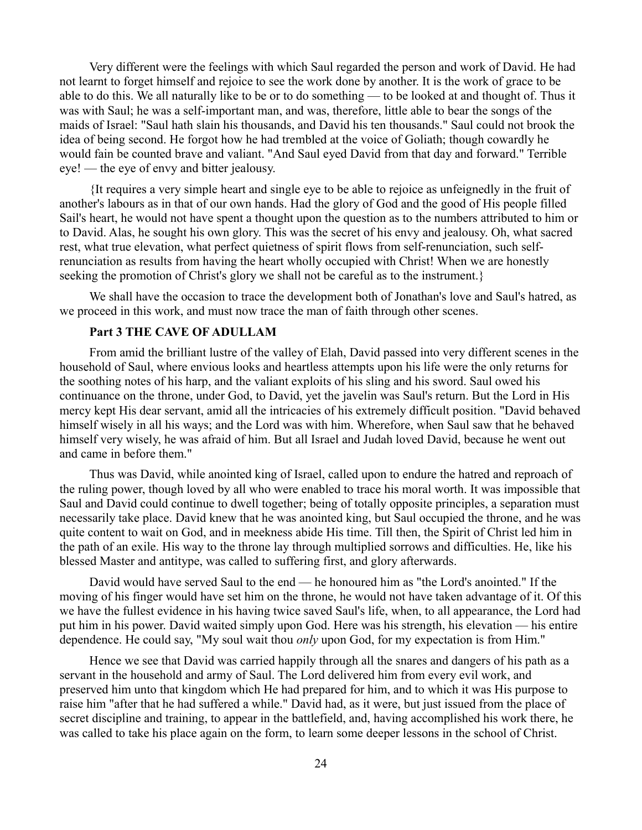Very different were the feelings with which Saul regarded the person and work of David. He had not learnt to forget himself and rejoice to see the work done by another. It is the work of grace to be able to do this. We all naturally like to be or to do something — to be looked at and thought of. Thus it was with Saul; he was a self-important man, and was, therefore, little able to bear the songs of the maids of Israel: "Saul hath slain his thousands, and David his ten thousands." Saul could not brook the idea of being second. He forgot how he had trembled at the voice of Goliath; though cowardly he would fain be counted brave and valiant. "And Saul eyed David from that day and forward." Terrible eye! — the eye of envy and bitter jealousy.

{It requires a very simple heart and single eye to be able to rejoice as unfeignedly in the fruit of another's labours as in that of our own hands. Had the glory of God and the good of His people filled Sail's heart, he would not have spent a thought upon the question as to the numbers attributed to him or to David. Alas, he sought his own glory. This was the secret of his envy and jealousy. Oh, what sacred rest, what true elevation, what perfect quietness of spirit flows from self-renunciation, such selfrenunciation as results from having the heart wholly occupied with Christ! When we are honestly seeking the promotion of Christ's glory we shall not be careful as to the instrument.}

We shall have the occasion to trace the development both of Jonathan's love and Saul's hatred, as we proceed in this work, and must now trace the man of faith through other scenes.

# **Part 3 THE CAVE OF ADULLAM**

From amid the brilliant lustre of the valley of Elah, David passed into very different scenes in the household of Saul, where envious looks and heartless attempts upon his life were the only returns for the soothing notes of his harp, and the valiant exploits of his sling and his sword. Saul owed his continuance on the throne, under God, to David, yet the javelin was Saul's return. But the Lord in His mercy kept His dear servant, amid all the intricacies of his extremely difficult position. "David behaved himself wisely in all his ways; and the Lord was with him. Wherefore, when Saul saw that he behaved himself very wisely, he was afraid of him. But all Israel and Judah loved David, because he went out and came in before them."

Thus was David, while anointed king of Israel, called upon to endure the hatred and reproach of the ruling power, though loved by all who were enabled to trace his moral worth. It was impossible that Saul and David could continue to dwell together; being of totally opposite principles, a separation must necessarily take place. David knew that he was anointed king, but Saul occupied the throne, and he was quite content to wait on God, and in meekness abide His time. Till then, the Spirit of Christ led him in the path of an exile. His way to the throne lay through multiplied sorrows and difficulties. He, like his blessed Master and antitype, was called to suffering first, and glory afterwards.

David would have served Saul to the end — he honoured him as "the Lord's anointed." If the moving of his finger would have set him on the throne, he would not have taken advantage of it. Of this we have the fullest evidence in his having twice saved Saul's life, when, to all appearance, the Lord had put him in his power. David waited simply upon God. Here was his strength, his elevation — his entire dependence. He could say, "My soul wait thou *only* upon God, for my expectation is from Him."

Hence we see that David was carried happily through all the snares and dangers of his path as a servant in the household and army of Saul. The Lord delivered him from every evil work, and preserved him unto that kingdom which He had prepared for him, and to which it was His purpose to raise him "after that he had suffered a while." David had, as it were, but just issued from the place of secret discipline and training, to appear in the battlefield, and, having accomplished his work there, he was called to take his place again on the form, to learn some deeper lessons in the school of Christ.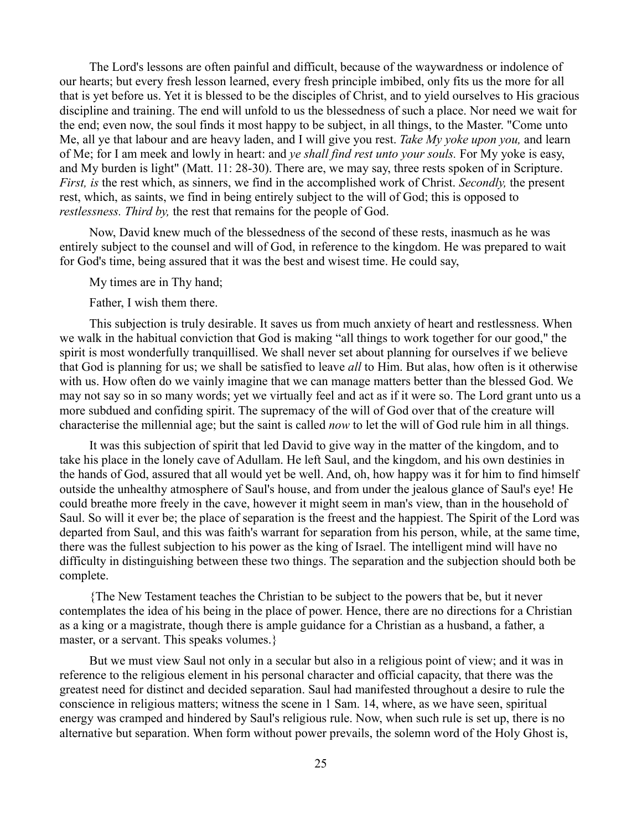The Lord's lessons are often painful and difficult, because of the waywardness or indolence of our hearts; but every fresh lesson learned, every fresh principle imbibed, only fits us the more for all that is yet before us. Yet it is blessed to be the disciples of Christ, and to yield ourselves to His gracious discipline and training. The end will unfold to us the blessedness of such a place. Nor need we wait for the end; even now, the soul finds it most happy to be subject, in all things, to the Master. "Come unto Me, all ye that labour and are heavy laden, and I will give you rest. *Take My yoke upon you,* and learn of Me; for I am meek and lowly in heart: and *ye shall find rest unto your souls.* For My yoke is easy, and My burden is light" (Matt. 11: 28-30). There are, we may say, three rests spoken of in Scripture. *First, is* the rest which, as sinners, we find in the accomplished work of Christ. *Secondly,* the present rest, which, as saints, we find in being entirely subject to the will of God; this is opposed to *restlessness. Third by,* the rest that remains for the people of God.

Now, David knew much of the blessedness of the second of these rests, inasmuch as he was entirely subject to the counsel and will of God, in reference to the kingdom. He was prepared to wait for God's time, being assured that it was the best and wisest time. He could say,

My times are in Thy hand;

Father, I wish them there.

This subjection is truly desirable. It saves us from much anxiety of heart and restlessness. When we walk in the habitual conviction that God is making "all things to work together for our good," the spirit is most wonderfully tranquillised. We shall never set about planning for ourselves if we believe that God is planning for us; we shall be satisfied to leave *all* to Him. But alas, how often is it otherwise with us. How often do we vainly imagine that we can manage matters better than the blessed God. We may not say so in so many words; yet we virtually feel and act as if it were so. The Lord grant unto us a more subdued and confiding spirit. The supremacy of the will of God over that of the creature will characterise the millennial age; but the saint is called *now* to let the will of God rule him in all things.

It was this subjection of spirit that led David to give way in the matter of the kingdom, and to take his place in the lonely cave of Adullam. He left Saul, and the kingdom, and his own destinies in the hands of God, assured that all would yet be well. And, oh, how happy was it for him to find himself outside the unhealthy atmosphere of Saul's house, and from under the jealous glance of Saul's eye! He could breathe more freely in the cave, however it might seem in man's view, than in the household of Saul. So will it ever be; the place of separation is the freest and the happiest. The Spirit of the Lord was departed from Saul, and this was faith's warrant for separation from his person, while, at the same time, there was the fullest subjection to his power as the king of Israel. The intelligent mind will have no difficulty in distinguishing between these two things. The separation and the subjection should both be complete.

{The New Testament teaches the Christian to be subject to the powers that be, but it never contemplates the idea of his being in the place of power. Hence, there are no directions for a Christian as a king or a magistrate, though there is ample guidance for a Christian as a husband, a father, a master, or a servant. This speaks volumes.}

But we must view Saul not only in a secular but also in a religious point of view; and it was in reference to the religious element in his personal character and official capacity, that there was the greatest need for distinct and decided separation. Saul had manifested throughout a desire to rule the conscience in religious matters; witness the scene in 1 Sam. 14, where, as we have seen, spiritual energy was cramped and hindered by Saul's religious rule. Now, when such rule is set up, there is no alternative but separation. When form without power prevails, the solemn word of the Holy Ghost is,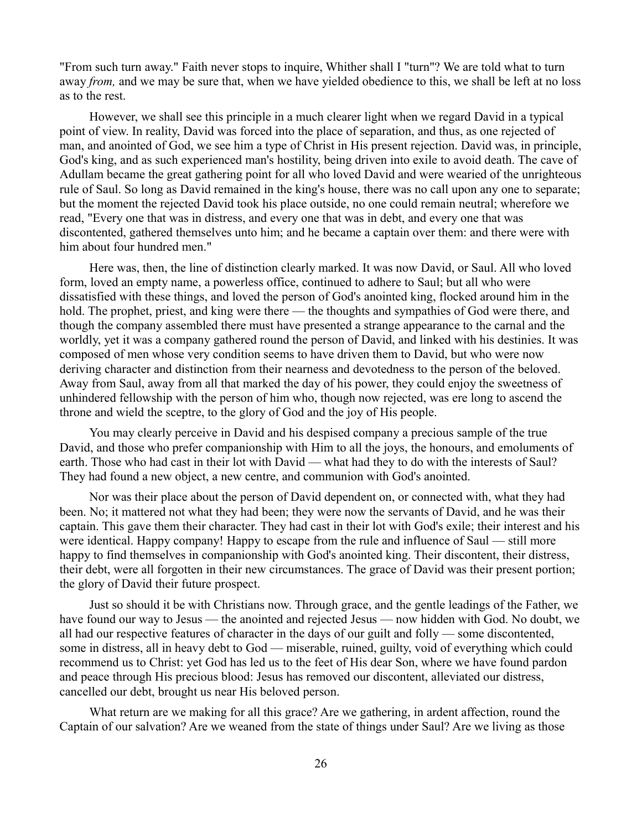"From such turn away." Faith never stops to inquire, Whither shall I "turn"? We are told what to turn away *from,* and we may be sure that, when we have yielded obedience to this, we shall be left at no loss as to the rest.

However, we shall see this principle in a much clearer light when we regard David in a typical point of view. In reality, David was forced into the place of separation, and thus, as one rejected of man, and anointed of God, we see him a type of Christ in His present rejection. David was, in principle, God's king, and as such experienced man's hostility, being driven into exile to avoid death. The cave of Adullam became the great gathering point for all who loved David and were wearied of the unrighteous rule of Saul. So long as David remained in the king's house, there was no call upon any one to separate; but the moment the rejected David took his place outside, no one could remain neutral; wherefore we read, "Every one that was in distress, and every one that was in debt, and every one that was discontented, gathered themselves unto him; and he became a captain over them: and there were with him about four hundred men."

Here was, then, the line of distinction clearly marked. It was now David, or Saul. All who loved form, loved an empty name, a powerless office, continued to adhere to Saul; but all who were dissatisfied with these things, and loved the person of God's anointed king, flocked around him in the hold. The prophet, priest, and king were there — the thoughts and sympathies of God were there, and though the company assembled there must have presented a strange appearance to the carnal and the worldly, yet it was a company gathered round the person of David, and linked with his destinies. It was composed of men whose very condition seems to have driven them to David, but who were now deriving character and distinction from their nearness and devotedness to the person of the beloved. Away from Saul, away from all that marked the day of his power, they could enjoy the sweetness of unhindered fellowship with the person of him who, though now rejected, was ere long to ascend the throne and wield the sceptre, to the glory of God and the joy of His people.

You may clearly perceive in David and his despised company a precious sample of the true David, and those who prefer companionship with Him to all the joys, the honours, and emoluments of earth. Those who had cast in their lot with David — what had they to do with the interests of Saul? They had found a new object, a new centre, and communion with God's anointed.

Nor was their place about the person of David dependent on, or connected with, what they had been. No; it mattered not what they had been; they were now the servants of David, and he was their captain. This gave them their character. They had cast in their lot with God's exile; their interest and his were identical. Happy company! Happy to escape from the rule and influence of Saul — still more happy to find themselves in companionship with God's anointed king. Their discontent, their distress, their debt, were all forgotten in their new circumstances. The grace of David was their present portion; the glory of David their future prospect.

Just so should it be with Christians now. Through grace, and the gentle leadings of the Father, we have found our way to Jesus — the anointed and rejected Jesus — now hidden with God. No doubt, we all had our respective features of character in the days of our guilt and folly — some discontented, some in distress, all in heavy debt to God — miserable, ruined, guilty, void of everything which could recommend us to Christ: yet God has led us to the feet of His dear Son, where we have found pardon and peace through His precious blood: Jesus has removed our discontent, alleviated our distress, cancelled our debt, brought us near His beloved person.

What return are we making for all this grace? Are we gathering, in ardent affection, round the Captain of our salvation? Are we weaned from the state of things under Saul? Are we living as those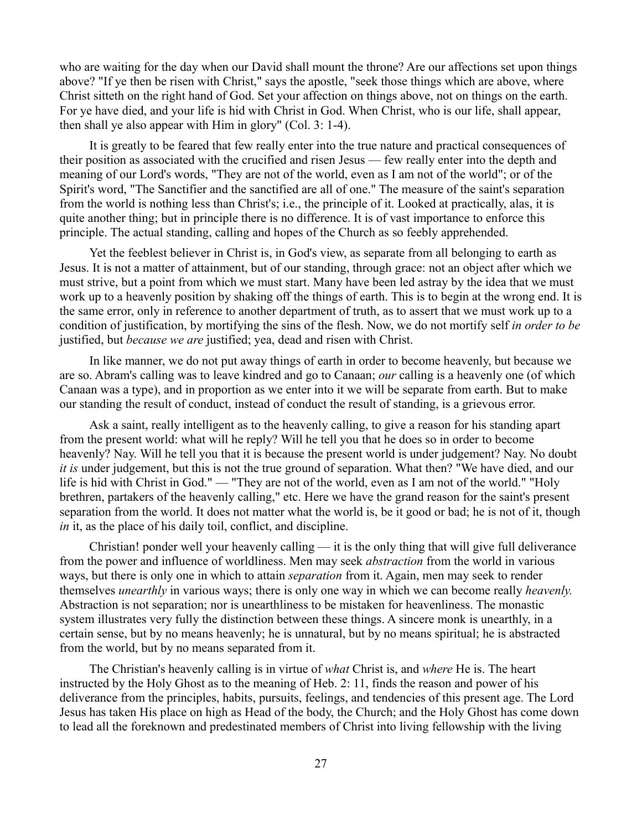who are waiting for the day when our David shall mount the throne? Are our affections set upon things above? "If ye then be risen with Christ," says the apostle, "seek those things which are above, where Christ sitteth on the right hand of God. Set your affection on things above, not on things on the earth. For ye have died, and your life is hid with Christ in God. When Christ, who is our life, shall appear, then shall ye also appear with Him in glory" (Col. 3: 1-4).

It is greatly to be feared that few really enter into the true nature and practical consequences of their position as associated with the crucified and risen Jesus — few really enter into the depth and meaning of our Lord's words, "They are not of the world, even as I am not of the world"; or of the Spirit's word, "The Sanctifier and the sanctified are all of one." The measure of the saint's separation from the world is nothing less than Christ's; i.e., the principle of it. Looked at practically, alas, it is quite another thing; but in principle there is no difference. It is of vast importance to enforce this principle. The actual standing, calling and hopes of the Church as so feebly apprehended.

Yet the feeblest believer in Christ is, in God's view, as separate from all belonging to earth as Jesus. It is not a matter of attainment, but of our standing, through grace: not an object after which we must strive, but a point from which we must start. Many have been led astray by the idea that we must work up to a heavenly position by shaking off the things of earth. This is to begin at the wrong end. It is the same error, only in reference to another department of truth, as to assert that we must work up to a condition of justification, by mortifying the sins of the flesh. Now, we do not mortify self *in order to be* justified, but *because we are* justified; yea, dead and risen with Christ.

In like manner, we do not put away things of earth in order to become heavenly, but because we are so. Abram's calling was to leave kindred and go to Canaan; *our* calling is a heavenly one (of which Canaan was a type), and in proportion as we enter into it we will be separate from earth. But to make our standing the result of conduct, instead of conduct the result of standing, is a grievous error.

Ask a saint, really intelligent as to the heavenly calling, to give a reason for his standing apart from the present world: what will he reply? Will he tell you that he does so in order to become heavenly? Nay. Will he tell you that it is because the present world is under judgement? Nay. No doubt *it is* under judgement, but this is not the true ground of separation. What then? "We have died, and our life is hid with Christ in God." — "They are not of the world, even as I am not of the world." "Holy brethren, partakers of the heavenly calling," etc. Here we have the grand reason for the saint's present separation from the world. It does not matter what the world is, be it good or bad; he is not of it, though *in* it, as the place of his daily toil, conflict, and discipline.

Christian! ponder well your heavenly calling — it is the only thing that will give full deliverance from the power and influence of worldliness. Men may seek *abstraction* from the world in various ways, but there is only one in which to attain *separation* from it. Again, men may seek to render themselves *unearthly* in various ways; there is only one way in which we can become really *heavenly.* Abstraction is not separation; nor is unearthliness to be mistaken for heavenliness. The monastic system illustrates very fully the distinction between these things. A sincere monk is unearthly, in a certain sense, but by no means heavenly; he is unnatural, but by no means spiritual; he is abstracted from the world, but by no means separated from it.

The Christian's heavenly calling is in virtue of *what* Christ is, and *where* He is. The heart instructed by the Holy Ghost as to the meaning of Heb. 2: 11, finds the reason and power of his deliverance from the principles, habits, pursuits, feelings, and tendencies of this present age. The Lord Jesus has taken His place on high as Head of the body, the Church; and the Holy Ghost has come down to lead all the foreknown and predestinated members of Christ into living fellowship with the living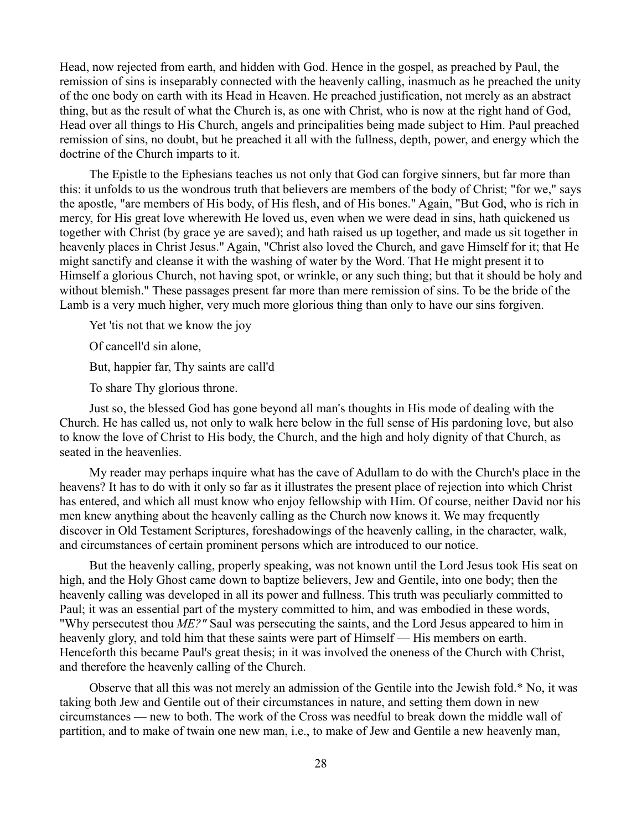Head, now rejected from earth, and hidden with God. Hence in the gospel, as preached by Paul, the remission of sins is inseparably connected with the heavenly calling, inasmuch as he preached the unity of the one body on earth with its Head in Heaven. He preached justification, not merely as an abstract thing, but as the result of what the Church is, as one with Christ, who is now at the right hand of God, Head over all things to His Church, angels and principalities being made subject to Him. Paul preached remission of sins, no doubt, but he preached it all with the fullness, depth, power, and energy which the doctrine of the Church imparts to it.

The Epistle to the Ephesians teaches us not only that God can forgive sinners, but far more than this: it unfolds to us the wondrous truth that believers are members of the body of Christ; "for we," says the apostle, "are members of His body, of His flesh, and of His bones." Again, "But God, who is rich in mercy, for His great love wherewith He loved us, even when we were dead in sins, hath quickened us together with Christ (by grace ye are saved); and hath raised us up together, and made us sit together in heavenly places in Christ Jesus." Again, "Christ also loved the Church, and gave Himself for it; that He might sanctify and cleanse it with the washing of water by the Word. That He might present it to Himself a glorious Church, not having spot, or wrinkle, or any such thing; but that it should be holy and without blemish." These passages present far more than mere remission of sins. To be the bride of the Lamb is a very much higher, very much more glorious thing than only to have our sins forgiven.

Yet 'tis not that we know the joy

Of cancell'd sin alone,

But, happier far, Thy saints are call'd

To share Thy glorious throne.

Just so, the blessed God has gone beyond all man's thoughts in His mode of dealing with the Church. He has called us, not only to walk here below in the full sense of His pardoning love, but also to know the love of Christ to His body, the Church, and the high and holy dignity of that Church, as seated in the heavenlies.

My reader may perhaps inquire what has the cave of Adullam to do with the Church's place in the heavens? It has to do with it only so far as it illustrates the present place of rejection into which Christ has entered, and which all must know who enjoy fellowship with Him. Of course, neither David nor his men knew anything about the heavenly calling as the Church now knows it. We may frequently discover in Old Testament Scriptures, foreshadowings of the heavenly calling, in the character, walk, and circumstances of certain prominent persons which are introduced to our notice.

But the heavenly calling, properly speaking, was not known until the Lord Jesus took His seat on high, and the Holy Ghost came down to baptize believers, Jew and Gentile, into one body; then the heavenly calling was developed in all its power and fullness. This truth was peculiarly committed to Paul; it was an essential part of the mystery committed to him, and was embodied in these words, "Why persecutest thou *ME?"* Saul was persecuting the saints, and the Lord Jesus appeared to him in heavenly glory, and told him that these saints were part of Himself — His members on earth. Henceforth this became Paul's great thesis; in it was involved the oneness of the Church with Christ, and therefore the heavenly calling of the Church.

Observe that all this was not merely an admission of the Gentile into the Jewish fold.\* No, it was taking both Jew and Gentile out of their circumstances in nature, and setting them down in new circumstances — new to both. The work of the Cross was needful to break down the middle wall of partition, and to make of twain one new man, i.e., to make of Jew and Gentile a new heavenly man,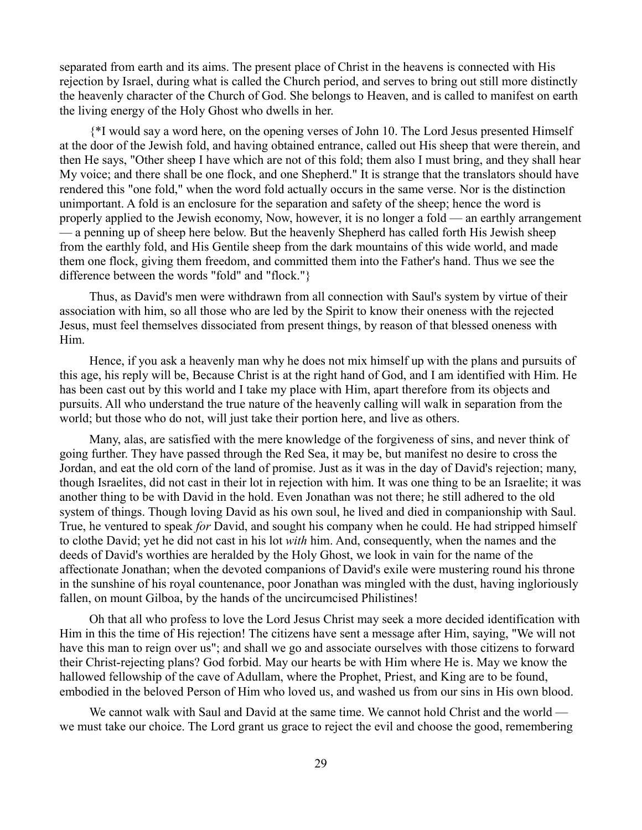separated from earth and its aims. The present place of Christ in the heavens is connected with His rejection by Israel, during what is called the Church period, and serves to bring out still more distinctly the heavenly character of the Church of God. She belongs to Heaven, and is called to manifest on earth the living energy of the Holy Ghost who dwells in her.

{\*I would say a word here, on the opening verses of John 10. The Lord Jesus presented Himself at the door of the Jewish fold, and having obtained entrance, called out His sheep that were therein, and then He says, "Other sheep I have which are not of this fold; them also I must bring, and they shall hear My voice; and there shall be one flock, and one Shepherd." It is strange that the translators should have rendered this "one fold," when the word fold actually occurs in the same verse. Nor is the distinction unimportant. A fold is an enclosure for the separation and safety of the sheep; hence the word is properly applied to the Jewish economy, Now, however, it is no longer a fold — an earthly arrangement — a penning up of sheep here below. But the heavenly Shepherd has called forth His Jewish sheep from the earthly fold, and His Gentile sheep from the dark mountains of this wide world, and made them one flock, giving them freedom, and committed them into the Father's hand. Thus we see the difference between the words "fold" and "flock."}

Thus, as David's men were withdrawn from all connection with Saul's system by virtue of their association with him, so all those who are led by the Spirit to know their oneness with the rejected Jesus, must feel themselves dissociated from present things, by reason of that blessed oneness with Him.

Hence, if you ask a heavenly man why he does not mix himself up with the plans and pursuits of this age, his reply will be, Because Christ is at the right hand of God, and I am identified with Him. He has been cast out by this world and I take my place with Him, apart therefore from its objects and pursuits. All who understand the true nature of the heavenly calling will walk in separation from the world; but those who do not, will just take their portion here, and live as others.

Many, alas, are satisfied with the mere knowledge of the forgiveness of sins, and never think of going further. They have passed through the Red Sea, it may be, but manifest no desire to cross the Jordan, and eat the old corn of the land of promise. Just as it was in the day of David's rejection; many, though Israelites, did not cast in their lot in rejection with him. It was one thing to be an Israelite; it was another thing to be with David in the hold. Even Jonathan was not there; he still adhered to the old system of things. Though loving David as his own soul, he lived and died in companionship with Saul. True, he ventured to speak *for* David, and sought his company when he could. He had stripped himself to clothe David; yet he did not cast in his lot *with* him. And, consequently, when the names and the deeds of David's worthies are heralded by the Holy Ghost, we look in vain for the name of the affectionate Jonathan; when the devoted companions of David's exile were mustering round his throne in the sunshine of his royal countenance, poor Jonathan was mingled with the dust, having ingloriously fallen, on mount Gilboa, by the hands of the uncircumcised Philistines!

Oh that all who profess to love the Lord Jesus Christ may seek a more decided identification with Him in this the time of His rejection! The citizens have sent a message after Him, saying, "We will not have this man to reign over us"; and shall we go and associate ourselves with those citizens to forward their Christ-rejecting plans? God forbid. May our hearts be with Him where He is. May we know the hallowed fellowship of the cave of Adullam, where the Prophet, Priest, and King are to be found, embodied in the beloved Person of Him who loved us, and washed us from our sins in His own blood.

We cannot walk with Saul and David at the same time. We cannot hold Christ and the world we must take our choice. The Lord grant us grace to reject the evil and choose the good, remembering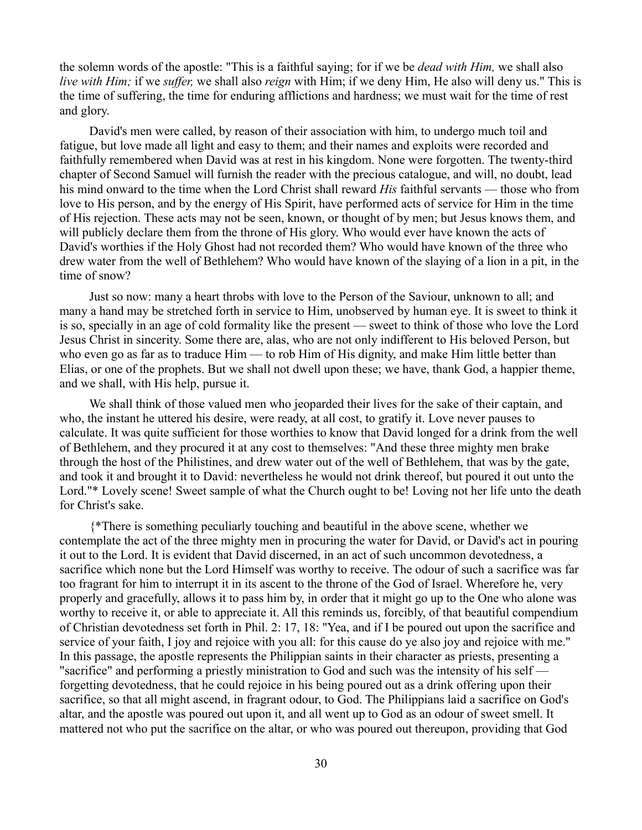the solemn words of the apostle: "This is a faithful saying; for if we be *dead with Him,* we shall also *live with Him;* if we *suffer,* we shall also *reign* with Him; if we deny Him, He also will deny us." This is the time of suffering, the time for enduring afflictions and hardness; we must wait for the time of rest and glory.

David's men were called, by reason of their association with him, to undergo much toil and fatigue, but love made all light and easy to them; and their names and exploits were recorded and faithfully remembered when David was at rest in his kingdom. None were forgotten. The twenty-third chapter of Second Samuel will furnish the reader with the precious catalogue, and will, no doubt, lead his mind onward to the time when the Lord Christ shall reward *His* faithful servants — those who from love to His person, and by the energy of His Spirit, have performed acts of service for Him in the time of His rejection. These acts may not be seen, known, or thought of by men; but Jesus knows them, and will publicly declare them from the throne of His glory. Who would ever have known the acts of David's worthies if the Holy Ghost had not recorded them? Who would have known of the three who drew water from the well of Bethlehem? Who would have known of the slaying of a lion in a pit, in the time of snow?

Just so now: many a heart throbs with love to the Person of the Saviour, unknown to all; and many a hand may be stretched forth in service to Him, unobserved by human eye. It is sweet to think it is so, specially in an age of cold formality like the present — sweet to think of those who love the Lord Jesus Christ in sincerity. Some there are, alas, who are not only indifferent to His beloved Person, but who even go as far as to traduce Him — to rob Him of His dignity, and make Him little better than Elias, or one of the prophets. But we shall not dwell upon these; we have, thank God, a happier theme, and we shall, with His help, pursue it.

We shall think of those valued men who jeoparded their lives for the sake of their captain, and who, the instant he uttered his desire, were ready, at all cost, to gratify it. Love never pauses to calculate. It was quite sufficient for those worthies to know that David longed for a drink from the well of Bethlehem, and they procured it at any cost to themselves: "And these three mighty men brake through the host of the Philistines, and drew water out of the well of Bethlehem, that was by the gate, and took it and brought it to David: nevertheless he would not drink thereof, but poured it out unto the Lord."\* Lovely scene! Sweet sample of what the Church ought to be! Loving not her life unto the death for Christ's sake.

{\*There is something peculiarly touching and beautiful in the above scene, whether we contemplate the act of the three mighty men in procuring the water for David, or David's act in pouring it out to the Lord. It is evident that David discerned, in an act of such uncommon devotedness, a sacrifice which none but the Lord Himself was worthy to receive. The odour of such a sacrifice was far too fragrant for him to interrupt it in its ascent to the throne of the God of Israel. Wherefore he, very properly and gracefully, allows it to pass him by, in order that it might go up to the One who alone was worthy to receive it, or able to appreciate it. All this reminds us, forcibly, of that beautiful compendium of Christian devotedness set forth in Phil. 2: 17, 18: "Yea, and if I be poured out upon the sacrifice and service of your faith, I joy and rejoice with you all: for this cause do ye also joy and rejoice with me." In this passage, the apostle represents the Philippian saints in their character as priests, presenting a "sacrifice" and performing a priestly ministration to God and such was the intensity of his self forgetting devotedness, that he could rejoice in his being poured out as a drink offering upon their sacrifice, so that all might ascend, in fragrant odour, to God. The Philippians laid a sacrifice on God's altar, and the apostle was poured out upon it, and all went up to God as an odour of sweet smell. It mattered not who put the sacrifice on the altar, or who was poured out thereupon, providing that God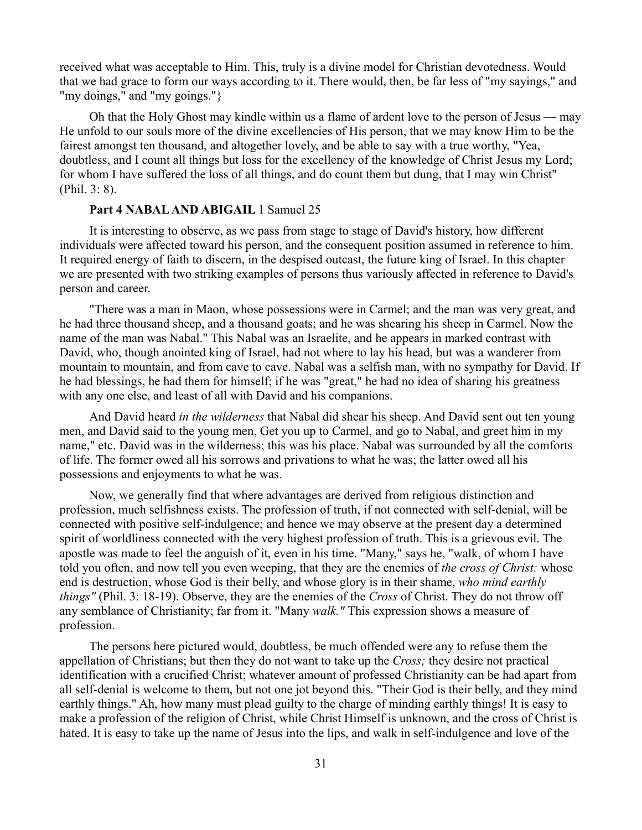received what was acceptable to Him. This, truly is a divine model for Christian devotedness. Would that we had grace to form our ways according to it. There would, then, be far less of "my sayings," and "my doings," and "my goings."}

Oh that the Holy Ghost may kindle within us a flame of ardent love to the person of Jesus — may He unfold to our souls more of the divine excellencies of His person, that we may know Him to be the fairest amongst ten thousand, and altogether lovely, and be able to say with a true worthy, "Yea, doubtless, and I count all things but loss for the excellency of the knowledge of Christ Jesus my Lord; for whom I have suffered the loss of all things, and do count them but dung, that I may win Christ" (Phil. 3: 8).

### Part 4 NABAL AND ABIGAIL 1 Samuel 25

It is interesting to observe, as we pass from stage to stage of David's history, how different individuals were affected toward his person, and the consequent position assumed in reference to him. It required energy of faith to discern, in the despised outcast, the future king of Israel. In this chapter we are presented with two striking examples of persons thus variously affected in reference to David's person and career.

"There was a man in Maon, whose possessions were in Carmel; and the man was very great, and he had three thousand sheep, and a thousand goats; and he was shearing his sheep in Carmel. Now the name of the man was Nabal." This Nabal was an Israelite, and he appears in marked contrast with David, who, though anointed king of Israel, had not where to lay his head, but was a wanderer from mountain to mountain, and from cave to cave. Nabal was a selfish man, with no sympathy for David. If he had blessings, he had them for himself; if he was "great," he had no idea of sharing his greatness with any one else, and least of all with David and his companions.

And David heard *in the wilderness* that Nabal did shear his sheep. And David sent out ten young men, and David said to the young men, Get you up to Carmel, and go to Nabal, and greet him in my name," etc. David was in the wilderness; this was his place. Nabal was surrounded by all the comforts of life. The former owed all his sorrows and privations to what he was; the latter owed all his possessions and enjoyments to what he was.

Now, we generally find that where advantages are derived from religious distinction and profession, much selfishness exists. The profession of truth, if not connected with self-denial, will be connected with positive self-indulgence; and hence we may observe at the present day a determined spirit of worldliness connected with the very highest profession of truth. This is a grievous evil. The apostle was made to feel the anguish of it, even in his time. "Many," says he, "walk, of whom I have told you often, and now tell you even weeping, that they are the enemies of *the cross of Christ:* whose end is destruction, whose God is their belly, and whose glory is in their shame, *who mind earthly things"* (Phil. 3: 18-19). Observe, they are the enemies of the *Cross* of Christ. They do not throw off any semblance of Christianity; far from it. "Many *walk."* This expression shows a measure of profession.

The persons here pictured would, doubtless, be much offended were any to refuse them the appellation of Christians; but then they do not want to take up the *Cross;* they desire not practical identification with a crucified Christ; whatever amount of professed Christianity can be had apart from all self-denial is welcome to them, but not one jot beyond this. "Their God is their belly, and they mind earthly things." Ah, how many must plead guilty to the charge of minding earthly things! It is easy to make a profession of the religion of Christ, while Christ Himself is unknown, and the cross of Christ is hated. It is easy to take up the name of Jesus into the lips, and walk in self-indulgence and love of the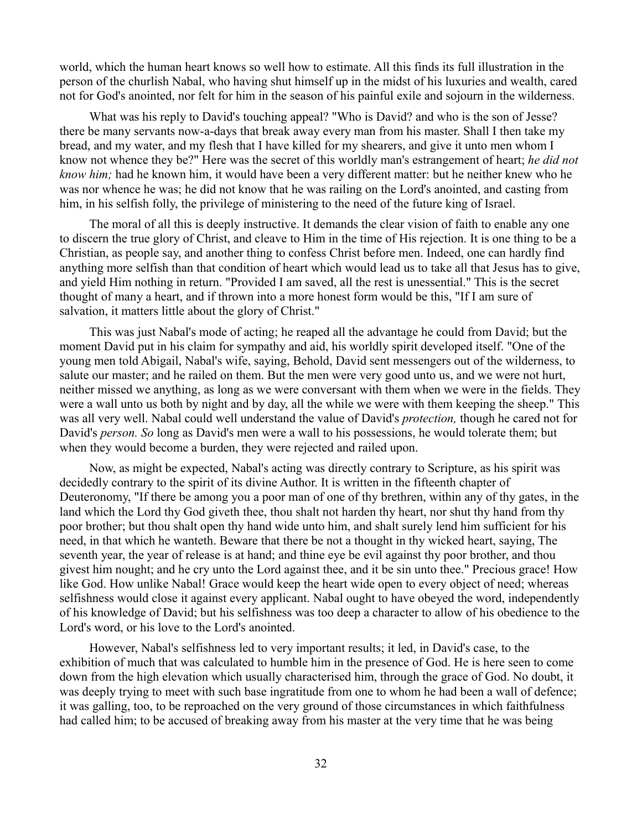world, which the human heart knows so well how to estimate. All this finds its full illustration in the person of the churlish Nabal, who having shut himself up in the midst of his luxuries and wealth, cared not for God's anointed, nor felt for him in the season of his painful exile and sojourn in the wilderness.

What was his reply to David's touching appeal? "Who is David? and who is the son of Jesse? there be many servants now-a-days that break away every man from his master. Shall I then take my bread, and my water, and my flesh that I have killed for my shearers, and give it unto men whom I know not whence they be?" Here was the secret of this worldly man's estrangement of heart; *he did not know him;* had he known him, it would have been a very different matter: but he neither knew who he was nor whence he was; he did not know that he was railing on the Lord's anointed, and casting from him, in his selfish folly, the privilege of ministering to the need of the future king of Israel.

The moral of all this is deeply instructive. It demands the clear vision of faith to enable any one to discern the true glory of Christ, and cleave to Him in the time of His rejection. It is one thing to be a Christian, as people say, and another thing to confess Christ before men. Indeed, one can hardly find anything more selfish than that condition of heart which would lead us to take all that Jesus has to give, and yield Him nothing in return. "Provided I am saved, all the rest is unessential." This is the secret thought of many a heart, and if thrown into a more honest form would be this, "If I am sure of salvation, it matters little about the glory of Christ."

This was just Nabal's mode of acting; he reaped all the advantage he could from David; but the moment David put in his claim for sympathy and aid, his worldly spirit developed itself. "One of the young men told Abigail, Nabal's wife, saying, Behold, David sent messengers out of the wilderness, to salute our master; and he railed on them. But the men were very good unto us, and we were not hurt, neither missed we anything, as long as we were conversant with them when we were in the fields. They were a wall unto us both by night and by day, all the while we were with them keeping the sheep." This was all very well. Nabal could well understand the value of David's *protection,* though he cared not for David's *person. So* long as David's men were a wall to his possessions, he would tolerate them; but when they would become a burden, they were rejected and railed upon.

Now, as might be expected, Nabal's acting was directly contrary to Scripture, as his spirit was decidedly contrary to the spirit of its divine Author. It is written in the fifteenth chapter of Deuteronomy, "If there be among you a poor man of one of thy brethren, within any of thy gates, in the land which the Lord thy God giveth thee, thou shalt not harden thy heart, nor shut thy hand from thy poor brother; but thou shalt open thy hand wide unto him, and shalt surely lend him sufficient for his need, in that which he wanteth. Beware that there be not a thought in thy wicked heart, saying, The seventh year, the year of release is at hand; and thine eye be evil against thy poor brother, and thou givest him nought; and he cry unto the Lord against thee, and it be sin unto thee." Precious grace! How like God. How unlike Nabal! Grace would keep the heart wide open to every object of need; whereas selfishness would close it against every applicant. Nabal ought to have obeyed the word, independently of his knowledge of David; but his selfishness was too deep a character to allow of his obedience to the Lord's word, or his love to the Lord's anointed.

However, Nabal's selfishness led to very important results; it led, in David's case, to the exhibition of much that was calculated to humble him in the presence of God. He is here seen to come down from the high elevation which usually characterised him, through the grace of God. No doubt, it was deeply trying to meet with such base ingratitude from one to whom he had been a wall of defence; it was galling, too, to be reproached on the very ground of those circumstances in which faithfulness had called him; to be accused of breaking away from his master at the very time that he was being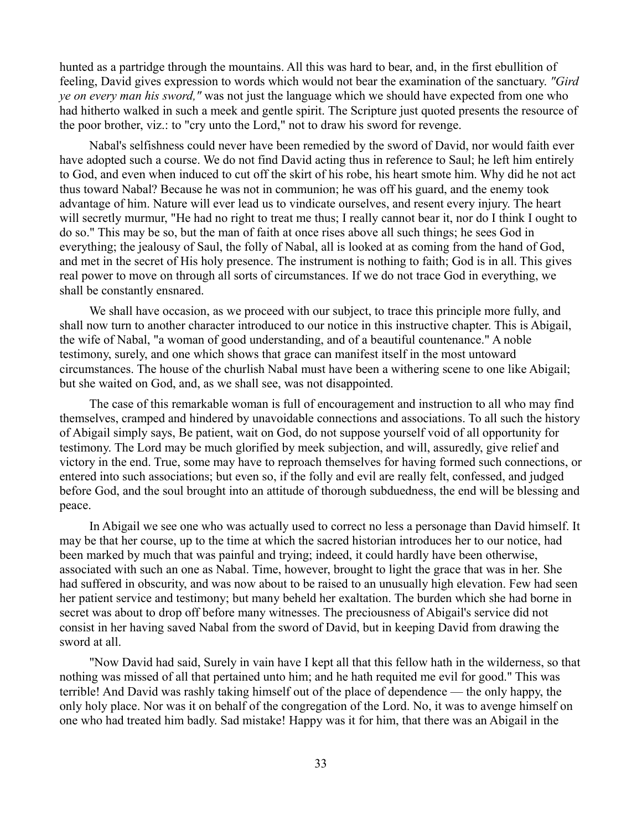hunted as a partridge through the mountains. All this was hard to bear, and, in the first ebullition of feeling, David gives expression to words which would not bear the examination of the sanctuary. *"Gird ye on every man his sword,"* was not just the language which we should have expected from one who had hitherto walked in such a meek and gentle spirit. The Scripture just quoted presents the resource of the poor brother, viz.: to "cry unto the Lord," not to draw his sword for revenge.

Nabal's selfishness could never have been remedied by the sword of David, nor would faith ever have adopted such a course. We do not find David acting thus in reference to Saul; he left him entirely to God, and even when induced to cut off the skirt of his robe, his heart smote him. Why did he not act thus toward Nabal? Because he was not in communion; he was off his guard, and the enemy took advantage of him. Nature will ever lead us to vindicate ourselves, and resent every injury. The heart will secretly murmur, "He had no right to treat me thus; I really cannot bear it, nor do I think I ought to do so." This may be so, but the man of faith at once rises above all such things; he sees God in everything; the jealousy of Saul, the folly of Nabal, all is looked at as coming from the hand of God, and met in the secret of His holy presence. The instrument is nothing to faith; God is in all. This gives real power to move on through all sorts of circumstances. If we do not trace God in everything, we shall be constantly ensnared.

We shall have occasion, as we proceed with our subject, to trace this principle more fully, and shall now turn to another character introduced to our notice in this instructive chapter. This is Abigail, the wife of Nabal, "a woman of good understanding, and of a beautiful countenance." A noble testimony, surely, and one which shows that grace can manifest itself in the most untoward circumstances. The house of the churlish Nabal must have been a withering scene to one like Abigail; but she waited on God, and, as we shall see, was not disappointed.

The case of this remarkable woman is full of encouragement and instruction to all who may find themselves, cramped and hindered by unavoidable connections and associations. To all such the history of Abigail simply says, Be patient, wait on God, do not suppose yourself void of all opportunity for testimony. The Lord may be much glorified by meek subjection, and will, assuredly, give relief and victory in the end. True, some may have to reproach themselves for having formed such connections, or entered into such associations; but even so, if the folly and evil are really felt, confessed, and judged before God, and the soul brought into an attitude of thorough subduedness, the end will be blessing and peace.

In Abigail we see one who was actually used to correct no less a personage than David himself. It may be that her course, up to the time at which the sacred historian introduces her to our notice, had been marked by much that was painful and trying; indeed, it could hardly have been otherwise, associated with such an one as Nabal. Time, however, brought to light the grace that was in her. She had suffered in obscurity, and was now about to be raised to an unusually high elevation. Few had seen her patient service and testimony; but many beheld her exaltation. The burden which she had borne in secret was about to drop off before many witnesses. The preciousness of Abigail's service did not consist in her having saved Nabal from the sword of David, but in keeping David from drawing the sword at all.

"Now David had said, Surely in vain have I kept all that this fellow hath in the wilderness, so that nothing was missed of all that pertained unto him; and he hath requited me evil for good." This was terrible! And David was rashly taking himself out of the place of dependence — the only happy, the only holy place. Nor was it on behalf of the congregation of the Lord. No, it was to avenge himself on one who had treated him badly. Sad mistake! Happy was it for him, that there was an Abigail in the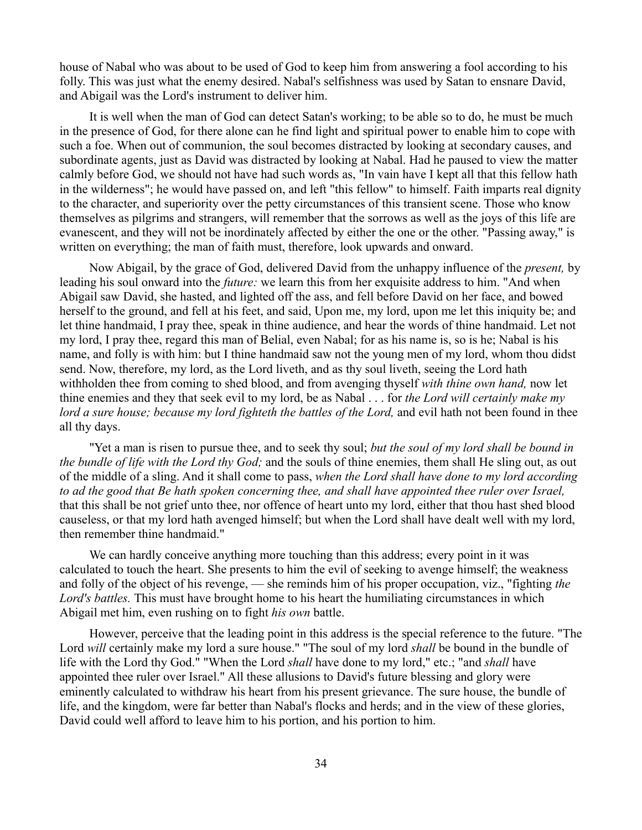house of Nabal who was about to be used of God to keep him from answering a fool according to his folly. This was just what the enemy desired. Nabal's selfishness was used by Satan to ensnare David, and Abigail was the Lord's instrument to deliver him.

It is well when the man of God can detect Satan's working; to be able so to do, he must be much in the presence of God, for there alone can he find light and spiritual power to enable him to cope with such a foe. When out of communion, the soul becomes distracted by looking at secondary causes, and subordinate agents, just as David was distracted by looking at Nabal. Had he paused to view the matter calmly before God, we should not have had such words as, "In vain have I kept all that this fellow hath in the wilderness"; he would have passed on, and left "this fellow" to himself. Faith imparts real dignity to the character, and superiority over the petty circumstances of this transient scene. Those who know themselves as pilgrims and strangers, will remember that the sorrows as well as the joys of this life are evanescent, and they will not be inordinately affected by either the one or the other. "Passing away," is written on everything; the man of faith must, therefore, look upwards and onward.

Now Abigail, by the grace of God, delivered David from the unhappy influence of the *present,* by leading his soul onward into the *future:* we learn this from her exquisite address to him. "And when Abigail saw David, she hasted, and lighted off the ass, and fell before David on her face, and bowed herself to the ground, and fell at his feet, and said, Upon me, my lord, upon me let this iniquity be; and let thine handmaid, I pray thee, speak in thine audience, and hear the words of thine handmaid. Let not my lord, I pray thee, regard this man of Belial, even Nabal; for as his name is, so is he; Nabal is his name, and folly is with him: but I thine handmaid saw not the young men of my lord, whom thou didst send. Now, therefore, my lord, as the Lord liveth, and as thy soul liveth, seeing the Lord hath withholden thee from coming to shed blood, and from avenging thyself *with thine own hand,* now let thine enemies and they that seek evil to my lord, be as Nabal . . . for *the Lord will certainly make my lord a sure house; because my lord fighteth the battles of the Lord, and evil hath not been found in thee* all thy days.

"Yet a man is risen to pursue thee, and to seek thy soul; *but the soul of my lord shall be bound in the bundle of life with the Lord thy God;* and the souls of thine enemies, them shall He sling out, as out of the middle of a sling. And it shall come to pass, *when the Lord shall have done to my lord according to ad the good that Be hath spoken concerning thee, and shall have appointed thee ruler over Israel,* that this shall be not grief unto thee, nor offence of heart unto my lord, either that thou hast shed blood causeless, or that my lord hath avenged himself; but when the Lord shall have dealt well with my lord, then remember thine handmaid."

We can hardly conceive anything more touching than this address; every point in it was calculated to touch the heart. She presents to him the evil of seeking to avenge himself; the weakness and folly of the object of his revenge, — she reminds him of his proper occupation, viz., "fighting *the Lord's battles.* This must have brought home to his heart the humiliating circumstances in which Abigail met him, even rushing on to fight *his own* battle.

However, perceive that the leading point in this address is the special reference to the future. "The Lord *will* certainly make my lord a sure house." "The soul of my lord *shall* be bound in the bundle of life with the Lord thy God." "When the Lord *shall* have done to my lord," etc.; "and *shall* have appointed thee ruler over Israel." All these allusions to David's future blessing and glory were eminently calculated to withdraw his heart from his present grievance. The sure house, the bundle of life, and the kingdom, were far better than Nabal's flocks and herds; and in the view of these glories, David could well afford to leave him to his portion, and his portion to him.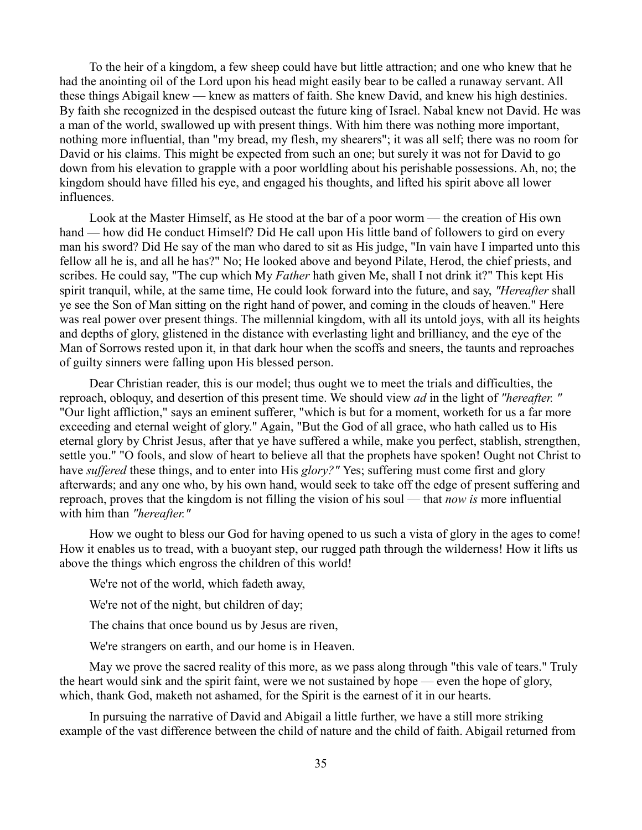To the heir of a kingdom, a few sheep could have but little attraction; and one who knew that he had the anointing oil of the Lord upon his head might easily bear to be called a runaway servant. All these things Abigail knew — knew as matters of faith. She knew David, and knew his high destinies. By faith she recognized in the despised outcast the future king of Israel. Nabal knew not David. He was a man of the world, swallowed up with present things. With him there was nothing more important, nothing more influential, than "my bread, my flesh, my shearers"; it was all self; there was no room for David or his claims. This might be expected from such an one; but surely it was not for David to go down from his elevation to grapple with a poor worldling about his perishable possessions. Ah, no; the kingdom should have filled his eye, and engaged his thoughts, and lifted his spirit above all lower influences.

Look at the Master Himself, as He stood at the bar of a poor worm — the creation of His own hand — how did He conduct Himself? Did He call upon His little band of followers to gird on every man his sword? Did He say of the man who dared to sit as His judge, "In vain have I imparted unto this fellow all he is, and all he has?" No; He looked above and beyond Pilate, Herod, the chief priests, and scribes. He could say, "The cup which My *Father* hath given Me, shall I not drink it?" This kept His spirit tranquil, while, at the same time, He could look forward into the future, and say, *"Hereafter* shall ye see the Son of Man sitting on the right hand of power, and coming in the clouds of heaven." Here was real power over present things. The millennial kingdom, with all its untold joys, with all its heights and depths of glory, glistened in the distance with everlasting light and brilliancy, and the eye of the Man of Sorrows rested upon it, in that dark hour when the scoffs and sneers, the taunts and reproaches of guilty sinners were falling upon His blessed person.

Dear Christian reader, this is our model; thus ought we to meet the trials and difficulties, the reproach, obloquy, and desertion of this present time. We should view *ad* in the light of *"hereafter. "* "Our light affliction," says an eminent sufferer, "which is but for a moment, worketh for us a far more exceeding and eternal weight of glory." Again, "But the God of all grace, who hath called us to His eternal glory by Christ Jesus, after that ye have suffered a while, make you perfect, stablish, strengthen, settle you." "O fools, and slow of heart to believe all that the prophets have spoken! Ought not Christ to have *suffered* these things, and to enter into His *glory?"* Yes; suffering must come first and glory afterwards; and any one who, by his own hand, would seek to take off the edge of present suffering and reproach, proves that the kingdom is not filling the vision of his soul — that *now is* more influential with him than *"hereafter."*

How we ought to bless our God for having opened to us such a vista of glory in the ages to come! How it enables us to tread, with a buoyant step, our rugged path through the wilderness! How it lifts us above the things which engross the children of this world!

We're not of the world, which fadeth away.

We're not of the night, but children of day;

The chains that once bound us by Jesus are riven,

We're strangers on earth, and our home is in Heaven.

May we prove the sacred reality of this more, as we pass along through "this vale of tears." Truly the heart would sink and the spirit faint, were we not sustained by hope — even the hope of glory, which, thank God, maketh not ashamed, for the Spirit is the earnest of it in our hearts.

In pursuing the narrative of David and Abigail a little further, we have a still more striking example of the vast difference between the child of nature and the child of faith. Abigail returned from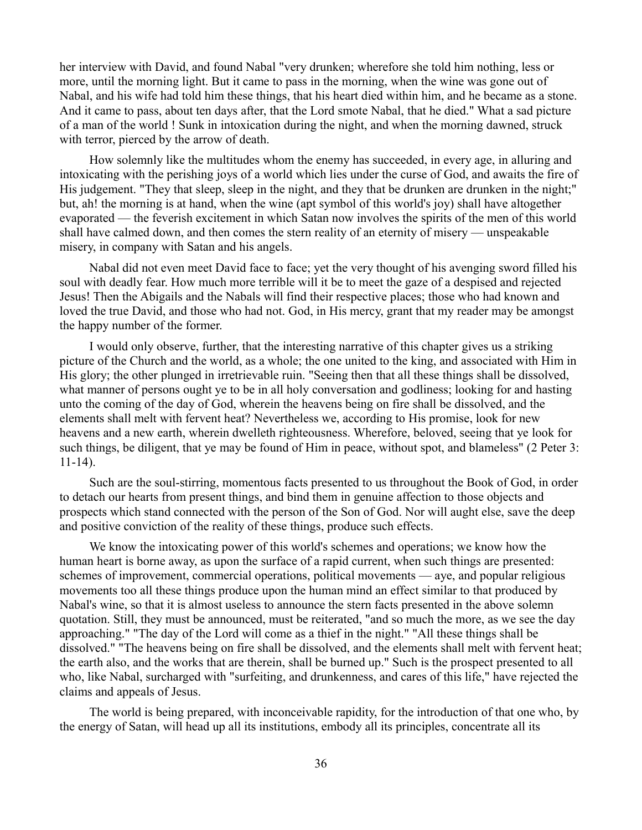her interview with David, and found Nabal "very drunken; wherefore she told him nothing, less or more, until the morning light. But it came to pass in the morning, when the wine was gone out of Nabal, and his wife had told him these things, that his heart died within him, and he became as a stone. And it came to pass, about ten days after, that the Lord smote Nabal, that he died." What a sad picture of a man of the world ! Sunk in intoxication during the night, and when the morning dawned, struck with terror, pierced by the arrow of death.

How solemnly like the multitudes whom the enemy has succeeded, in every age, in alluring and intoxicating with the perishing joys of a world which lies under the curse of God, and awaits the fire of His judgement. "They that sleep, sleep in the night, and they that be drunken are drunken in the night;" but, ah! the morning is at hand, when the wine (apt symbol of this world's joy) shall have altogether evaporated — the feverish excitement in which Satan now involves the spirits of the men of this world shall have calmed down, and then comes the stern reality of an eternity of misery — unspeakable misery, in company with Satan and his angels.

Nabal did not even meet David face to face; yet the very thought of his avenging sword filled his soul with deadly fear. How much more terrible will it be to meet the gaze of a despised and rejected Jesus! Then the Abigails and the Nabals will find their respective places; those who had known and loved the true David, and those who had not. God, in His mercy, grant that my reader may be amongst the happy number of the former.

I would only observe, further, that the interesting narrative of this chapter gives us a striking picture of the Church and the world, as a whole; the one united to the king, and associated with Him in His glory; the other plunged in irretrievable ruin. "Seeing then that all these things shall be dissolved, what manner of persons ought ye to be in all holy conversation and godliness; looking for and hasting unto the coming of the day of God, wherein the heavens being on fire shall be dissolved, and the elements shall melt with fervent heat? Nevertheless we, according to His promise, look for new heavens and a new earth, wherein dwelleth righteousness. Wherefore, beloved, seeing that ye look for such things, be diligent, that ye may be found of Him in peace, without spot, and blameless" (2 Peter 3: 11-14).

Such are the soul-stirring, momentous facts presented to us throughout the Book of God, in order to detach our hearts from present things, and bind them in genuine affection to those objects and prospects which stand connected with the person of the Son of God. Nor will aught else, save the deep and positive conviction of the reality of these things, produce such effects.

We know the intoxicating power of this world's schemes and operations; we know how the human heart is borne away, as upon the surface of a rapid current, when such things are presented: schemes of improvement, commercial operations, political movements — aye, and popular religious movements too all these things produce upon the human mind an effect similar to that produced by Nabal's wine, so that it is almost useless to announce the stern facts presented in the above solemn quotation. Still, they must be announced, must be reiterated, "and so much the more, as we see the day approaching." "The day of the Lord will come as a thief in the night." "All these things shall be dissolved." "The heavens being on fire shall be dissolved, and the elements shall melt with fervent heat; the earth also, and the works that are therein, shall be burned up." Such is the prospect presented to all who, like Nabal, surcharged with "surfeiting, and drunkenness, and cares of this life," have rejected the claims and appeals of Jesus.

The world is being prepared, with inconceivable rapidity, for the introduction of that one who, by the energy of Satan, will head up all its institutions, embody all its principles, concentrate all its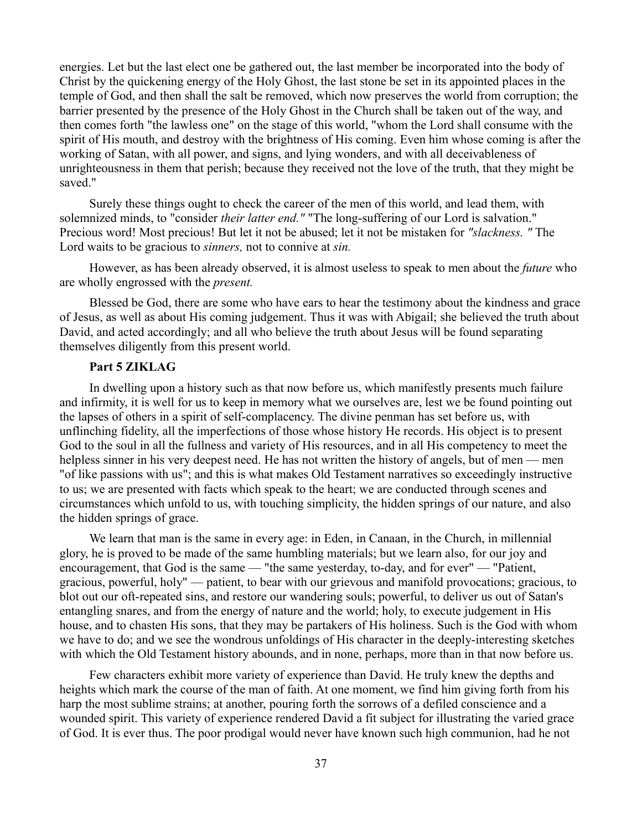energies. Let but the last elect one be gathered out, the last member be incorporated into the body of Christ by the quickening energy of the Holy Ghost, the last stone be set in its appointed places in the temple of God, and then shall the salt be removed, which now preserves the world from corruption; the barrier presented by the presence of the Holy Ghost in the Church shall be taken out of the way, and then comes forth "the lawless one" on the stage of this world, "whom the Lord shall consume with the spirit of His mouth, and destroy with the brightness of His coming. Even him whose coming is after the working of Satan, with all power, and signs, and lying wonders, and with all deceivableness of unrighteousness in them that perish; because they received not the love of the truth, that they might be saved."

Surely these things ought to check the career of the men of this world, and lead them, with solemnized minds, to "consider *their latter end."* "The long-suffering of our Lord is salvation." Precious word! Most precious! But let it not be abused; let it not be mistaken for *"slackness. "* The Lord waits to be gracious to *sinners,* not to connive at *sin.*

However, as has been already observed, it is almost useless to speak to men about the *future* who are wholly engrossed with the *present.*

Blessed be God, there are some who have ears to hear the testimony about the kindness and grace of Jesus, as well as about His coming judgement. Thus it was with Abigail; she believed the truth about David, and acted accordingly; and all who believe the truth about Jesus will be found separating themselves diligently from this present world.

# **Part 5 ZIKLAG**

In dwelling upon a history such as that now before us, which manifestly presents much failure and infirmity, it is well for us to keep in memory what we ourselves are, lest we be found pointing out the lapses of others in a spirit of self-complacency. The divine penman has set before us, with unflinching fidelity, all the imperfections of those whose history He records. His object is to present God to the soul in all the fullness and variety of His resources, and in all His competency to meet the helpless sinner in his very deepest need. He has not written the history of angels, but of men — men "of like passions with us"; and this is what makes Old Testament narratives so exceedingly instructive to us; we are presented with facts which speak to the heart; we are conducted through scenes and circumstances which unfold to us, with touching simplicity, the hidden springs of our nature, and also the hidden springs of grace.

We learn that man is the same in every age: in Eden, in Canaan, in the Church, in millennial glory, he is proved to be made of the same humbling materials; but we learn also, for our joy and encouragement, that God is the same — "the same yesterday, to-day, and for ever" — "Patient, gracious, powerful, holy" — patient, to bear with our grievous and manifold provocations; gracious, to blot out our oft-repeated sins, and restore our wandering souls; powerful, to deliver us out of Satan's entangling snares, and from the energy of nature and the world; holy, to execute judgement in His house, and to chasten His sons, that they may be partakers of His holiness. Such is the God with whom we have to do; and we see the wondrous unfoldings of His character in the deeply-interesting sketches with which the Old Testament history abounds, and in none, perhaps, more than in that now before us.

Few characters exhibit more variety of experience than David. He truly knew the depths and heights which mark the course of the man of faith. At one moment, we find him giving forth from his harp the most sublime strains; at another, pouring forth the sorrows of a defiled conscience and a wounded spirit. This variety of experience rendered David a fit subject for illustrating the varied grace of God. It is ever thus. The poor prodigal would never have known such high communion, had he not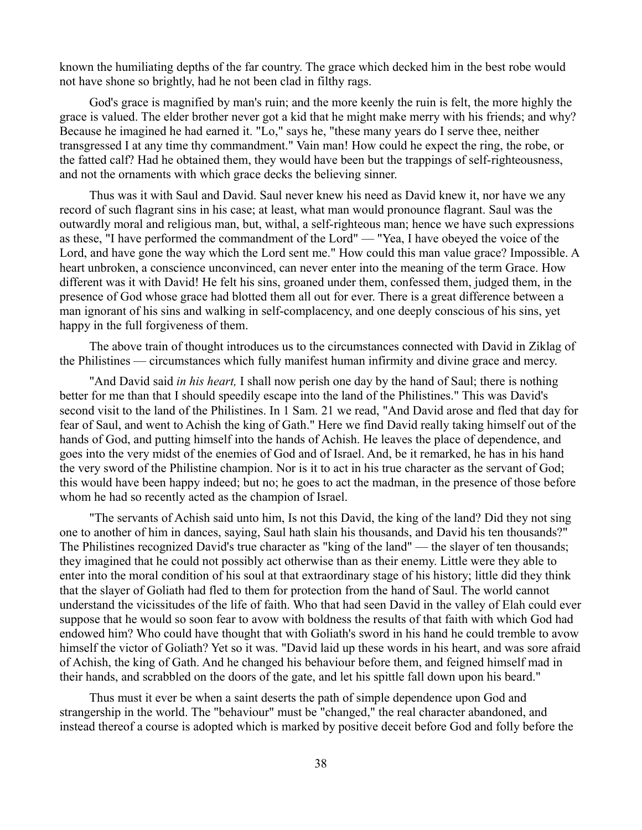known the humiliating depths of the far country. The grace which decked him in the best robe would not have shone so brightly, had he not been clad in filthy rags.

God's grace is magnified by man's ruin; and the more keenly the ruin is felt, the more highly the grace is valued. The elder brother never got a kid that he might make merry with his friends; and why? Because he imagined he had earned it. "Lo," says he, "these many years do I serve thee, neither transgressed I at any time thy commandment." Vain man! How could he expect the ring, the robe, or the fatted calf? Had he obtained them, they would have been but the trappings of self-righteousness, and not the ornaments with which grace decks the believing sinner.

Thus was it with Saul and David. Saul never knew his need as David knew it, nor have we any record of such flagrant sins in his case; at least, what man would pronounce flagrant. Saul was the outwardly moral and religious man, but, withal, a self-righteous man; hence we have such expressions as these, "I have performed the commandment of the Lord" — "Yea, I have obeyed the voice of the Lord, and have gone the way which the Lord sent me." How could this man value grace? Impossible. A heart unbroken, a conscience unconvinced, can never enter into the meaning of the term Grace. How different was it with David! He felt his sins, groaned under them, confessed them, judged them, in the presence of God whose grace had blotted them all out for ever. There is a great difference between a man ignorant of his sins and walking in self-complacency, and one deeply conscious of his sins, yet happy in the full forgiveness of them.

The above train of thought introduces us to the circumstances connected with David in Ziklag of the Philistines — circumstances which fully manifest human infirmity and divine grace and mercy.

"And David said *in his heart,* I shall now perish one day by the hand of Saul; there is nothing better for me than that I should speedily escape into the land of the Philistines." This was David's second visit to the land of the Philistines. In 1 Sam. 21 we read, "And David arose and fled that day for fear of Saul, and went to Achish the king of Gath." Here we find David really taking himself out of the hands of God, and putting himself into the hands of Achish. He leaves the place of dependence, and goes into the very midst of the enemies of God and of Israel. And, be it remarked, he has in his hand the very sword of the Philistine champion. Nor is it to act in his true character as the servant of God; this would have been happy indeed; but no; he goes to act the madman, in the presence of those before whom he had so recently acted as the champion of Israel.

"The servants of Achish said unto him, Is not this David, the king of the land? Did they not sing one to another of him in dances, saying, Saul hath slain his thousands, and David his ten thousands?" The Philistines recognized David's true character as "king of the land" — the slayer of ten thousands; they imagined that he could not possibly act otherwise than as their enemy. Little were they able to enter into the moral condition of his soul at that extraordinary stage of his history; little did they think that the slayer of Goliath had fled to them for protection from the hand of Saul. The world cannot understand the vicissitudes of the life of faith. Who that had seen David in the valley of Elah could ever suppose that he would so soon fear to avow with boldness the results of that faith with which God had endowed him? Who could have thought that with Goliath's sword in his hand he could tremble to avow himself the victor of Goliath? Yet so it was. "David laid up these words in his heart, and was sore afraid of Achish, the king of Gath. And he changed his behaviour before them, and feigned himself mad in their hands, and scrabbled on the doors of the gate, and let his spittle fall down upon his beard."

Thus must it ever be when a saint deserts the path of simple dependence upon God and strangership in the world. The "behaviour" must be "changed," the real character abandoned, and instead thereof a course is adopted which is marked by positive deceit before God and folly before the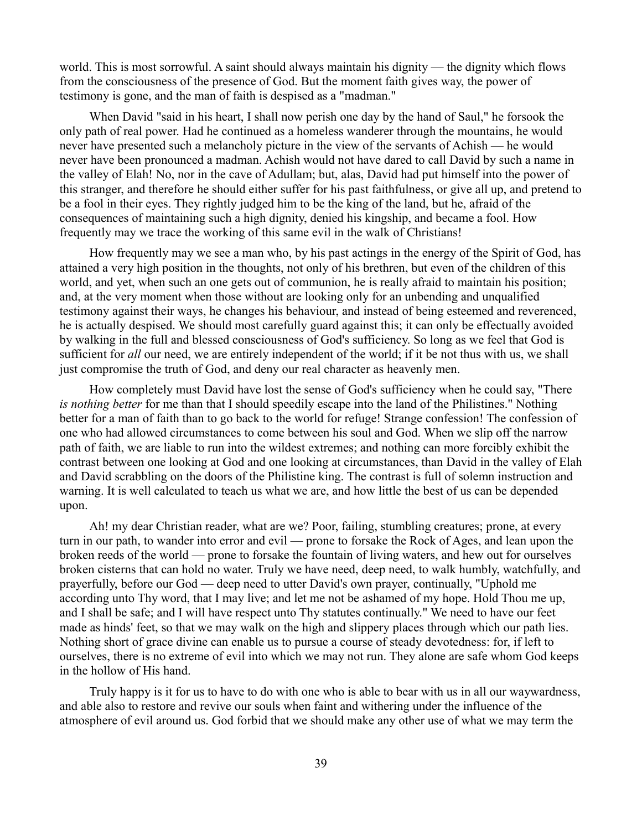world. This is most sorrowful. A saint should always maintain his dignity — the dignity which flows from the consciousness of the presence of God. But the moment faith gives way, the power of testimony is gone, and the man of faith is despised as a "madman."

When David "said in his heart, I shall now perish one day by the hand of Saul," he forsook the only path of real power. Had he continued as a homeless wanderer through the mountains, he would never have presented such a melancholy picture in the view of the servants of Achish — he would never have been pronounced a madman. Achish would not have dared to call David by such a name in the valley of Elah! No, nor in the cave of Adullam; but, alas, David had put himself into the power of this stranger, and therefore he should either suffer for his past faithfulness, or give all up, and pretend to be a fool in their eyes. They rightly judged him to be the king of the land, but he, afraid of the consequences of maintaining such a high dignity, denied his kingship, and became a fool. How frequently may we trace the working of this same evil in the walk of Christians!

How frequently may we see a man who, by his past actings in the energy of the Spirit of God, has attained a very high position in the thoughts, not only of his brethren, but even of the children of this world, and yet, when such an one gets out of communion, he is really afraid to maintain his position; and, at the very moment when those without are looking only for an unbending and unqualified testimony against their ways, he changes his behaviour, and instead of being esteemed and reverenced, he is actually despised. We should most carefully guard against this; it can only be effectually avoided by walking in the full and blessed consciousness of God's sufficiency. So long as we feel that God is sufficient for *all* our need, we are entirely independent of the world; if it be not thus with us, we shall just compromise the truth of God, and deny our real character as heavenly men.

How completely must David have lost the sense of God's sufficiency when he could say, "There *is nothing better* for me than that I should speedily escape into the land of the Philistines." Nothing better for a man of faith than to go back to the world for refuge! Strange confession! The confession of one who had allowed circumstances to come between his soul and God. When we slip off the narrow path of faith, we are liable to run into the wildest extremes; and nothing can more forcibly exhibit the contrast between one looking at God and one looking at circumstances, than David in the valley of Elah and David scrabbling on the doors of the Philistine king. The contrast is full of solemn instruction and warning. It is well calculated to teach us what we are, and how little the best of us can be depended upon.

Ah! my dear Christian reader, what are we? Poor, failing, stumbling creatures; prone, at every turn in our path, to wander into error and evil — prone to forsake the Rock of Ages, and lean upon the broken reeds of the world — prone to forsake the fountain of living waters, and hew out for ourselves broken cisterns that can hold no water. Truly we have need, deep need, to walk humbly, watchfully, and prayerfully, before our God — deep need to utter David's own prayer, continually, "Uphold me according unto Thy word, that I may live; and let me not be ashamed of my hope. Hold Thou me up, and I shall be safe; and I will have respect unto Thy statutes continually." We need to have our feet made as hinds' feet, so that we may walk on the high and slippery places through which our path lies. Nothing short of grace divine can enable us to pursue a course of steady devotedness: for, if left to ourselves, there is no extreme of evil into which we may not run. They alone are safe whom God keeps in the hollow of His hand.

Truly happy is it for us to have to do with one who is able to bear with us in all our waywardness, and able also to restore and revive our souls when faint and withering under the influence of the atmosphere of evil around us. God forbid that we should make any other use of what we may term the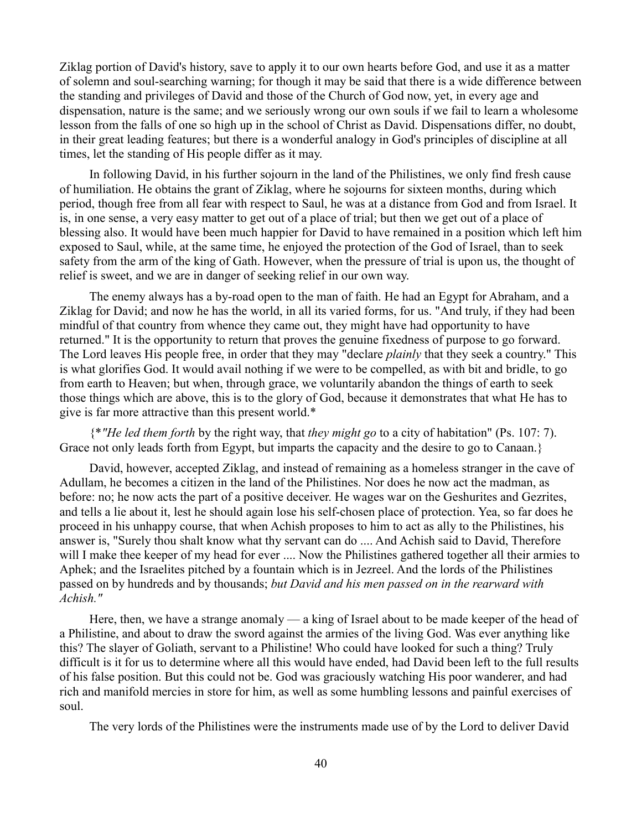Ziklag portion of David's history, save to apply it to our own hearts before God, and use it as a matter of solemn and soul-searching warning; for though it may be said that there is a wide difference between the standing and privileges of David and those of the Church of God now, yet, in every age and dispensation, nature is the same; and we seriously wrong our own souls if we fail to learn a wholesome lesson from the falls of one so high up in the school of Christ as David. Dispensations differ, no doubt, in their great leading features; but there is a wonderful analogy in God's principles of discipline at all times, let the standing of His people differ as it may.

In following David, in his further sojourn in the land of the Philistines, we only find fresh cause of humiliation. He obtains the grant of Ziklag, where he sojourns for sixteen months, during which period, though free from all fear with respect to Saul, he was at a distance from God and from Israel. It is, in one sense, a very easy matter to get out of a place of trial; but then we get out of a place of blessing also. It would have been much happier for David to have remained in a position which left him exposed to Saul, while, at the same time, he enjoyed the protection of the God of Israel, than to seek safety from the arm of the king of Gath. However, when the pressure of trial is upon us, the thought of relief is sweet, and we are in danger of seeking relief in our own way.

The enemy always has a by-road open to the man of faith. He had an Egypt for Abraham, and a Ziklag for David; and now he has the world, in all its varied forms, for us. "And truly, if they had been mindful of that country from whence they came out, they might have had opportunity to have returned." It is the opportunity to return that proves the genuine fixedness of purpose to go forward. The Lord leaves His people free, in order that they may "declare *plainly* that they seek a country." This is what glorifies God. It would avail nothing if we were to be compelled, as with bit and bridle, to go from earth to Heaven; but when, through grace, we voluntarily abandon the things of earth to seek those things which are above, this is to the glory of God, because it demonstrates that what He has to give is far more attractive than this present world.\*

{\**"He led them forth* by the right way, that *they might go* to a city of habitation" (Ps. 107: 7). Grace not only leads forth from Egypt, but imparts the capacity and the desire to go to Canaan.}

David, however, accepted Ziklag, and instead of remaining as a homeless stranger in the cave of Adullam, he becomes a citizen in the land of the Philistines. Nor does he now act the madman, as before: no; he now acts the part of a positive deceiver. He wages war on the Geshurites and Gezrites, and tells a lie about it, lest he should again lose his self-chosen place of protection. Yea, so far does he proceed in his unhappy course, that when Achish proposes to him to act as ally to the Philistines, his answer is, "Surely thou shalt know what thy servant can do .... And Achish said to David, Therefore will I make thee keeper of my head for ever .... Now the Philistines gathered together all their armies to Aphek; and the Israelites pitched by a fountain which is in Jezreel. And the lords of the Philistines passed on by hundreds and by thousands; *but David and his men passed on in the rearward with Achish."* 

Here, then, we have a strange anomaly — a king of Israel about to be made keeper of the head of a Philistine, and about to draw the sword against the armies of the living God. Was ever anything like this? The slayer of Goliath, servant to a Philistine! Who could have looked for such a thing? Truly difficult is it for us to determine where all this would have ended, had David been left to the full results of his false position. But this could not be. God was graciously watching His poor wanderer, and had rich and manifold mercies in store for him, as well as some humbling lessons and painful exercises of soul.

The very lords of the Philistines were the instruments made use of by the Lord to deliver David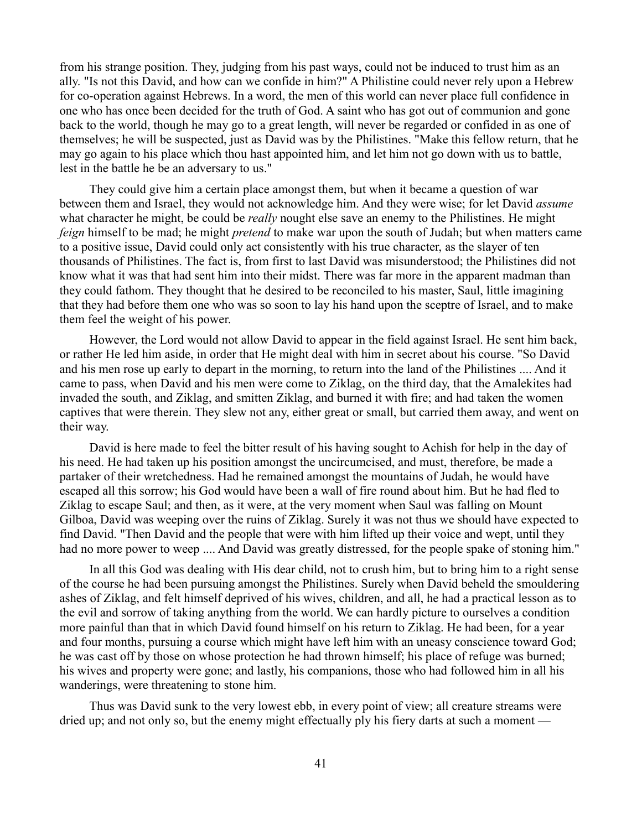from his strange position. They, judging from his past ways, could not be induced to trust him as an ally. "Is not this David, and how can we confide in him?" A Philistine could never rely upon a Hebrew for co-operation against Hebrews. In a word, the men of this world can never place full confidence in one who has once been decided for the truth of God. A saint who has got out of communion and gone back to the world, though he may go to a great length, will never be regarded or confided in as one of themselves; he will be suspected, just as David was by the Philistines. "Make this fellow return, that he may go again to his place which thou hast appointed him, and let him not go down with us to battle, lest in the battle he be an adversary to us."

They could give him a certain place amongst them, but when it became a question of war between them and Israel, they would not acknowledge him. And they were wise; for let David *assume* what character he might, be could be *really* nought else save an enemy to the Philistines. He might *feign* himself to be mad; he might *pretend* to make war upon the south of Judah; but when matters came to a positive issue, David could only act consistently with his true character, as the slayer of ten thousands of Philistines. The fact is, from first to last David was misunderstood; the Philistines did not know what it was that had sent him into their midst. There was far more in the apparent madman than they could fathom. They thought that he desired to be reconciled to his master, Saul, little imagining that they had before them one who was so soon to lay his hand upon the sceptre of Israel, and to make them feel the weight of his power.

However, the Lord would not allow David to appear in the field against Israel. He sent him back, or rather He led him aside, in order that He might deal with him in secret about his course. "So David and his men rose up early to depart in the morning, to return into the land of the Philistines .... And it came to pass, when David and his men were come to Ziklag, on the third day, that the Amalekites had invaded the south, and Ziklag, and smitten Ziklag, and burned it with fire; and had taken the women captives that were therein. They slew not any, either great or small, but carried them away, and went on their way.

David is here made to feel the bitter result of his having sought to Achish for help in the day of his need. He had taken up his position amongst the uncircumcised, and must, therefore, be made a partaker of their wretchedness. Had he remained amongst the mountains of Judah, he would have escaped all this sorrow; his God would have been a wall of fire round about him. But he had fled to Ziklag to escape Saul; and then, as it were, at the very moment when Saul was falling on Mount Gilboa, David was weeping over the ruins of Ziklag. Surely it was not thus we should have expected to find David. "Then David and the people that were with him lifted up their voice and wept, until they had no more power to weep .... And David was greatly distressed, for the people spake of stoning him."

In all this God was dealing with His dear child, not to crush him, but to bring him to a right sense of the course he had been pursuing amongst the Philistines. Surely when David beheld the smouldering ashes of Ziklag, and felt himself deprived of his wives, children, and all, he had a practical lesson as to the evil and sorrow of taking anything from the world. We can hardly picture to ourselves a condition more painful than that in which David found himself on his return to Ziklag. He had been, for a year and four months, pursuing a course which might have left him with an uneasy conscience toward God; he was cast off by those on whose protection he had thrown himself; his place of refuge was burned; his wives and property were gone; and lastly, his companions, those who had followed him in all his wanderings, were threatening to stone him.

Thus was David sunk to the very lowest ebb, in every point of view; all creature streams were dried up; and not only so, but the enemy might effectually ply his fiery darts at such a moment —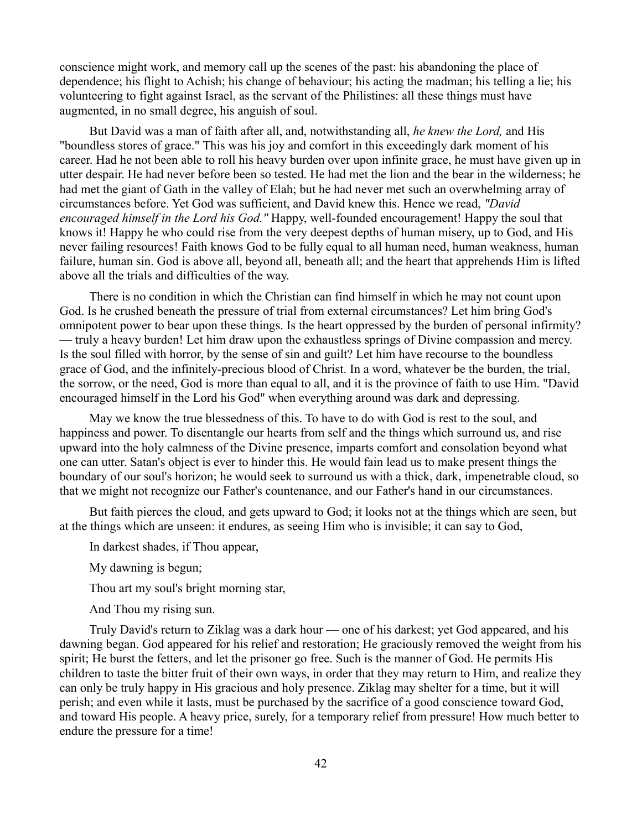conscience might work, and memory call up the scenes of the past: his abandoning the place of dependence; his flight to Achish; his change of behaviour; his acting the madman; his telling a lie; his volunteering to fight against Israel, as the servant of the Philistines: all these things must have augmented, in no small degree, his anguish of soul.

But David was a man of faith after all, and, notwithstanding all, *he knew the Lord,* and His "boundless stores of grace." This was his joy and comfort in this exceedingly dark moment of his career. Had he not been able to roll his heavy burden over upon infinite grace, he must have given up in utter despair. He had never before been so tested. He had met the lion and the bear in the wilderness; he had met the giant of Gath in the valley of Elah; but he had never met such an overwhelming array of circumstances before. Yet God was sufficient, and David knew this. Hence we read, *"David encouraged himself in the Lord his God."* Happy, well-founded encouragement! Happy the soul that knows it! Happy he who could rise from the very deepest depths of human misery, up to God, and His never failing resources! Faith knows God to be fully equal to all human need, human weakness, human failure, human sin. God is above all, beyond all, beneath all; and the heart that apprehends Him is lifted above all the trials and difficulties of the way.

There is no condition in which the Christian can find himself in which he may not count upon God. Is he crushed beneath the pressure of trial from external circumstances? Let him bring God's omnipotent power to bear upon these things. Is the heart oppressed by the burden of personal infirmity? — truly a heavy burden! Let him draw upon the exhaustless springs of Divine compassion and mercy. Is the soul filled with horror, by the sense of sin and guilt? Let him have recourse to the boundless grace of God, and the infinitely-precious blood of Christ. In a word, whatever be the burden, the trial, the sorrow, or the need, God is more than equal to all, and it is the province of faith to use Him. "David encouraged himself in the Lord his God" when everything around was dark and depressing.

May we know the true blessedness of this. To have to do with God is rest to the soul, and happiness and power. To disentangle our hearts from self and the things which surround us, and rise upward into the holy calmness of the Divine presence, imparts comfort and consolation beyond what one can utter. Satan's object is ever to hinder this. He would fain lead us to make present things the boundary of our soul's horizon; he would seek to surround us with a thick, dark, impenetrable cloud, so that we might not recognize our Father's countenance, and our Father's hand in our circumstances.

But faith pierces the cloud, and gets upward to God; it looks not at the things which are seen, but at the things which are unseen: it endures, as seeing Him who is invisible; it can say to God,

In darkest shades, if Thou appear,

My dawning is begun;

Thou art my soul's bright morning star,

And Thou my rising sun.

Truly David's return to Ziklag was a dark hour — one of his darkest; yet God appeared, and his dawning began. God appeared for his relief and restoration; He graciously removed the weight from his spirit; He burst the fetters, and let the prisoner go free. Such is the manner of God. He permits His children to taste the bitter fruit of their own ways, in order that they may return to Him, and realize they can only be truly happy in His gracious and holy presence. Ziklag may shelter for a time, but it will perish; and even while it lasts, must be purchased by the sacrifice of a good conscience toward God, and toward His people. A heavy price, surely, for a temporary relief from pressure! How much better to endure the pressure for a time!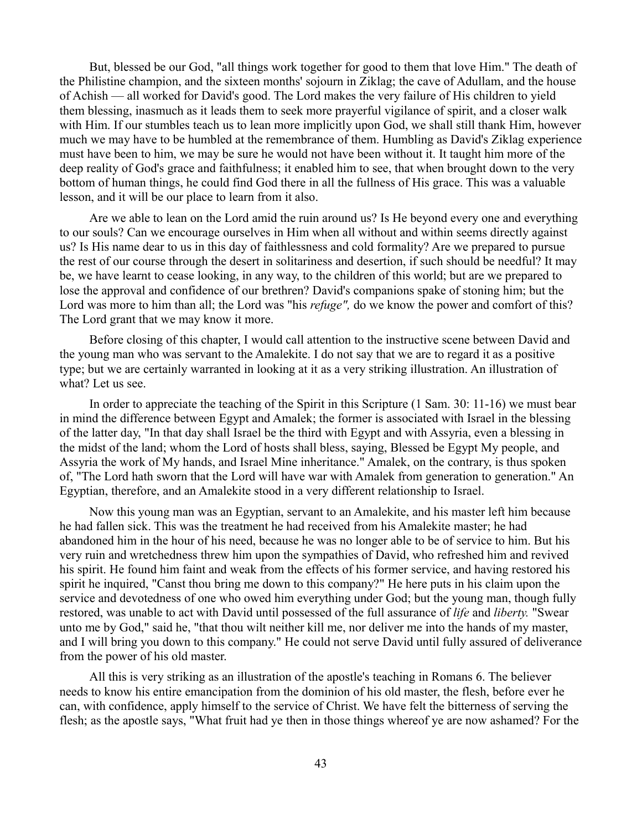But, blessed be our God, "all things work together for good to them that love Him." The death of the Philistine champion, and the sixteen months' sojourn in Ziklag; the cave of Adullam, and the house of Achish — all worked for David's good. The Lord makes the very failure of His children to yield them blessing, inasmuch as it leads them to seek more prayerful vigilance of spirit, and a closer walk with Him. If our stumbles teach us to lean more implicitly upon God, we shall still thank Him, however much we may have to be humbled at the remembrance of them. Humbling as David's Ziklag experience must have been to him, we may be sure he would not have been without it. It taught him more of the deep reality of God's grace and faithfulness; it enabled him to see, that when brought down to the very bottom of human things, he could find God there in all the fullness of His grace. This was a valuable lesson, and it will be our place to learn from it also.

Are we able to lean on the Lord amid the ruin around us? Is He beyond every one and everything to our souls? Can we encourage ourselves in Him when all without and within seems directly against us? Is His name dear to us in this day of faithlessness and cold formality? Are we prepared to pursue the rest of our course through the desert in solitariness and desertion, if such should be needful? It may be, we have learnt to cease looking, in any way, to the children of this world; but are we prepared to lose the approval and confidence of our brethren? David's companions spake of stoning him; but the Lord was more to him than all; the Lord was "his *refuge"*, do we know the power and comfort of this? The Lord grant that we may know it more.

Before closing of this chapter, I would call attention to the instructive scene between David and the young man who was servant to the Amalekite. I do not say that we are to regard it as a positive type; but we are certainly warranted in looking at it as a very striking illustration. An illustration of what? Let us see.

In order to appreciate the teaching of the Spirit in this Scripture (1 Sam. 30: 11-16) we must bear in mind the difference between Egypt and Amalek; the former is associated with Israel in the blessing of the latter day, "In that day shall Israel be the third with Egypt and with Assyria, even a blessing in the midst of the land; whom the Lord of hosts shall bless, saying, Blessed be Egypt My people, and Assyria the work of My hands, and Israel Mine inheritance." Amalek, on the contrary, is thus spoken of, "The Lord hath sworn that the Lord will have war with Amalek from generation to generation." An Egyptian, therefore, and an Amalekite stood in a very different relationship to Israel.

Now this young man was an Egyptian, servant to an Amalekite, and his master left him because he had fallen sick. This was the treatment he had received from his Amalekite master; he had abandoned him in the hour of his need, because he was no longer able to be of service to him. But his very ruin and wretchedness threw him upon the sympathies of David, who refreshed him and revived his spirit. He found him faint and weak from the effects of his former service, and having restored his spirit he inquired, "Canst thou bring me down to this company?" He here puts in his claim upon the service and devotedness of one who owed him everything under God; but the young man, though fully restored, was unable to act with David until possessed of the full assurance of *life* and *liberty.* "Swear unto me by God," said he, "that thou wilt neither kill me, nor deliver me into the hands of my master, and I will bring you down to this company." He could not serve David until fully assured of deliverance from the power of his old master.

All this is very striking as an illustration of the apostle's teaching in Romans 6. The believer needs to know his entire emancipation from the dominion of his old master, the flesh, before ever he can, with confidence, apply himself to the service of Christ. We have felt the bitterness of serving the flesh; as the apostle says, "What fruit had ye then in those things whereof ye are now ashamed? For the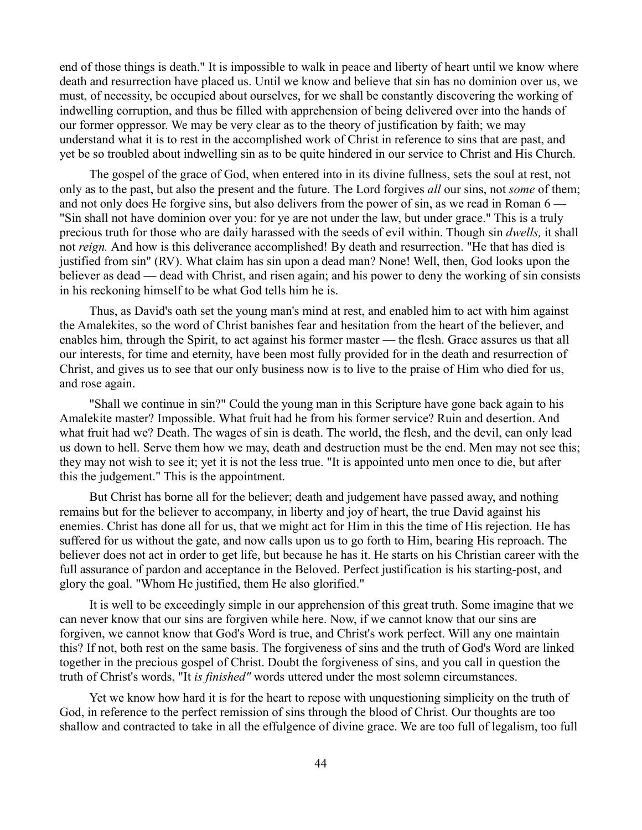end of those things is death." It is impossible to walk in peace and liberty of heart until we know where death and resurrection have placed us. Until we know and believe that sin has no dominion over us, we must, of necessity, be occupied about ourselves, for we shall be constantly discovering the working of indwelling corruption, and thus be filled with apprehension of being delivered over into the hands of our former oppressor. We may be very clear as to the theory of justification by faith; we may understand what it is to rest in the accomplished work of Christ in reference to sins that are past, and yet be so troubled about indwelling sin as to be quite hindered in our service to Christ and His Church.

The gospel of the grace of God, when entered into in its divine fullness, sets the soul at rest, not only as to the past, but also the present and the future. The Lord forgives *all* our sins, not *some* of them; and not only does He forgive sins, but also delivers from the power of sin, as we read in Roman 6 — "Sin shall not have dominion over you: for ye are not under the law, but under grace." This is a truly precious truth for those who are daily harassed with the seeds of evil within. Though sin *dwells,* it shall not *reign.* And how is this deliverance accomplished! By death and resurrection. "He that has died is justified from sin" (RV). What claim has sin upon a dead man? None! Well, then, God looks upon the believer as dead — dead with Christ, and risen again; and his power to deny the working of sin consists in his reckoning himself to be what God tells him he is.

Thus, as David's oath set the young man's mind at rest, and enabled him to act with him against the Amalekites, so the word of Christ banishes fear and hesitation from the heart of the believer, and enables him, through the Spirit, to act against his former master — the flesh. Grace assures us that all our interests, for time and eternity, have been most fully provided for in the death and resurrection of Christ, and gives us to see that our only business now is to live to the praise of Him who died for us, and rose again.

"Shall we continue in sin?" Could the young man in this Scripture have gone back again to his Amalekite master? Impossible. What fruit had he from his former service? Ruin and desertion. And what fruit had we? Death. The wages of sin is death. The world, the flesh, and the devil, can only lead us down to hell. Serve them how we may, death and destruction must be the end. Men may not see this; they may not wish to see it; yet it is not the less true. "It is appointed unto men once to die, but after this the judgement." This is the appointment.

But Christ has borne all for the believer; death and judgement have passed away, and nothing remains but for the believer to accompany, in liberty and joy of heart, the true David against his enemies. Christ has done all for us, that we might act for Him in this the time of His rejection. He has suffered for us without the gate, and now calls upon us to go forth to Him, bearing His reproach. The believer does not act in order to get life, but because he has it. He starts on his Christian career with the full assurance of pardon and acceptance in the Beloved. Perfect justification is his starting-post, and glory the goal. "Whom He justified, them He also glorified."

It is well to be exceedingly simple in our apprehension of this great truth. Some imagine that we can never know that our sins are forgiven while here. Now, if we cannot know that our sins are forgiven, we cannot know that God's Word is true, and Christ's work perfect. Will any one maintain this? If not, both rest on the same basis. The forgiveness of sins and the truth of God's Word are linked together in the precious gospel of Christ. Doubt the forgiveness of sins, and you call in question the truth of Christ's words, "It *is finished"* words uttered under the most solemn circumstances.

Yet we know how hard it is for the heart to repose with unquestioning simplicity on the truth of God, in reference to the perfect remission of sins through the blood of Christ. Our thoughts are too shallow and contracted to take in all the effulgence of divine grace. We are too full of legalism, too full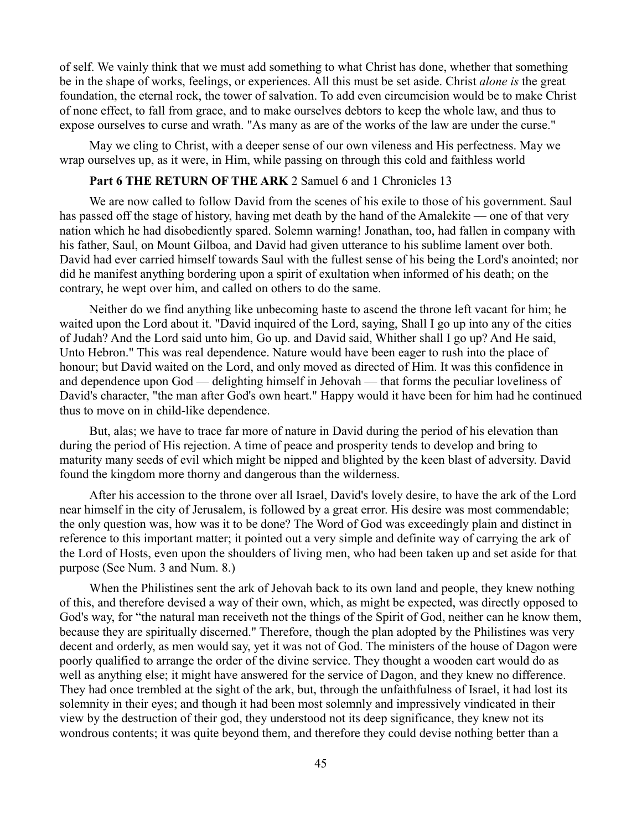of self. We vainly think that we must add something to what Christ has done, whether that something be in the shape of works, feelings, or experiences. All this must be set aside. Christ *alone is* the great foundation, the eternal rock, the tower of salvation. To add even circumcision would be to make Christ of none effect, to fall from grace, and to make ourselves debtors to keep the whole law, and thus to expose ourselves to curse and wrath. "As many as are of the works of the law are under the curse."

May we cling to Christ, with a deeper sense of our own vileness and His perfectness. May we wrap ourselves up, as it were, in Him, while passing on through this cold and faithless world

## **Part 6 THE RETURN OF THE ARK** 2 Samuel 6 and 1 Chronicles 13

We are now called to follow David from the scenes of his exile to those of his government. Saul has passed off the stage of history, having met death by the hand of the Amalekite — one of that very nation which he had disobediently spared. Solemn warning! Jonathan, too, had fallen in company with his father, Saul, on Mount Gilboa, and David had given utterance to his sublime lament over both. David had ever carried himself towards Saul with the fullest sense of his being the Lord's anointed; nor did he manifest anything bordering upon a spirit of exultation when informed of his death; on the contrary, he wept over him, and called on others to do the same.

Neither do we find anything like unbecoming haste to ascend the throne left vacant for him; he waited upon the Lord about it. "David inquired of the Lord, saying, Shall I go up into any of the cities of Judah? And the Lord said unto him, Go up. and David said, Whither shall I go up? And He said, Unto Hebron." This was real dependence. Nature would have been eager to rush into the place of honour; but David waited on the Lord, and only moved as directed of Him. It was this confidence in and dependence upon God — delighting himself in Jehovah — that forms the peculiar loveliness of David's character, "the man after God's own heart." Happy would it have been for him had he continued thus to move on in child-like dependence.

But, alas; we have to trace far more of nature in David during the period of his elevation than during the period of His rejection. A time of peace and prosperity tends to develop and bring to maturity many seeds of evil which might be nipped and blighted by the keen blast of adversity. David found the kingdom more thorny and dangerous than the wilderness.

After his accession to the throne over all Israel, David's lovely desire, to have the ark of the Lord near himself in the city of Jerusalem, is followed by a great error. His desire was most commendable; the only question was, how was it to be done? The Word of God was exceedingly plain and distinct in reference to this important matter; it pointed out a very simple and definite way of carrying the ark of the Lord of Hosts, even upon the shoulders of living men, who had been taken up and set aside for that purpose (See Num. 3 and Num. 8.)

When the Philistines sent the ark of Jehovah back to its own land and people, they knew nothing of this, and therefore devised a way of their own, which, as might be expected, was directly opposed to God's way, for "the natural man receiveth not the things of the Spirit of God, neither can he know them, because they are spiritually discerned." Therefore, though the plan adopted by the Philistines was very decent and orderly, as men would say, yet it was not of God. The ministers of the house of Dagon were poorly qualified to arrange the order of the divine service. They thought a wooden cart would do as well as anything else; it might have answered for the service of Dagon, and they knew no difference. They had once trembled at the sight of the ark, but, through the unfaithfulness of Israel, it had lost its solemnity in their eyes; and though it had been most solemnly and impressively vindicated in their view by the destruction of their god, they understood not its deep significance, they knew not its wondrous contents; it was quite beyond them, and therefore they could devise nothing better than a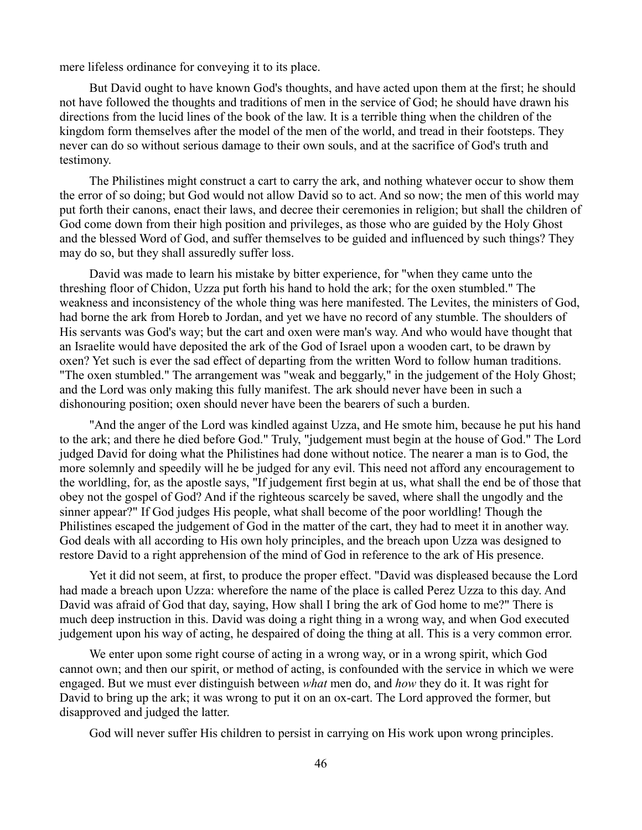mere lifeless ordinance for conveying it to its place.

But David ought to have known God's thoughts, and have acted upon them at the first; he should not have followed the thoughts and traditions of men in the service of God; he should have drawn his directions from the lucid lines of the book of the law. It is a terrible thing when the children of the kingdom form themselves after the model of the men of the world, and tread in their footsteps. They never can do so without serious damage to their own souls, and at the sacrifice of God's truth and testimony.

The Philistines might construct a cart to carry the ark, and nothing whatever occur to show them the error of so doing; but God would not allow David so to act. And so now; the men of this world may put forth their canons, enact their laws, and decree their ceremonies in religion; but shall the children of God come down from their high position and privileges, as those who are guided by the Holy Ghost and the blessed Word of God, and suffer themselves to be guided and influenced by such things? They may do so, but they shall assuredly suffer loss.

David was made to learn his mistake by bitter experience, for "when they came unto the threshing floor of Chidon, Uzza put forth his hand to hold the ark; for the oxen stumbled." The weakness and inconsistency of the whole thing was here manifested. The Levites, the ministers of God, had borne the ark from Horeb to Jordan, and yet we have no record of any stumble. The shoulders of His servants was God's way; but the cart and oxen were man's way. And who would have thought that an Israelite would have deposited the ark of the God of Israel upon a wooden cart, to be drawn by oxen? Yet such is ever the sad effect of departing from the written Word to follow human traditions. "The oxen stumbled." The arrangement was "weak and beggarly," in the judgement of the Holy Ghost; and the Lord was only making this fully manifest. The ark should never have been in such a dishonouring position; oxen should never have been the bearers of such a burden.

"And the anger of the Lord was kindled against Uzza, and He smote him, because he put his hand to the ark; and there he died before God." Truly, "judgement must begin at the house of God." The Lord judged David for doing what the Philistines had done without notice. The nearer a man is to God, the more solemnly and speedily will he be judged for any evil. This need not afford any encouragement to the worldling, for, as the apostle says, "If judgement first begin at us, what shall the end be of those that obey not the gospel of God? And if the righteous scarcely be saved, where shall the ungodly and the sinner appear?" If God judges His people, what shall become of the poor worldling! Though the Philistines escaped the judgement of God in the matter of the cart, they had to meet it in another way. God deals with all according to His own holy principles, and the breach upon Uzza was designed to restore David to a right apprehension of the mind of God in reference to the ark of His presence.

Yet it did not seem, at first, to produce the proper effect. "David was displeased because the Lord had made a breach upon Uzza: wherefore the name of the place is called Perez Uzza to this day. And David was afraid of God that day, saying, How shall I bring the ark of God home to me?" There is much deep instruction in this. David was doing a right thing in a wrong way, and when God executed judgement upon his way of acting, he despaired of doing the thing at all. This is a very common error.

We enter upon some right course of acting in a wrong way, or in a wrong spirit, which God cannot own; and then our spirit, or method of acting, is confounded with the service in which we were engaged. But we must ever distinguish between *what* men do, and *how* they do it. It was right for David to bring up the ark; it was wrong to put it on an ox-cart. The Lord approved the former, but disapproved and judged the latter.

God will never suffer His children to persist in carrying on His work upon wrong principles.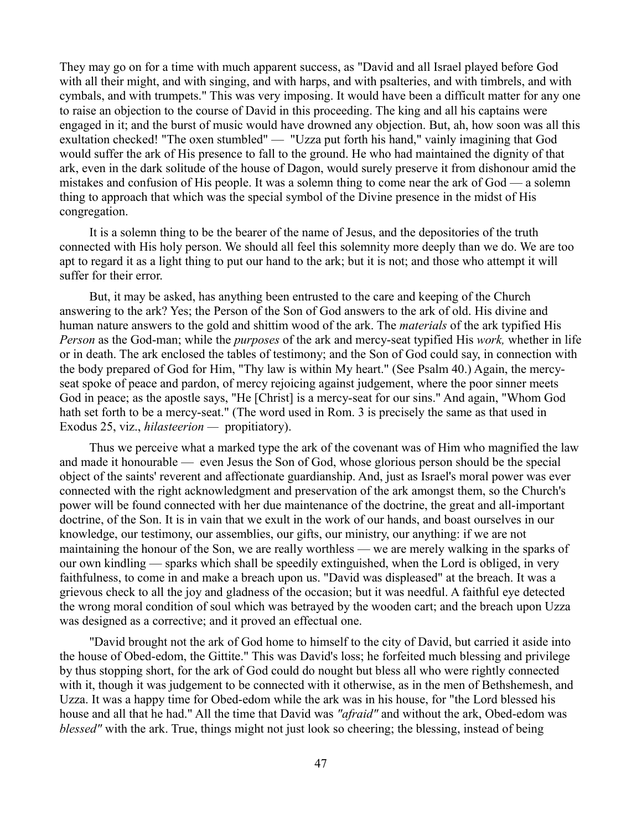They may go on for a time with much apparent success, as "David and all Israel played before God with all their might, and with singing, and with harps, and with psalteries, and with timbrels, and with cymbals, and with trumpets." This was very imposing. It would have been a difficult matter for any one to raise an objection to the course of David in this proceeding. The king and all his captains were engaged in it; and the burst of music would have drowned any objection. But, ah, how soon was all this exultation checked! "The oxen stumbled" — "Uzza put forth his hand," vainly imagining that God would suffer the ark of His presence to fall to the ground. He who had maintained the dignity of that ark, even in the dark solitude of the house of Dagon, would surely preserve it from dishonour amid the mistakes and confusion of His people. It was a solemn thing to come near the ark of God — a solemn thing to approach that which was the special symbol of the Divine presence in the midst of His congregation.

It is a solemn thing to be the bearer of the name of Jesus, and the depositories of the truth connected with His holy person. We should all feel this solemnity more deeply than we do. We are too apt to regard it as a light thing to put our hand to the ark; but it is not; and those who attempt it will suffer for their error.

But, it may be asked, has anything been entrusted to the care and keeping of the Church answering to the ark? Yes; the Person of the Son of God answers to the ark of old. His divine and human nature answers to the gold and shittim wood of the ark. The *materials* of the ark typified His *Person* as the God-man; while the *purposes* of the ark and mercy-seat typified His *work,* whether in life or in death. The ark enclosed the tables of testimony; and the Son of God could say, in connection with the body prepared of God for Him, "Thy law is within My heart." (See Psalm 40.) Again, the mercyseat spoke of peace and pardon, of mercy rejoicing against judgement, where the poor sinner meets God in peace; as the apostle says, "He [Christ] is a mercy-seat for our sins." And again, "Whom God hath set forth to be a mercy-seat." (The word used in Rom. 3 is precisely the same as that used in Exodus 25, viz., *hilasteerion —* propitiatory).

Thus we perceive what a marked type the ark of the covenant was of Him who magnified the law and made it honourable — even Jesus the Son of God, whose glorious person should be the special object of the saints' reverent and affectionate guardianship. And, just as Israel's moral power was ever connected with the right acknowledgment and preservation of the ark amongst them, so the Church's power will be found connected with her due maintenance of the doctrine, the great and all-important doctrine, of the Son. It is in vain that we exult in the work of our hands, and boast ourselves in our knowledge, our testimony, our assemblies, our gifts, our ministry, our anything: if we are not maintaining the honour of the Son, we are really worthless — we are merely walking in the sparks of our own kindling — sparks which shall be speedily extinguished, when the Lord is obliged, in very faithfulness, to come in and make a breach upon us. "David was displeased" at the breach. It was a grievous check to all the joy and gladness of the occasion; but it was needful. A faithful eye detected the wrong moral condition of soul which was betrayed by the wooden cart; and the breach upon Uzza was designed as a corrective; and it proved an effectual one.

"David brought not the ark of God home to himself to the city of David, but carried it aside into the house of Obed-edom, the Gittite." This was David's loss; he forfeited much blessing and privilege by thus stopping short, for the ark of God could do nought but bless all who were rightly connected with it, though it was judgement to be connected with it otherwise, as in the men of Bethshemesh, and Uzza. It was a happy time for Obed-edom while the ark was in his house, for "the Lord blessed his house and all that he had." All the time that David was *"afraid"* and without the ark, Obed-edom was *blessed"* with the ark. True, things might not just look so cheering; the blessing, instead of being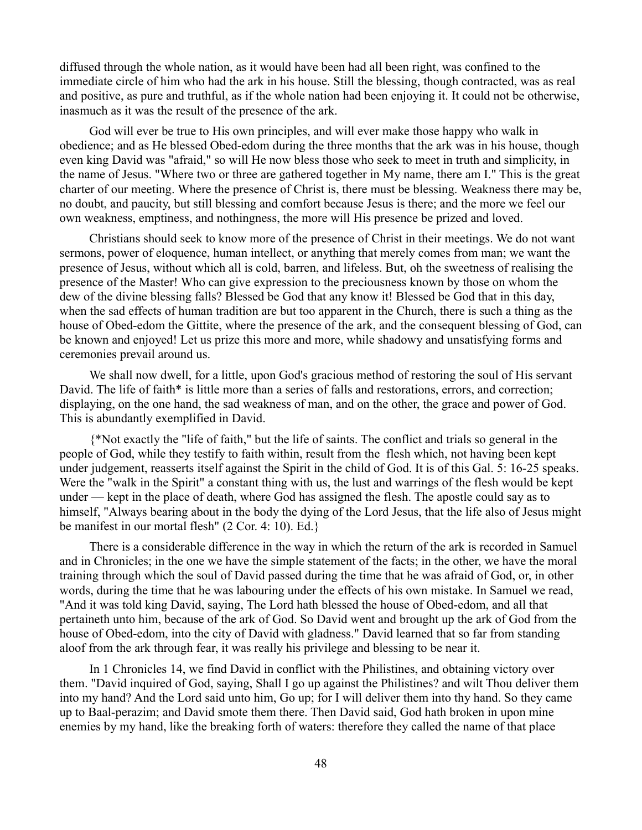diffused through the whole nation, as it would have been had all been right, was confined to the immediate circle of him who had the ark in his house. Still the blessing, though contracted, was as real and positive, as pure and truthful, as if the whole nation had been enjoying it. It could not be otherwise, inasmuch as it was the result of the presence of the ark.

God will ever be true to His own principles, and will ever make those happy who walk in obedience; and as He blessed Obed-edom during the three months that the ark was in his house, though even king David was "afraid," so will He now bless those who seek to meet in truth and simplicity, in the name of Jesus. "Where two or three are gathered together in My name, there am I." This is the great charter of our meeting. Where the presence of Christ is, there must be blessing. Weakness there may be, no doubt, and paucity, but still blessing and comfort because Jesus is there; and the more we feel our own weakness, emptiness, and nothingness, the more will His presence be prized and loved.

Christians should seek to know more of the presence of Christ in their meetings. We do not want sermons, power of eloquence, human intellect, or anything that merely comes from man; we want the presence of Jesus, without which all is cold, barren, and lifeless. But, oh the sweetness of realising the presence of the Master! Who can give expression to the preciousness known by those on whom the dew of the divine blessing falls? Blessed be God that any know it! Blessed be God that in this day, when the sad effects of human tradition are but too apparent in the Church, there is such a thing as the house of Obed-edom the Gittite, where the presence of the ark, and the consequent blessing of God, can be known and enjoyed! Let us prize this more and more, while shadowy and unsatisfying forms and ceremonies prevail around us.

We shall now dwell, for a little, upon God's gracious method of restoring the soul of His servant David. The life of faith\* is little more than a series of falls and restorations, errors, and correction; displaying, on the one hand, the sad weakness of man, and on the other, the grace and power of God. This is abundantly exemplified in David.

{\*Not exactly the "life of faith," but the life of saints. The conflict and trials so general in the people of God, while they testify to faith within, result from the flesh which, not having been kept under judgement, reasserts itself against the Spirit in the child of God. It is of this Gal. 5: 16-25 speaks. Were the "walk in the Spirit" a constant thing with us, the lust and warrings of the flesh would be kept under — kept in the place of death, where God has assigned the flesh. The apostle could say as to himself, "Always bearing about in the body the dying of the Lord Jesus, that the life also of Jesus might be manifest in our mortal flesh" (2 Cor. 4: 10). Ed.}

There is a considerable difference in the way in which the return of the ark is recorded in Samuel and in Chronicles; in the one we have the simple statement of the facts; in the other, we have the moral training through which the soul of David passed during the time that he was afraid of God, or, in other words, during the time that he was labouring under the effects of his own mistake. In Samuel we read, "And it was told king David, saying, The Lord hath blessed the house of Obed-edom, and all that pertaineth unto him, because of the ark of God. So David went and brought up the ark of God from the house of Obed-edom, into the city of David with gladness." David learned that so far from standing aloof from the ark through fear, it was really his privilege and blessing to be near it.

In 1 Chronicles 14, we find David in conflict with the Philistines, and obtaining victory over them. "David inquired of God, saying, Shall I go up against the Philistines? and wilt Thou deliver them into my hand? And the Lord said unto him, Go up; for I will deliver them into thy hand. So they came up to Baal-perazim; and David smote them there. Then David said, God hath broken in upon mine enemies by my hand, like the breaking forth of waters: therefore they called the name of that place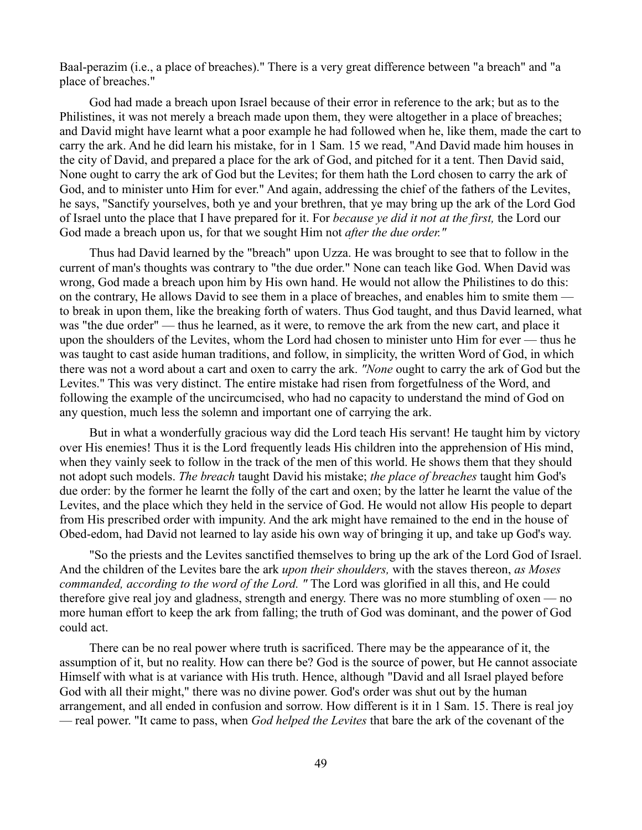Baal-perazim (i.e., a place of breaches)." There is a very great difference between "a breach" and "a place of breaches."

God had made a breach upon Israel because of their error in reference to the ark; but as to the Philistines, it was not merely a breach made upon them, they were altogether in a place of breaches; and David might have learnt what a poor example he had followed when he, like them, made the cart to carry the ark. And he did learn his mistake, for in 1 Sam. 15 we read, "And David made him houses in the city of David, and prepared a place for the ark of God, and pitched for it a tent. Then David said, None ought to carry the ark of God but the Levites; for them hath the Lord chosen to carry the ark of God, and to minister unto Him for ever." And again, addressing the chief of the fathers of the Levites, he says, "Sanctify yourselves, both ye and your brethren, that ye may bring up the ark of the Lord God of Israel unto the place that I have prepared for it. For *because ye did it not at the first,* the Lord our God made a breach upon us, for that we sought Him not *after the due order."*

Thus had David learned by the "breach" upon Uzza. He was brought to see that to follow in the current of man's thoughts was contrary to "the due order." None can teach like God. When David was wrong, God made a breach upon him by His own hand. He would not allow the Philistines to do this: on the contrary, He allows David to see them in a place of breaches, and enables him to smite them to break in upon them, like the breaking forth of waters. Thus God taught, and thus David learned, what was "the due order" — thus he learned, as it were, to remove the ark from the new cart, and place it upon the shoulders of the Levites, whom the Lord had chosen to minister unto Him for ever — thus he was taught to cast aside human traditions, and follow, in simplicity, the written Word of God, in which there was not a word about a cart and oxen to carry the ark. *"None* ought to carry the ark of God but the Levites." This was very distinct. The entire mistake had risen from forgetfulness of the Word, and following the example of the uncircumcised, who had no capacity to understand the mind of God on any question, much less the solemn and important one of carrying the ark.

But in what a wonderfully gracious way did the Lord teach His servant! He taught him by victory over His enemies! Thus it is the Lord frequently leads His children into the apprehension of His mind, when they vainly seek to follow in the track of the men of this world. He shows them that they should not adopt such models. *The breach* taught David his mistake; *the place of breaches* taught him God's due order: by the former he learnt the folly of the cart and oxen; by the latter he learnt the value of the Levites, and the place which they held in the service of God. He would not allow His people to depart from His prescribed order with impunity. And the ark might have remained to the end in the house of Obed-edom, had David not learned to lay aside his own way of bringing it up, and take up God's way.

"So the priests and the Levites sanctified themselves to bring up the ark of the Lord God of Israel. And the children of the Levites bare the ark *upon their shoulders,* with the staves thereon, *as Moses commanded, according to the word of the Lord. "* The Lord was glorified in all this, and He could therefore give real joy and gladness, strength and energy. There was no more stumbling of oxen — no more human effort to keep the ark from falling; the truth of God was dominant, and the power of God could act.

There can be no real power where truth is sacrificed. There may be the appearance of it, the assumption of it, but no reality. How can there be? God is the source of power, but He cannot associate Himself with what is at variance with His truth. Hence, although "David and all Israel played before God with all their might," there was no divine power. God's order was shut out by the human arrangement, and all ended in confusion and sorrow. How different is it in 1 Sam. 15. There is real joy — real power. "It came to pass, when *God helped the Levites* that bare the ark of the covenant of the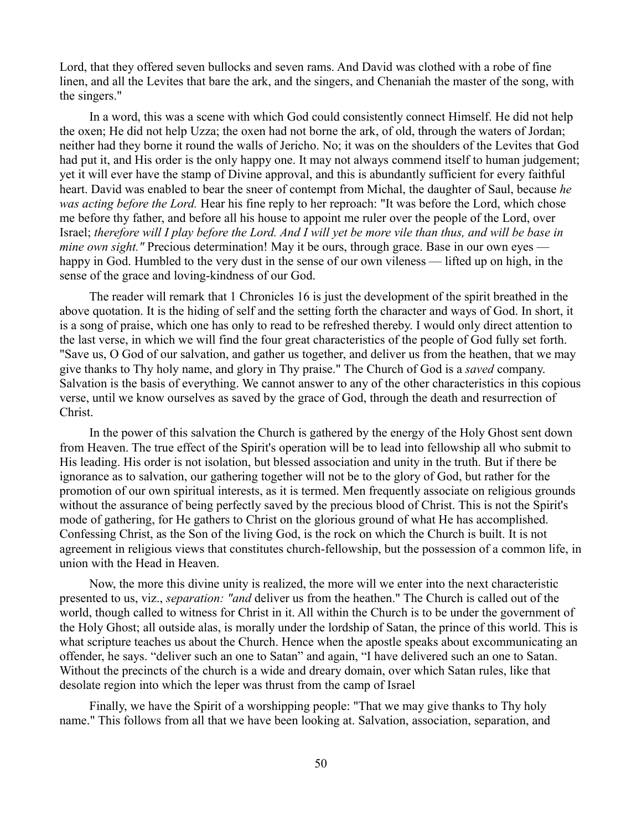Lord, that they offered seven bullocks and seven rams. And David was clothed with a robe of fine linen, and all the Levites that bare the ark, and the singers, and Chenaniah the master of the song, with the singers."

In a word, this was a scene with which God could consistently connect Himself. He did not help the oxen; He did not help Uzza; the oxen had not borne the ark, of old, through the waters of Jordan; neither had they borne it round the walls of Jericho. No; it was on the shoulders of the Levites that God had put it, and His order is the only happy one. It may not always commend itself to human judgement; yet it will ever have the stamp of Divine approval, and this is abundantly sufficient for every faithful heart. David was enabled to bear the sneer of contempt from Michal, the daughter of Saul, because *he was acting before the Lord.* Hear his fine reply to her reproach: "It was before the Lord, which chose me before thy father, and before all his house to appoint me ruler over the people of the Lord, over Israel; *therefore will I play before the Lord. And I will yet be more vile than thus, and will be base in mine own sight."* Precious determination! May it be ours, through grace. Base in our own eyes happy in God. Humbled to the very dust in the sense of our own vileness — lifted up on high, in the sense of the grace and loving-kindness of our God.

The reader will remark that 1 Chronicles 16 is just the development of the spirit breathed in the above quotation. It is the hiding of self and the setting forth the character and ways of God. In short, it is a song of praise, which one has only to read to be refreshed thereby. I would only direct attention to the last verse, in which we will find the four great characteristics of the people of God fully set forth. "Save us, O God of our salvation, and gather us together, and deliver us from the heathen, that we may give thanks to Thy holy name, and glory in Thy praise." The Church of God is a *saved* company. Salvation is the basis of everything. We cannot answer to any of the other characteristics in this copious verse, until we know ourselves as saved by the grace of God, through the death and resurrection of Christ.

In the power of this salvation the Church is gathered by the energy of the Holy Ghost sent down from Heaven. The true effect of the Spirit's operation will be to lead into fellowship all who submit to His leading. His order is not isolation, but blessed association and unity in the truth. But if there be ignorance as to salvation, our gathering together will not be to the glory of God, but rather for the promotion of our own spiritual interests, as it is termed. Men frequently associate on religious grounds without the assurance of being perfectly saved by the precious blood of Christ. This is not the Spirit's mode of gathering, for He gathers to Christ on the glorious ground of what He has accomplished. Confessing Christ, as the Son of the living God, is the rock on which the Church is built. It is not agreement in religious views that constitutes church-fellowship, but the possession of a common life, in union with the Head in Heaven.

Now, the more this divine unity is realized, the more will we enter into the next characteristic presented to us, viz., *separation: "and* deliver us from the heathen." The Church is called out of the world, though called to witness for Christ in it. All within the Church is to be under the government of the Holy Ghost; all outside alas, is morally under the lordship of Satan, the prince of this world. This is what scripture teaches us about the Church. Hence when the apostle speaks about excommunicating an offender, he says. "deliver such an one to Satan" and again, "I have delivered such an one to Satan. Without the precincts of the church is a wide and dreary domain, over which Satan rules, like that desolate region into which the leper was thrust from the camp of Israel

Finally, we have the Spirit of a worshipping people: "That we may give thanks to Thy holy name." This follows from all that we have been looking at. Salvation, association, separation, and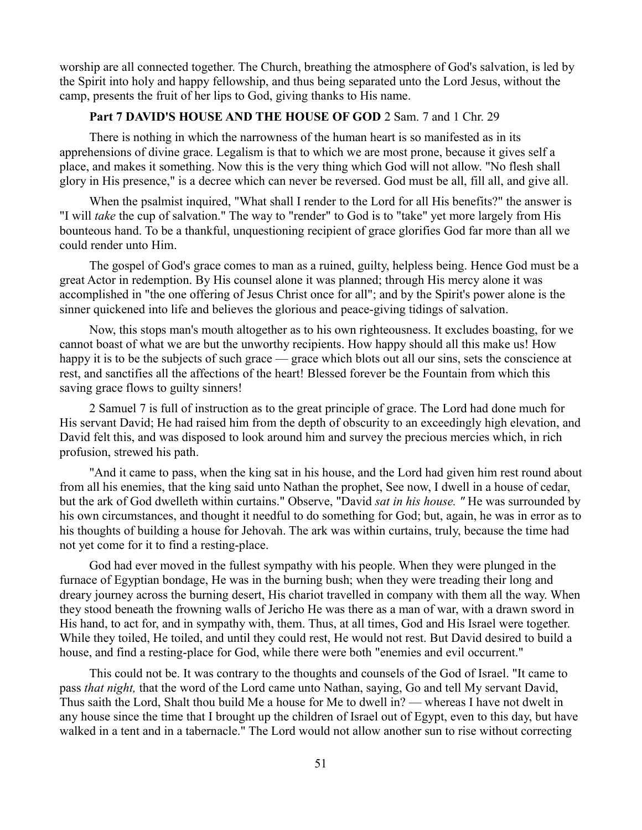worship are all connected together. The Church, breathing the atmosphere of God's salvation, is led by the Spirit into holy and happy fellowship, and thus being separated unto the Lord Jesus, without the camp, presents the fruit of her lips to God, giving thanks to His name.

### **Part 7 DAVID'S HOUSE AND THE HOUSE OF GOD** 2 Sam. 7 and 1 Chr. 29

There is nothing in which the narrowness of the human heart is so manifested as in its apprehensions of divine grace. Legalism is that to which we are most prone, because it gives self a place, and makes it something. Now this is the very thing which God will not allow. "No flesh shall glory in His presence," is a decree which can never be reversed. God must be all, fill all, and give all.

When the psalmist inquired, "What shall I render to the Lord for all His benefits?" the answer is "I will *take* the cup of salvation." The way to "render" to God is to "take" yet more largely from His bounteous hand. To be a thankful, unquestioning recipient of grace glorifies God far more than all we could render unto Him.

The gospel of God's grace comes to man as a ruined, guilty, helpless being. Hence God must be a great Actor in redemption. By His counsel alone it was planned; through His mercy alone it was accomplished in "the one offering of Jesus Christ once for all"; and by the Spirit's power alone is the sinner quickened into life and believes the glorious and peace-giving tidings of salvation.

Now, this stops man's mouth altogether as to his own righteousness. It excludes boasting, for we cannot boast of what we are but the unworthy recipients. How happy should all this make us! How happy it is to be the subjects of such grace — grace which blots out all our sins, sets the conscience at rest, and sanctifies all the affections of the heart! Blessed forever be the Fountain from which this saving grace flows to guilty sinners!

2 Samuel 7 is full of instruction as to the great principle of grace. The Lord had done much for His servant David; He had raised him from the depth of obscurity to an exceedingly high elevation, and David felt this, and was disposed to look around him and survey the precious mercies which, in rich profusion, strewed his path.

"And it came to pass, when the king sat in his house, and the Lord had given him rest round about from all his enemies, that the king said unto Nathan the prophet, See now, I dwell in a house of cedar, but the ark of God dwelleth within curtains." Observe, "David *sat in his house. "* He was surrounded by his own circumstances, and thought it needful to do something for God; but, again, he was in error as to his thoughts of building a house for Jehovah. The ark was within curtains, truly, because the time had not yet come for it to find a resting-place.

God had ever moved in the fullest sympathy with his people. When they were plunged in the furnace of Egyptian bondage, He was in the burning bush; when they were treading their long and dreary journey across the burning desert, His chariot travelled in company with them all the way. When they stood beneath the frowning walls of Jericho He was there as a man of war, with a drawn sword in His hand, to act for, and in sympathy with, them. Thus, at all times, God and His Israel were together. While they toiled, He toiled, and until they could rest, He would not rest. But David desired to build a house, and find a resting-place for God, while there were both "enemies and evil occurrent."

This could not be. It was contrary to the thoughts and counsels of the God of Israel. "It came to pass *that night,* that the word of the Lord came unto Nathan, saying, Go and tell My servant David, Thus saith the Lord, Shalt thou build Me a house for Me to dwell in? — whereas I have not dwelt in any house since the time that I brought up the children of Israel out of Egypt, even to this day, but have walked in a tent and in a tabernacle." The Lord would not allow another sun to rise without correcting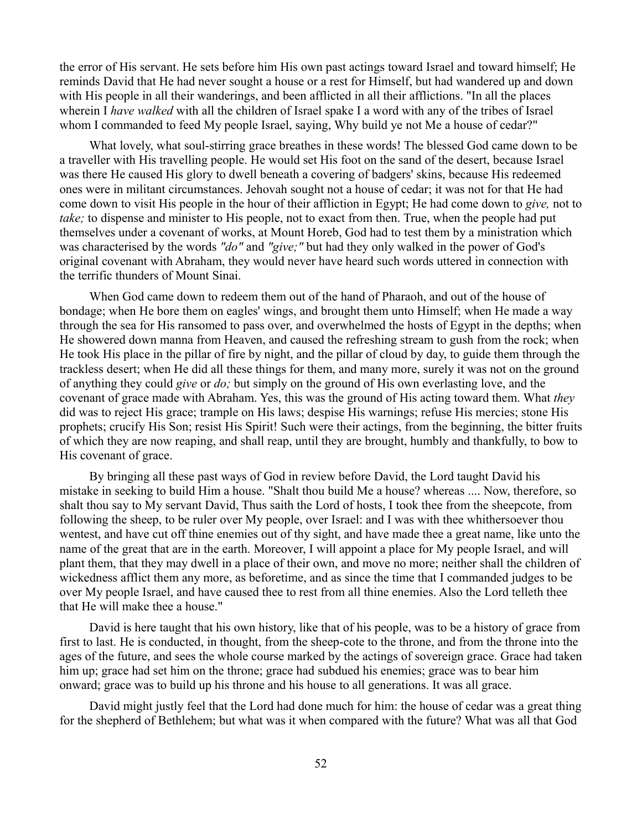the error of His servant. He sets before him His own past actings toward Israel and toward himself; He reminds David that He had never sought a house or a rest for Himself, but had wandered up and down with His people in all their wanderings, and been afflicted in all their afflictions. "In all the places wherein I *have walked* with all the children of Israel spake I a word with any of the tribes of Israel whom I commanded to feed My people Israel, saying, Why build ye not Me a house of cedar?"

What lovely, what soul-stirring grace breathes in these words! The blessed God came down to be a traveller with His travelling people. He would set His foot on the sand of the desert, because Israel was there He caused His glory to dwell beneath a covering of badgers' skins, because His redeemed ones were in militant circumstances. Jehovah sought not a house of cedar; it was not for that He had come down to visit His people in the hour of their affliction in Egypt; He had come down to *give,* not to *take;* to dispense and minister to His people, not to exact from then. True, when the people had put themselves under a covenant of works, at Mount Horeb, God had to test them by a ministration which was characterised by the words *"do"* and *"give;"* but had they only walked in the power of God's original covenant with Abraham, they would never have heard such words uttered in connection with the terrific thunders of Mount Sinai.

When God came down to redeem them out of the hand of Pharaoh, and out of the house of bondage; when He bore them on eagles' wings, and brought them unto Himself; when He made a way through the sea for His ransomed to pass over, and overwhelmed the hosts of Egypt in the depths; when He showered down manna from Heaven, and caused the refreshing stream to gush from the rock; when He took His place in the pillar of fire by night, and the pillar of cloud by day, to guide them through the trackless desert; when He did all these things for them, and many more, surely it was not on the ground of anything they could *give* or *do;* but simply on the ground of His own everlasting love, and the covenant of grace made with Abraham. Yes, this was the ground of His acting toward them. What *they* did was to reject His grace; trample on His laws; despise His warnings; refuse His mercies; stone His prophets; crucify His Son; resist His Spirit! Such were their actings, from the beginning, the bitter fruits of which they are now reaping, and shall reap, until they are brought, humbly and thankfully, to bow to His covenant of grace.

By bringing all these past ways of God in review before David, the Lord taught David his mistake in seeking to build Him a house. "Shalt thou build Me a house? whereas .... Now, therefore, so shalt thou say to My servant David, Thus saith the Lord of hosts, I took thee from the sheepcote, from following the sheep, to be ruler over My people, over Israel: and I was with thee whithersoever thou wentest, and have cut off thine enemies out of thy sight, and have made thee a great name, like unto the name of the great that are in the earth. Moreover, I will appoint a place for My people Israel, and will plant them, that they may dwell in a place of their own, and move no more; neither shall the children of wickedness afflict them any more, as beforetime, and as since the time that I commanded judges to be over My people Israel, and have caused thee to rest from all thine enemies. Also the Lord telleth thee that He will make thee a house."

David is here taught that his own history, like that of his people, was to be a history of grace from first to last. He is conducted, in thought, from the sheep-cote to the throne, and from the throne into the ages of the future, and sees the whole course marked by the actings of sovereign grace. Grace had taken him up; grace had set him on the throne; grace had subdued his enemies; grace was to bear him onward; grace was to build up his throne and his house to all generations. It was all grace.

David might justly feel that the Lord had done much for him: the house of cedar was a great thing for the shepherd of Bethlehem; but what was it when compared with the future? What was all that God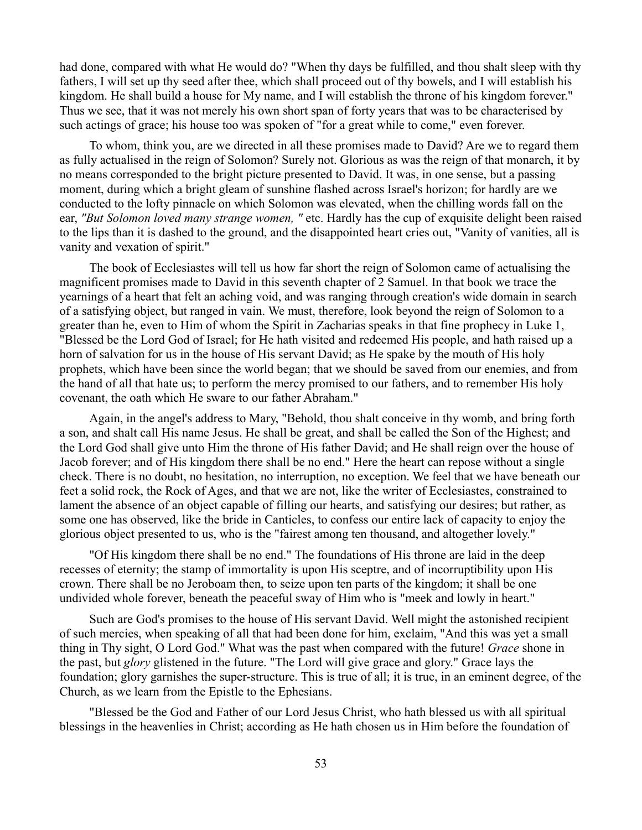had done, compared with what He would do? "When thy days be fulfilled, and thou shalt sleep with thy fathers, I will set up thy seed after thee, which shall proceed out of thy bowels, and I will establish his kingdom. He shall build a house for My name, and I will establish the throne of his kingdom forever." Thus we see, that it was not merely his own short span of forty years that was to be characterised by such actings of grace; his house too was spoken of "for a great while to come," even forever.

To whom, think you, are we directed in all these promises made to David? Are we to regard them as fully actualised in the reign of Solomon? Surely not. Glorious as was the reign of that monarch, it by no means corresponded to the bright picture presented to David. It was, in one sense, but a passing moment, during which a bright gleam of sunshine flashed across Israel's horizon; for hardly are we conducted to the lofty pinnacle on which Solomon was elevated, when the chilling words fall on the ear, *"But Solomon loved many strange women, "* etc. Hardly has the cup of exquisite delight been raised to the lips than it is dashed to the ground, and the disappointed heart cries out, "Vanity of vanities, all is vanity and vexation of spirit."

The book of Ecclesiastes will tell us how far short the reign of Solomon came of actualising the magnificent promises made to David in this seventh chapter of 2 Samuel. In that book we trace the yearnings of a heart that felt an aching void, and was ranging through creation's wide domain in search of a satisfying object, but ranged in vain. We must, therefore, look beyond the reign of Solomon to a greater than he, even to Him of whom the Spirit in Zacharias speaks in that fine prophecy in Luke 1, "Blessed be the Lord God of Israel; for He hath visited and redeemed His people, and hath raised up a horn of salvation for us in the house of His servant David; as He spake by the mouth of His holy prophets, which have been since the world began; that we should be saved from our enemies, and from the hand of all that hate us; to perform the mercy promised to our fathers, and to remember His holy covenant, the oath which He sware to our father Abraham."

Again, in the angel's address to Mary, "Behold, thou shalt conceive in thy womb, and bring forth a son, and shalt call His name Jesus. He shall be great, and shall be called the Son of the Highest; and the Lord God shall give unto Him the throne of His father David; and He shall reign over the house of Jacob forever; and of His kingdom there shall be no end." Here the heart can repose without a single check. There is no doubt, no hesitation, no interruption, no exception. We feel that we have beneath our feet a solid rock, the Rock of Ages, and that we are not, like the writer of Ecclesiastes, constrained to lament the absence of an object capable of filling our hearts, and satisfying our desires; but rather, as some one has observed, like the bride in Canticles, to confess our entire lack of capacity to enjoy the glorious object presented to us, who is the "fairest among ten thousand, and altogether lovely."

"Of His kingdom there shall be no end." The foundations of His throne are laid in the deep recesses of eternity; the stamp of immortality is upon His sceptre, and of incorruptibility upon His crown. There shall be no Jeroboam then, to seize upon ten parts of the kingdom; it shall be one undivided whole forever, beneath the peaceful sway of Him who is "meek and lowly in heart."

Such are God's promises to the house of His servant David. Well might the astonished recipient of such mercies, when speaking of all that had been done for him, exclaim, "And this was yet a small thing in Thy sight, O Lord God." What was the past when compared with the future! *Grace* shone in the past, but *glory* glistened in the future. "The Lord will give grace and glory." Grace lays the foundation; glory garnishes the super-structure. This is true of all; it is true, in an eminent degree, of the Church, as we learn from the Epistle to the Ephesians.

"Blessed be the God and Father of our Lord Jesus Christ, who hath blessed us with all spiritual blessings in the heavenlies in Christ; according as He hath chosen us in Him before the foundation of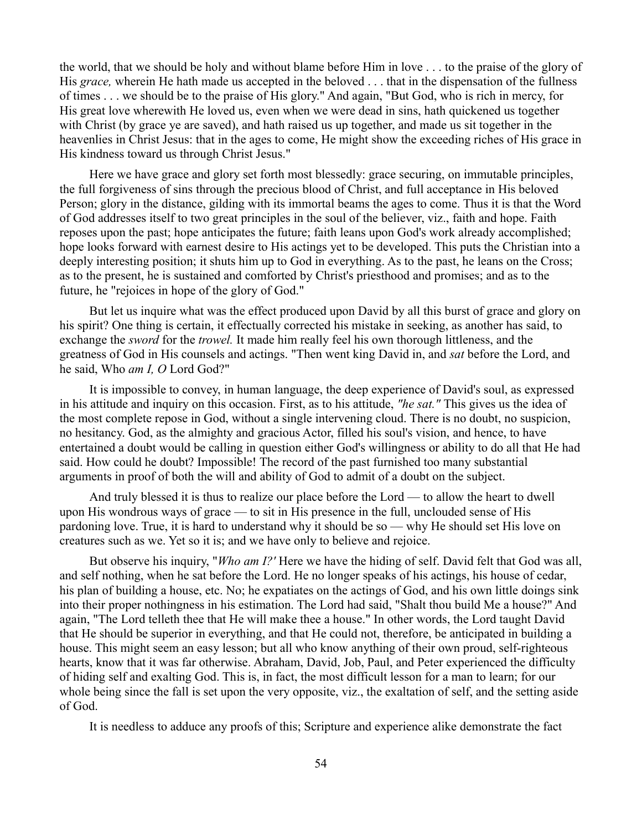the world, that we should be holy and without blame before Him in love . . . to the praise of the glory of His *grace*, wherein He hath made us accepted in the beloved . . . that in the dispensation of the fullness of times . . . we should be to the praise of His glory." And again, "But God, who is rich in mercy, for His great love wherewith He loved us, even when we were dead in sins, hath quickened us together with Christ (by grace ye are saved), and hath raised us up together, and made us sit together in the heavenlies in Christ Jesus: that in the ages to come, He might show the exceeding riches of His grace in His kindness toward us through Christ Jesus."

Here we have grace and glory set forth most blessedly: grace securing, on immutable principles, the full forgiveness of sins through the precious blood of Christ, and full acceptance in His beloved Person; glory in the distance, gilding with its immortal beams the ages to come. Thus it is that the Word of God addresses itself to two great principles in the soul of the believer, viz., faith and hope. Faith reposes upon the past; hope anticipates the future; faith leans upon God's work already accomplished; hope looks forward with earnest desire to His actings yet to be developed. This puts the Christian into a deeply interesting position; it shuts him up to God in everything. As to the past, he leans on the Cross; as to the present, he is sustained and comforted by Christ's priesthood and promises; and as to the future, he "rejoices in hope of the glory of God."

But let us inquire what was the effect produced upon David by all this burst of grace and glory on his spirit? One thing is certain, it effectually corrected his mistake in seeking, as another has said, to exchange the *sword* for the *trowel.* It made him really feel his own thorough littleness, and the greatness of God in His counsels and actings. "Then went king David in, and *sat* before the Lord, and he said, Who *am I, O* Lord God?"

It is impossible to convey, in human language, the deep experience of David's soul, as expressed in his attitude and inquiry on this occasion. First, as to his attitude, *"he sat."* This gives us the idea of the most complete repose in God, without a single intervening cloud. There is no doubt, no suspicion, no hesitancy. God, as the almighty and gracious Actor, filled his soul's vision, and hence, to have entertained a doubt would be calling in question either God's willingness or ability to do all that He had said. How could he doubt? Impossible! The record of the past furnished too many substantial arguments in proof of both the will and ability of God to admit of a doubt on the subject.

And truly blessed it is thus to realize our place before the Lord — to allow the heart to dwell upon His wondrous ways of grace — to sit in His presence in the full, unclouded sense of His pardoning love. True, it is hard to understand why it should be so — why He should set His love on creatures such as we. Yet so it is; and we have only to believe and rejoice.

But observe his inquiry, "*Who am I?'* Here we have the hiding of self. David felt that God was all, and self nothing, when he sat before the Lord. He no longer speaks of his actings, his house of cedar, his plan of building a house, etc. No; he expatiates on the actings of God, and his own little doings sink into their proper nothingness in his estimation. The Lord had said, "Shalt thou build Me a house?" And again, "The Lord telleth thee that He will make thee a house." In other words, the Lord taught David that He should be superior in everything, and that He could not, therefore, be anticipated in building a house. This might seem an easy lesson; but all who know anything of their own proud, self-righteous hearts, know that it was far otherwise. Abraham, David, Job, Paul, and Peter experienced the difficulty of hiding self and exalting God. This is, in fact, the most difficult lesson for a man to learn; for our whole being since the fall is set upon the very opposite, viz., the exaltation of self, and the setting aside of God.

It is needless to adduce any proofs of this; Scripture and experience alike demonstrate the fact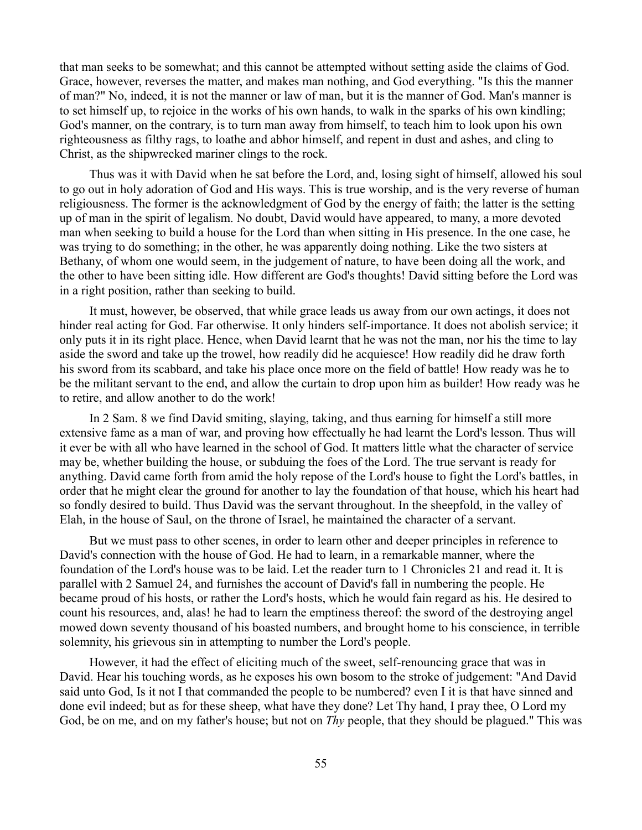that man seeks to be somewhat; and this cannot be attempted without setting aside the claims of God. Grace, however, reverses the matter, and makes man nothing, and God everything. "Is this the manner of man?" No, indeed, it is not the manner or law of man, but it is the manner of God. Man's manner is to set himself up, to rejoice in the works of his own hands, to walk in the sparks of his own kindling; God's manner, on the contrary, is to turn man away from himself, to teach him to look upon his own righteousness as filthy rags, to loathe and abhor himself, and repent in dust and ashes, and cling to Christ, as the shipwrecked mariner clings to the rock.

Thus was it with David when he sat before the Lord, and, losing sight of himself, allowed his soul to go out in holy adoration of God and His ways. This is true worship, and is the very reverse of human religiousness. The former is the acknowledgment of God by the energy of faith; the latter is the setting up of man in the spirit of legalism. No doubt, David would have appeared, to many, a more devoted man when seeking to build a house for the Lord than when sitting in His presence. In the one case, he was trying to do something; in the other, he was apparently doing nothing. Like the two sisters at Bethany, of whom one would seem, in the judgement of nature, to have been doing all the work, and the other to have been sitting idle. How different are God's thoughts! David sitting before the Lord was in a right position, rather than seeking to build.

It must, however, be observed, that while grace leads us away from our own actings, it does not hinder real acting for God. Far otherwise. It only hinders self-importance. It does not abolish service; it only puts it in its right place. Hence, when David learnt that he was not the man, nor his the time to lay aside the sword and take up the trowel, how readily did he acquiesce! How readily did he draw forth his sword from its scabbard, and take his place once more on the field of battle! How ready was he to be the militant servant to the end, and allow the curtain to drop upon him as builder! How ready was he to retire, and allow another to do the work!

In 2 Sam. 8 we find David smiting, slaying, taking, and thus earning for himself a still more extensive fame as a man of war, and proving how effectually he had learnt the Lord's lesson. Thus will it ever be with all who have learned in the school of God. It matters little what the character of service may be, whether building the house, or subduing the foes of the Lord. The true servant is ready for anything. David came forth from amid the holy repose of the Lord's house to fight the Lord's battles, in order that he might clear the ground for another to lay the foundation of that house, which his heart had so fondly desired to build. Thus David was the servant throughout. In the sheepfold, in the valley of Elah, in the house of Saul, on the throne of Israel, he maintained the character of a servant.

But we must pass to other scenes, in order to learn other and deeper principles in reference to David's connection with the house of God. He had to learn, in a remarkable manner, where the foundation of the Lord's house was to be laid. Let the reader turn to 1 Chronicles 21 and read it. It is parallel with 2 Samuel 24, and furnishes the account of David's fall in numbering the people. He became proud of his hosts, or rather the Lord's hosts, which he would fain regard as his. He desired to count his resources, and, alas! he had to learn the emptiness thereof: the sword of the destroying angel mowed down seventy thousand of his boasted numbers, and brought home to his conscience, in terrible solemnity, his grievous sin in attempting to number the Lord's people.

However, it had the effect of eliciting much of the sweet, self-renouncing grace that was in David. Hear his touching words, as he exposes his own bosom to the stroke of judgement: "And David said unto God, Is it not I that commanded the people to be numbered? even I it is that have sinned and done evil indeed; but as for these sheep, what have they done? Let Thy hand, I pray thee, O Lord my God, be on me, and on my father's house; but not on *Thy* people, that they should be plagued." This was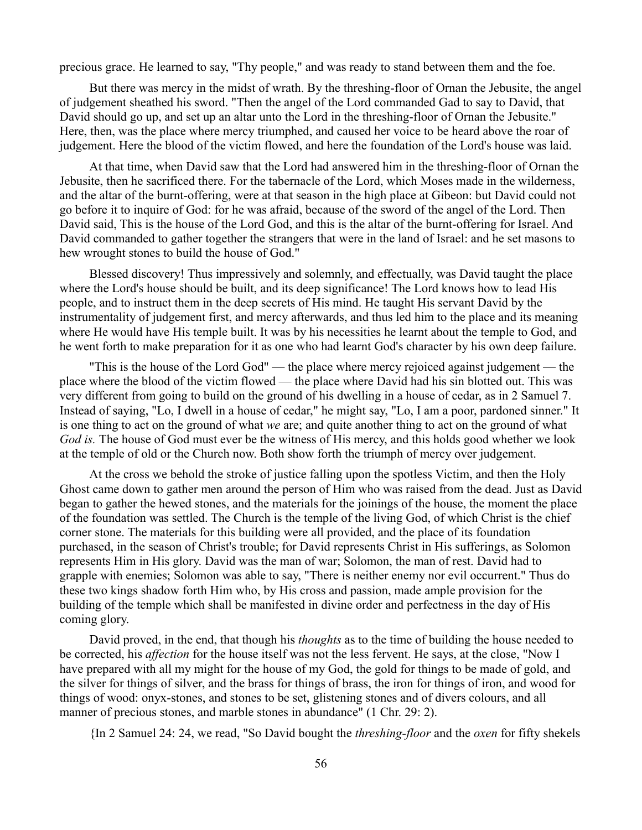precious grace. He learned to say, "Thy people," and was ready to stand between them and the foe.

But there was mercy in the midst of wrath. By the threshing-floor of Ornan the Jebusite, the angel of judgement sheathed his sword. "Then the angel of the Lord commanded Gad to say to David, that David should go up, and set up an altar unto the Lord in the threshing-floor of Ornan the Jebusite." Here, then, was the place where mercy triumphed, and caused her voice to be heard above the roar of judgement. Here the blood of the victim flowed, and here the foundation of the Lord's house was laid.

At that time, when David saw that the Lord had answered him in the threshing-floor of Ornan the Jebusite, then he sacrificed there. For the tabernacle of the Lord, which Moses made in the wilderness, and the altar of the burnt-offering, were at that season in the high place at Gibeon: but David could not go before it to inquire of God: for he was afraid, because of the sword of the angel of the Lord. Then David said, This is the house of the Lord God, and this is the altar of the burnt-offering for Israel. And David commanded to gather together the strangers that were in the land of Israel: and he set masons to hew wrought stones to build the house of God."

Blessed discovery! Thus impressively and solemnly, and effectually, was David taught the place where the Lord's house should be built, and its deep significance! The Lord knows how to lead His people, and to instruct them in the deep secrets of His mind. He taught His servant David by the instrumentality of judgement first, and mercy afterwards, and thus led him to the place and its meaning where He would have His temple built. It was by his necessities he learnt about the temple to God, and he went forth to make preparation for it as one who had learnt God's character by his own deep failure.

"This is the house of the Lord God" — the place where mercy rejoiced against judgement — the place where the blood of the victim flowed — the place where David had his sin blotted out. This was very different from going to build on the ground of his dwelling in a house of cedar, as in 2 Samuel 7. Instead of saying, "Lo, I dwell in a house of cedar," he might say, "Lo, I am a poor, pardoned sinner." It is one thing to act on the ground of what *we* are; and quite another thing to act on the ground of what *God is.* The house of God must ever be the witness of His mercy, and this holds good whether we look at the temple of old or the Church now. Both show forth the triumph of mercy over judgement.

At the cross we behold the stroke of justice falling upon the spotless Victim, and then the Holy Ghost came down to gather men around the person of Him who was raised from the dead. Just as David began to gather the hewed stones, and the materials for the joinings of the house, the moment the place of the foundation was settled. The Church is the temple of the living God, of which Christ is the chief corner stone. The materials for this building were all provided, and the place of its foundation purchased, in the season of Christ's trouble; for David represents Christ in His sufferings, as Solomon represents Him in His glory. David was the man of war; Solomon, the man of rest. David had to grapple with enemies; Solomon was able to say, "There is neither enemy nor evil occurrent." Thus do these two kings shadow forth Him who, by His cross and passion, made ample provision for the building of the temple which shall be manifested in divine order and perfectness in the day of His coming glory.

David proved, in the end, that though his *thoughts* as to the time of building the house needed to be corrected, his *affection* for the house itself was not the less fervent. He says, at the close, "Now I have prepared with all my might for the house of my God, the gold for things to be made of gold, and the silver for things of silver, and the brass for things of brass, the iron for things of iron, and wood for things of wood: onyx-stones, and stones to be set, glistening stones and of divers colours, and all manner of precious stones, and marble stones in abundance" (1 Chr. 29: 2).

{In 2 Samuel 24: 24, we read, "So David bought the *threshing-floor* and the *oxen* for fifty shekels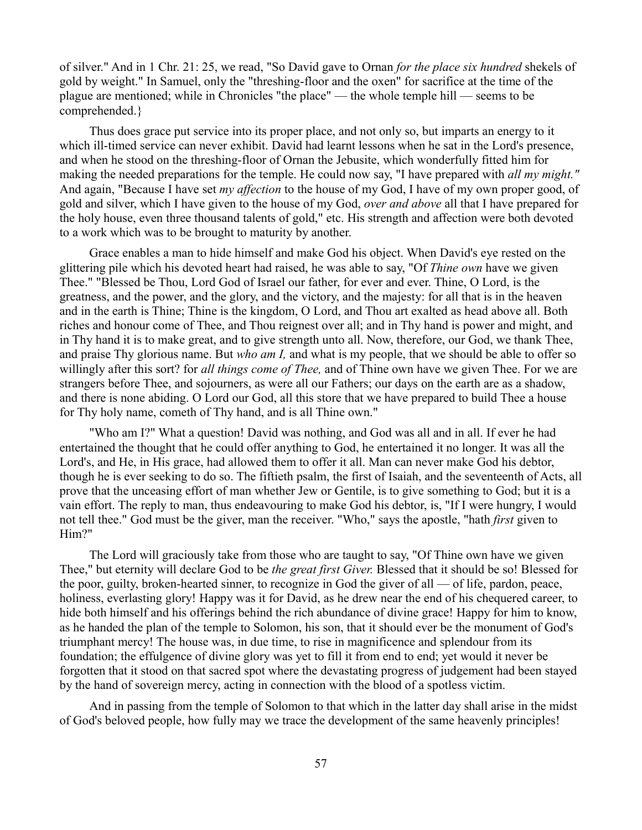of silver." And in 1 Chr. 21: 25, we read, "So David gave to Ornan *for the place six hundred* shekels of gold by weight." In Samuel, only the "threshing-floor and the oxen" for sacrifice at the time of the plague are mentioned; while in Chronicles "the place" — the whole temple hill — seems to be comprehended.}

Thus does grace put service into its proper place, and not only so, but imparts an energy to it which ill-timed service can never exhibit. David had learnt lessons when he sat in the Lord's presence, and when he stood on the threshing-floor of Ornan the Jebusite, which wonderfully fitted him for making the needed preparations for the temple. He could now say, "I have prepared with *all my might."* And again, "Because I have set *my affection* to the house of my God, I have of my own proper good, of gold and silver, which I have given to the house of my God, *over and above* all that I have prepared for the holy house, even three thousand talents of gold," etc. His strength and affection were both devoted to a work which was to be brought to maturity by another.

Grace enables a man to hide himself and make God his object. When David's eye rested on the glittering pile which his devoted heart had raised, he was able to say, "Of *Thine own* have we given Thee." "Blessed be Thou, Lord God of Israel our father, for ever and ever. Thine, O Lord, is the greatness, and the power, and the glory, and the victory, and the majesty: for all that is in the heaven and in the earth is Thine; Thine is the kingdom, O Lord, and Thou art exalted as head above all. Both riches and honour come of Thee, and Thou reignest over all; and in Thy hand is power and might, and in Thy hand it is to make great, and to give strength unto all. Now, therefore, our God, we thank Thee, and praise Thy glorious name. But *who am I,* and what is my people, that we should be able to offer so willingly after this sort? for *all things come of Thee,* and of Thine own have we given Thee. For we are strangers before Thee, and sojourners, as were all our Fathers; our days on the earth are as a shadow, and there is none abiding. O Lord our God, all this store that we have prepared to build Thee a house for Thy holy name, cometh of Thy hand, and is all Thine own."

"Who am I?" What a question! David was nothing, and God was all and in all. If ever he had entertained the thought that he could offer anything to God, he entertained it no longer. It was all the Lord's, and He, in His grace, had allowed them to offer it all. Man can never make God his debtor, though he is ever seeking to do so. The fiftieth psalm, the first of Isaiah, and the seventeenth of Acts, all prove that the unceasing effort of man whether Jew or Gentile, is to give something to God; but it is a vain effort. The reply to man, thus endeavouring to make God his debtor, is, "If I were hungry, I would not tell thee." God must be the giver, man the receiver. "Who," says the apostle, "hath *first* given to Him?"

The Lord will graciously take from those who are taught to say, "Of Thine own have we given Thee," but eternity will declare God to be *the great first Giver.* Blessed that it should be so! Blessed for the poor, guilty, broken-hearted sinner, to recognize in God the giver of all — of life, pardon, peace, holiness, everlasting glory! Happy was it for David, as he drew near the end of his chequered career, to hide both himself and his offerings behind the rich abundance of divine grace! Happy for him to know, as he handed the plan of the temple to Solomon, his son, that it should ever be the monument of God's triumphant mercy! The house was, in due time, to rise in magnificence and splendour from its foundation; the effulgence of divine glory was yet to fill it from end to end; yet would it never be forgotten that it stood on that sacred spot where the devastating progress of judgement had been stayed by the hand of sovereign mercy, acting in connection with the blood of a spotless victim.

And in passing from the temple of Solomon to that which in the latter day shall arise in the midst of God's beloved people, how fully may we trace the development of the same heavenly principles!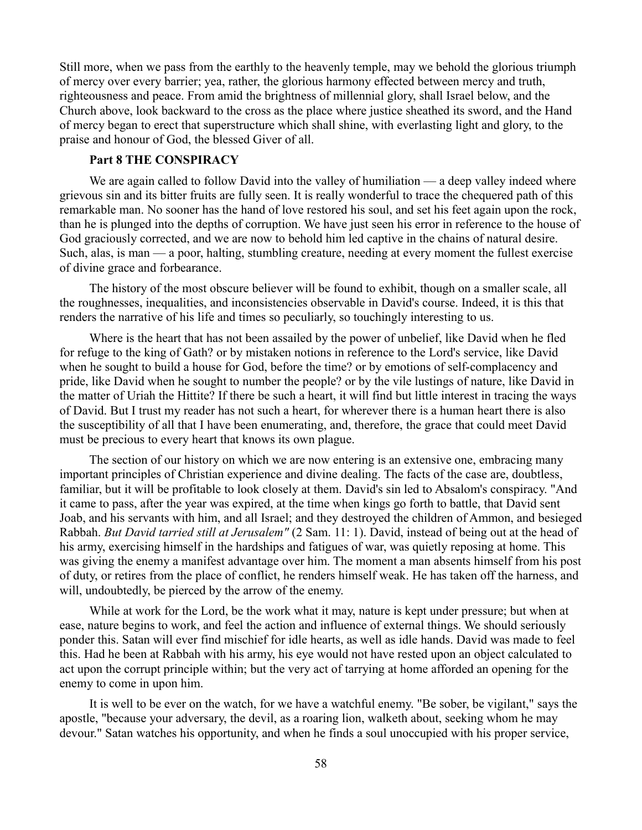Still more, when we pass from the earthly to the heavenly temple, may we behold the glorious triumph of mercy over every barrier; yea, rather, the glorious harmony effected between mercy and truth, righteousness and peace. From amid the brightness of millennial glory, shall Israel below, and the Church above, look backward to the cross as the place where justice sheathed its sword, and the Hand of mercy began to erect that superstructure which shall shine, with everlasting light and glory, to the praise and honour of God, the blessed Giver of all.

### **Part 8 THE CONSPIRACY**

We are again called to follow David into the valley of humiliation — a deep valley indeed where grievous sin and its bitter fruits are fully seen. It is really wonderful to trace the chequered path of this remarkable man. No sooner has the hand of love restored his soul, and set his feet again upon the rock, than he is plunged into the depths of corruption. We have just seen his error in reference to the house of God graciously corrected, and we are now to behold him led captive in the chains of natural desire. Such, alas, is man — a poor, halting, stumbling creature, needing at every moment the fullest exercise of divine grace and forbearance.

The history of the most obscure believer will be found to exhibit, though on a smaller scale, all the roughnesses, inequalities, and inconsistencies observable in David's course. Indeed, it is this that renders the narrative of his life and times so peculiarly, so touchingly interesting to us.

Where is the heart that has not been assailed by the power of unbelief, like David when he fled for refuge to the king of Gath? or by mistaken notions in reference to the Lord's service, like David when he sought to build a house for God, before the time? or by emotions of self-complacency and pride, like David when he sought to number the people? or by the vile lustings of nature, like David in the matter of Uriah the Hittite? If there be such a heart, it will find but little interest in tracing the ways of David. But I trust my reader has not such a heart, for wherever there is a human heart there is also the susceptibility of all that I have been enumerating, and, therefore, the grace that could meet David must be precious to every heart that knows its own plague.

The section of our history on which we are now entering is an extensive one, embracing many important principles of Christian experience and divine dealing. The facts of the case are, doubtless, familiar, but it will be profitable to look closely at them. David's sin led to Absalom's conspiracy. "And it came to pass, after the year was expired, at the time when kings go forth to battle, that David sent Joab, and his servants with him, and all Israel; and they destroyed the children of Ammon, and besieged Rabbah. *But David tarried still at Jerusalem"* (2 Sam. 11: 1). David, instead of being out at the head of his army, exercising himself in the hardships and fatigues of war, was quietly reposing at home. This was giving the enemy a manifest advantage over him. The moment a man absents himself from his post of duty, or retires from the place of conflict, he renders himself weak. He has taken off the harness, and will, undoubtedly, be pierced by the arrow of the enemy.

While at work for the Lord, be the work what it may, nature is kept under pressure; but when at ease, nature begins to work, and feel the action and influence of external things. We should seriously ponder this. Satan will ever find mischief for idle hearts, as well as idle hands. David was made to feel this. Had he been at Rabbah with his army, his eye would not have rested upon an object calculated to act upon the corrupt principle within; but the very act of tarrying at home afforded an opening for the enemy to come in upon him.

It is well to be ever on the watch, for we have a watchful enemy. "Be sober, be vigilant," says the apostle, "because your adversary, the devil, as a roaring lion, walketh about, seeking whom he may devour." Satan watches his opportunity, and when he finds a soul unoccupied with his proper service,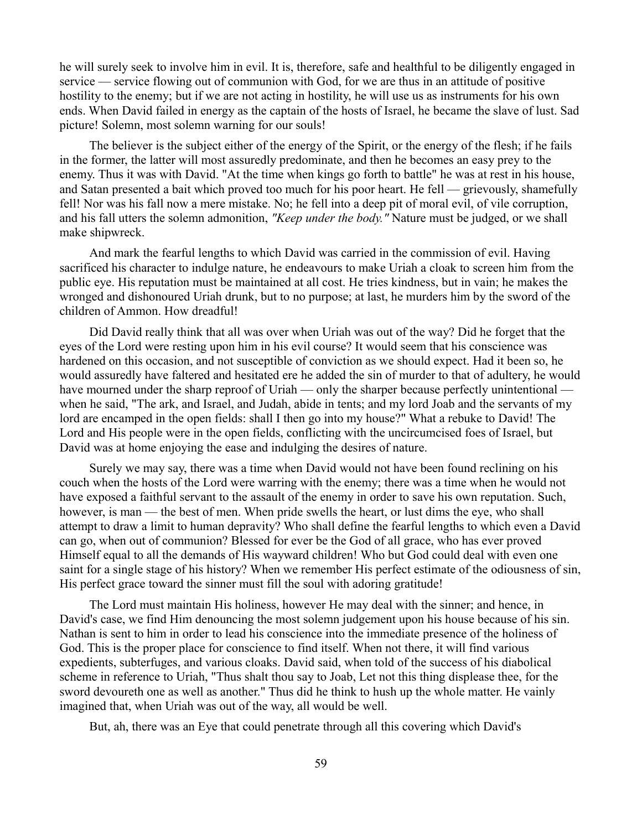he will surely seek to involve him in evil. It is, therefore, safe and healthful to be diligently engaged in service — service flowing out of communion with God, for we are thus in an attitude of positive hostility to the enemy; but if we are not acting in hostility, he will use us as instruments for his own ends. When David failed in energy as the captain of the hosts of Israel, he became the slave of lust. Sad picture! Solemn, most solemn warning for our souls!

The believer is the subject either of the energy of the Spirit, or the energy of the flesh; if he fails in the former, the latter will most assuredly predominate, and then he becomes an easy prey to the enemy. Thus it was with David. "At the time when kings go forth to battle" he was at rest in his house, and Satan presented a bait which proved too much for his poor heart. He fell — grievously, shamefully fell! Nor was his fall now a mere mistake. No; he fell into a deep pit of moral evil, of vile corruption, and his fall utters the solemn admonition, *"Keep under the body."* Nature must be judged, or we shall make shipwreck.

And mark the fearful lengths to which David was carried in the commission of evil. Having sacrificed his character to indulge nature, he endeavours to make Uriah a cloak to screen him from the public eye. His reputation must be maintained at all cost. He tries kindness, but in vain; he makes the wronged and dishonoured Uriah drunk, but to no purpose; at last, he murders him by the sword of the children of Ammon. How dreadful!

Did David really think that all was over when Uriah was out of the way? Did he forget that the eyes of the Lord were resting upon him in his evil course? It would seem that his conscience was hardened on this occasion, and not susceptible of conviction as we should expect. Had it been so, he would assuredly have faltered and hesitated ere he added the sin of murder to that of adultery, he would have mourned under the sharp reproof of Uriah — only the sharper because perfectly unintentional when he said, "The ark, and Israel, and Judah, abide in tents; and my lord Joab and the servants of my lord are encamped in the open fields: shall I then go into my house?" What a rebuke to David! The Lord and His people were in the open fields, conflicting with the uncircumcised foes of Israel, but David was at home enjoying the ease and indulging the desires of nature.

Surely we may say, there was a time when David would not have been found reclining on his couch when the hosts of the Lord were warring with the enemy; there was a time when he would not have exposed a faithful servant to the assault of the enemy in order to save his own reputation. Such, however, is man — the best of men. When pride swells the heart, or lust dims the eye, who shall attempt to draw a limit to human depravity? Who shall define the fearful lengths to which even a David can go, when out of communion? Blessed for ever be the God of all grace, who has ever proved Himself equal to all the demands of His wayward children! Who but God could deal with even one saint for a single stage of his history? When we remember His perfect estimate of the odiousness of sin, His perfect grace toward the sinner must fill the soul with adoring gratitude!

The Lord must maintain His holiness, however He may deal with the sinner; and hence, in David's case, we find Him denouncing the most solemn judgement upon his house because of his sin. Nathan is sent to him in order to lead his conscience into the immediate presence of the holiness of God. This is the proper place for conscience to find itself. When not there, it will find various expedients, subterfuges, and various cloaks. David said, when told of the success of his diabolical scheme in reference to Uriah, "Thus shalt thou say to Joab, Let not this thing displease thee, for the sword devoureth one as well as another." Thus did he think to hush up the whole matter. He vainly imagined that, when Uriah was out of the way, all would be well.

But, ah, there was an Eye that could penetrate through all this covering which David's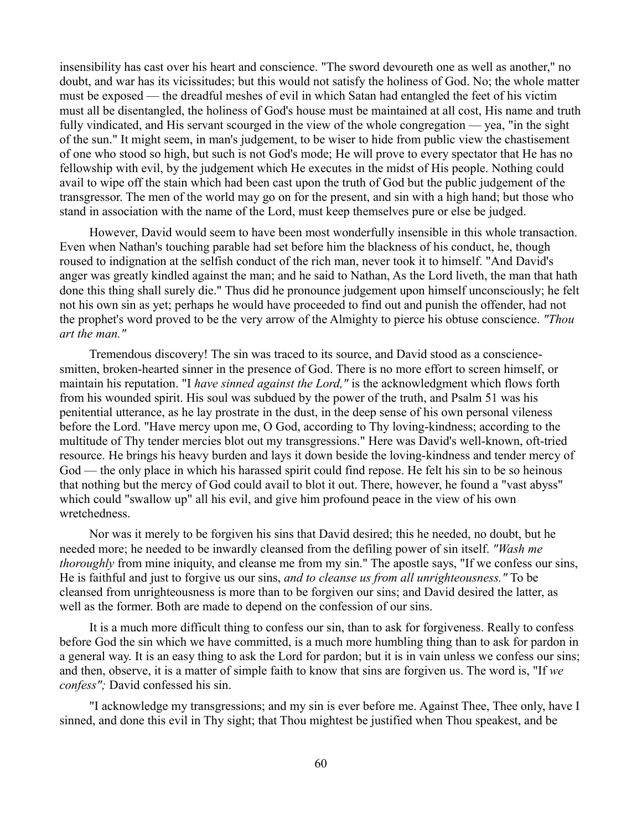insensibility has cast over his heart and conscience. "The sword devoureth one as well as another," no doubt, and war has its vicissitudes; but this would not satisfy the holiness of God. No; the whole matter must be exposed — the dreadful meshes of evil in which Satan had entangled the feet of his victim must all be disentangled, the holiness of God's house must be maintained at all cost, His name and truth fully vindicated, and His servant scourged in the view of the whole congregation — yea, "in the sight of the sun." It might seem, in man's judgement, to be wiser to hide from public view the chastisement of one who stood so high, but such is not God's mode; He will prove to every spectator that He has no fellowship with evil, by the judgement which He executes in the midst of His people. Nothing could avail to wipe off the stain which had been cast upon the truth of God but the public judgement of the transgressor. The men of the world may go on for the present, and sin with a high hand; but those who stand in association with the name of the Lord, must keep themselves pure or else be judged.

However, David would seem to have been most wonderfully insensible in this whole transaction. Even when Nathan's touching parable had set before him the blackness of his conduct, he, though roused to indignation at the selfish conduct of the rich man, never took it to himself. "And David's anger was greatly kindled against the man; and he said to Nathan, As the Lord liveth, the man that hath done this thing shall surely die." Thus did he pronounce judgement upon himself unconsciously; he felt not his own sin as yet; perhaps he would have proceeded to find out and punish the offender, had not the prophet's word proved to be the very arrow of the Almighty to pierce his obtuse conscience. *"Thou art the man."*

Tremendous discovery! The sin was traced to its source, and David stood as a consciencesmitten, broken-hearted sinner in the presence of God. There is no more effort to screen himself, or maintain his reputation. "I *have sinned against the Lord,"* is the acknowledgment which flows forth from his wounded spirit. His soul was subdued by the power of the truth, and Psalm 51 was his penitential utterance, as he lay prostrate in the dust, in the deep sense of his own personal vileness before the Lord. "Have mercy upon me, O God, according to Thy loving-kindness; according to the multitude of Thy tender mercies blot out my transgressions." Here was David's well-known, oft-tried resource. He brings his heavy burden and lays it down beside the loving-kindness and tender mercy of God — the only place in which his harassed spirit could find repose. He felt his sin to be so heinous that nothing but the mercy of God could avail to blot it out. There, however, he found a "vast abyss" which could "swallow up" all his evil, and give him profound peace in the view of his own wretchedness.

Nor was it merely to be forgiven his sins that David desired; this he needed, no doubt, but he needed more; he needed to be inwardly cleansed from the defiling power of sin itself. *"Wash me thoroughly* from mine iniquity, and cleanse me from my sin." The apostle says, "If we confess our sins, He is faithful and just to forgive us our sins, *and to cleanse us from all unrighteousness."* To be cleansed from unrighteousness is more than to be forgiven our sins; and David desired the latter, as well as the former. Both are made to depend on the confession of our sins.

It is a much more difficult thing to confess our sin, than to ask for forgiveness. Really to confess before God the sin which we have committed, is a much more humbling thing than to ask for pardon in a general way. It is an easy thing to ask the Lord for pardon; but it is in vain unless we confess our sins; and then, observe, it is a matter of simple faith to know that sins are forgiven us. The word is, "If *we confess";* David confessed his sin.

"I acknowledge my transgressions; and my sin is ever before me. Against Thee, Thee only, have I sinned, and done this evil in Thy sight; that Thou mightest be justified when Thou speakest, and be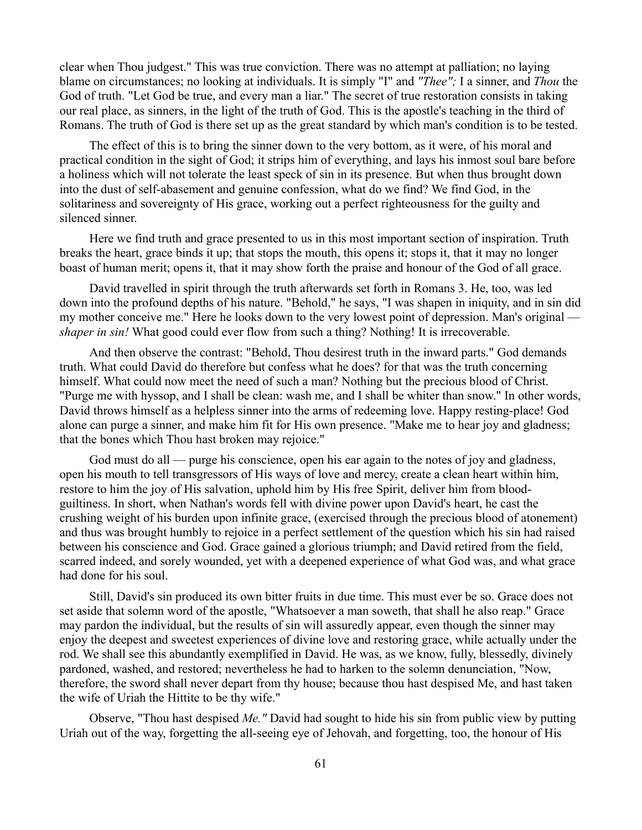clear when Thou judgest." This was true conviction. There was no attempt at palliation; no laying blame on circumstances; no looking at individuals. It is simply "I" and *"Thee";* I a sinner, and *Thou* the God of truth. "Let God be true, and every man a liar." The secret of true restoration consists in taking our real place, as sinners, in the light of the truth of God. This is the apostle's teaching in the third of Romans. The truth of God is there set up as the great standard by which man's condition is to be tested.

The effect of this is to bring the sinner down to the very bottom, as it were, of his moral and practical condition in the sight of God; it strips him of everything, and lays his inmost soul bare before a holiness which will not tolerate the least speck of sin in its presence. But when thus brought down into the dust of self-abasement and genuine confession, what do we find? We find God, in the solitariness and sovereignty of His grace, working out a perfect righteousness for the guilty and silenced sinner.

Here we find truth and grace presented to us in this most important section of inspiration. Truth breaks the heart, grace binds it up; that stops the mouth, this opens it; stops it, that it may no longer boast of human merit; opens it, that it may show forth the praise and honour of the God of all grace.

David travelled in spirit through the truth afterwards set forth in Romans 3. He, too, was led down into the profound depths of his nature. "Behold," he says, "I was shapen in iniquity, and in sin did my mother conceive me." Here he looks down to the very lowest point of depression. Man's original *shaper in sin!* What good could ever flow from such a thing? Nothing! It is irrecoverable.

And then observe the contrast: "Behold, Thou desirest truth in the inward parts." God demands truth. What could David do therefore but confess what he does? for that was the truth concerning himself. What could now meet the need of such a man? Nothing but the precious blood of Christ. "Purge me with hyssop, and I shall be clean: wash me, and I shall be whiter than snow." In other words, David throws himself as a helpless sinner into the arms of redeeming love. Happy resting-place! God alone can purge a sinner, and make him fit for His own presence. "Make me to hear joy and gladness; that the bones which Thou hast broken may rejoice."

God must do all — purge his conscience, open his ear again to the notes of joy and gladness, open his mouth to tell transgressors of His ways of love and mercy, create a clean heart within him, restore to him the joy of His salvation, uphold him by His free Spirit, deliver him from bloodguiltiness. In short, when Nathan's words fell with divine power upon David's heart, he cast the crushing weight of his burden upon infinite grace, (exercised through the precious blood of atonement) and thus was brought humbly to rejoice in a perfect settlement of the question which his sin had raised between his conscience and God. Grace gained a glorious triumph; and David retired from the field, scarred indeed, and sorely wounded, yet with a deepened experience of what God was, and what grace had done for his soul.

Still, David's sin produced its own bitter fruits in due time. This must ever be so. Grace does not set aside that solemn word of the apostle, "Whatsoever a man soweth, that shall he also reap." Grace may pardon the individual, but the results of sin will assuredly appear, even though the sinner may enjoy the deepest and sweetest experiences of divine love and restoring grace, while actually under the rod. We shall see this abundantly exemplified in David. He was, as we know, fully, blessedly, divinely pardoned, washed, and restored; nevertheless he had to harken to the solemn denunciation, "Now, therefore, the sword shall never depart from thy house; because thou hast despised Me, and hast taken the wife of Uriah the Hittite to be thy wife."

Observe, "Thou hast despised *Me."* David had sought to hide his sin from public view by putting Uriah out of the way, forgetting the all-seeing eye of Jehovah, and forgetting, too, the honour of His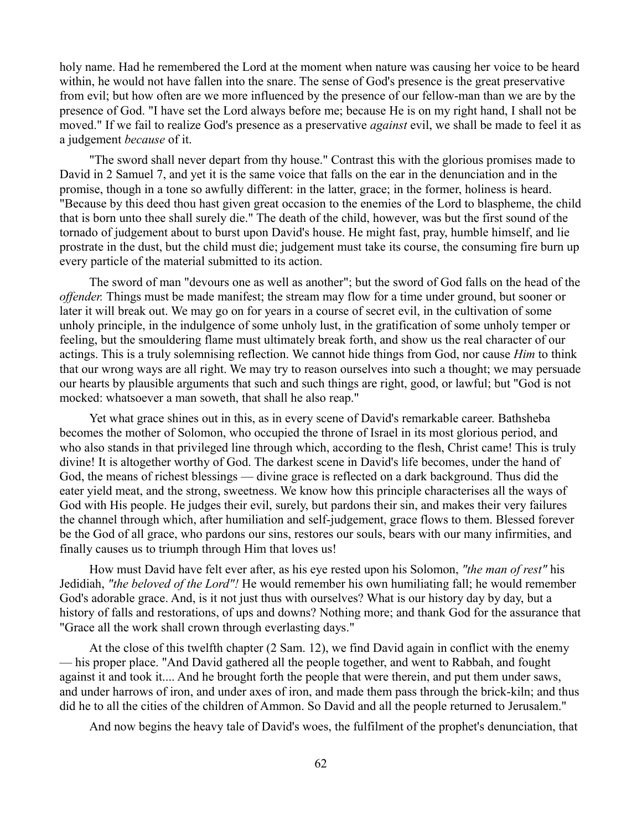holy name. Had he remembered the Lord at the moment when nature was causing her voice to be heard within, he would not have fallen into the snare. The sense of God's presence is the great preservative from evil; but how often are we more influenced by the presence of our fellow-man than we are by the presence of God. "I have set the Lord always before me; because He is on my right hand, I shall not be moved." If we fail to realize God's presence as a preservative *against* evil, we shall be made to feel it as a judgement *because* of it.

"The sword shall never depart from thy house." Contrast this with the glorious promises made to David in 2 Samuel 7, and yet it is the same voice that falls on the ear in the denunciation and in the promise, though in a tone so awfully different: in the latter, grace; in the former, holiness is heard. "Because by this deed thou hast given great occasion to the enemies of the Lord to blaspheme, the child that is born unto thee shall surely die." The death of the child, however, was but the first sound of the tornado of judgement about to burst upon David's house. He might fast, pray, humble himself, and lie prostrate in the dust, but the child must die; judgement must take its course, the consuming fire burn up every particle of the material submitted to its action.

The sword of man "devours one as well as another"; but the sword of God falls on the head of the *offender.* Things must be made manifest; the stream may flow for a time under ground, but sooner or later it will break out. We may go on for years in a course of secret evil, in the cultivation of some unholy principle, in the indulgence of some unholy lust, in the gratification of some unholy temper or feeling, but the smouldering flame must ultimately break forth, and show us the real character of our actings. This is a truly solemnising reflection. We cannot hide things from God, nor cause *Him* to think that our wrong ways are all right. We may try to reason ourselves into such a thought; we may persuade our hearts by plausible arguments that such and such things are right, good, or lawful; but "God is not mocked: whatsoever a man soweth, that shall he also reap."

Yet what grace shines out in this, as in every scene of David's remarkable career. Bathsheba becomes the mother of Solomon, who occupied the throne of Israel in its most glorious period, and who also stands in that privileged line through which, according to the flesh, Christ came! This is truly divine! It is altogether worthy of God. The darkest scene in David's life becomes, under the hand of God, the means of richest blessings — divine grace is reflected on a dark background. Thus did the eater yield meat, and the strong, sweetness. We know how this principle characterises all the ways of God with His people. He judges their evil, surely, but pardons their sin, and makes their very failures the channel through which, after humiliation and self-judgement, grace flows to them. Blessed forever be the God of all grace, who pardons our sins, restores our souls, bears with our many infirmities, and finally causes us to triumph through Him that loves us!

How must David have felt ever after, as his eye rested upon his Solomon, *"the man of rest"* his Jedidiah, *"the beloved of the Lord"!* He would remember his own humiliating fall; he would remember God's adorable grace. And, is it not just thus with ourselves? What is our history day by day, but a history of falls and restorations, of ups and downs? Nothing more; and thank God for the assurance that "Grace all the work shall crown through everlasting days."

At the close of this twelfth chapter (2 Sam. 12), we find David again in conflict with the enemy — his proper place. "And David gathered all the people together, and went to Rabbah, and fought against it and took it.... And he brought forth the people that were therein, and put them under saws, and under harrows of iron, and under axes of iron, and made them pass through the brick-kiln; and thus did he to all the cities of the children of Ammon. So David and all the people returned to Jerusalem."

And now begins the heavy tale of David's woes, the fulfilment of the prophet's denunciation, that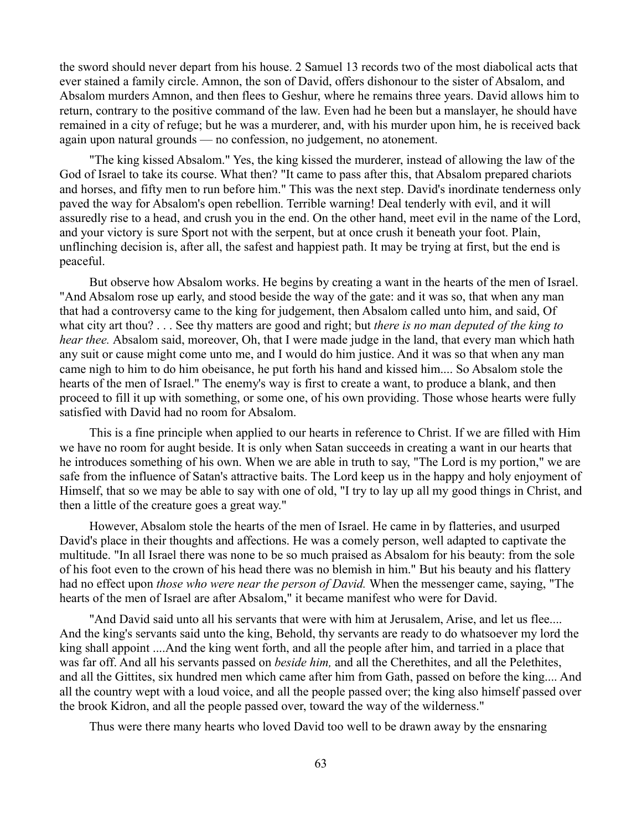the sword should never depart from his house. 2 Samuel 13 records two of the most diabolical acts that ever stained a family circle. Amnon, the son of David, offers dishonour to the sister of Absalom, and Absalom murders Amnon, and then flees to Geshur, where he remains three years. David allows him to return, contrary to the positive command of the law. Even had he been but a manslayer, he should have remained in a city of refuge; but he was a murderer, and, with his murder upon him, he is received back again upon natural grounds — no confession, no judgement, no atonement.

"The king kissed Absalom." Yes, the king kissed the murderer, instead of allowing the law of the God of Israel to take its course. What then? "It came to pass after this, that Absalom prepared chariots and horses, and fifty men to run before him." This was the next step. David's inordinate tenderness only paved the way for Absalom's open rebellion. Terrible warning! Deal tenderly with evil, and it will assuredly rise to a head, and crush you in the end. On the other hand, meet evil in the name of the Lord, and your victory is sure Sport not with the serpent, but at once crush it beneath your foot. Plain, unflinching decision is, after all, the safest and happiest path. It may be trying at first, but the end is peaceful.

But observe how Absalom works. He begins by creating a want in the hearts of the men of Israel. "And Absalom rose up early, and stood beside the way of the gate: and it was so, that when any man that had a controversy came to the king for judgement, then Absalom called unto him, and said, Of what city art thou? . . . See thy matters are good and right; but *there is no man deputed of the king to hear thee.* Absalom said, moreover, Oh, that I were made judge in the land, that every man which hath any suit or cause might come unto me, and I would do him justice. And it was so that when any man came nigh to him to do him obeisance, he put forth his hand and kissed him.... So Absalom stole the hearts of the men of Israel." The enemy's way is first to create a want, to produce a blank, and then proceed to fill it up with something, or some one, of his own providing. Those whose hearts were fully satisfied with David had no room for Absalom.

This is a fine principle when applied to our hearts in reference to Christ. If we are filled with Him we have no room for aught beside. It is only when Satan succeeds in creating a want in our hearts that he introduces something of his own. When we are able in truth to say, "The Lord is my portion," we are safe from the influence of Satan's attractive baits. The Lord keep us in the happy and holy enjoyment of Himself, that so we may be able to say with one of old, "I try to lay up all my good things in Christ, and then a little of the creature goes a great way."

However, Absalom stole the hearts of the men of Israel. He came in by flatteries, and usurped David's place in their thoughts and affections. He was a comely person, well adapted to captivate the multitude. "In all Israel there was none to be so much praised as Absalom for his beauty: from the sole of his foot even to the crown of his head there was no blemish in him." But his beauty and his flattery had no effect upon *those who were near the person of David.* When the messenger came, saying, "The hearts of the men of Israel are after Absalom," it became manifest who were for David.

"And David said unto all his servants that were with him at Jerusalem, Arise, and let us flee.... And the king's servants said unto the king, Behold, thy servants are ready to do whatsoever my lord the king shall appoint ....And the king went forth, and all the people after him, and tarried in a place that was far off. And all his servants passed on *beside him,* and all the Cherethites, and all the Pelethites, and all the Gittites, six hundred men which came after him from Gath, passed on before the king.... And all the country wept with a loud voice, and all the people passed over; the king also himself passed over the brook Kidron, and all the people passed over, toward the way of the wilderness."

Thus were there many hearts who loved David too well to be drawn away by the ensnaring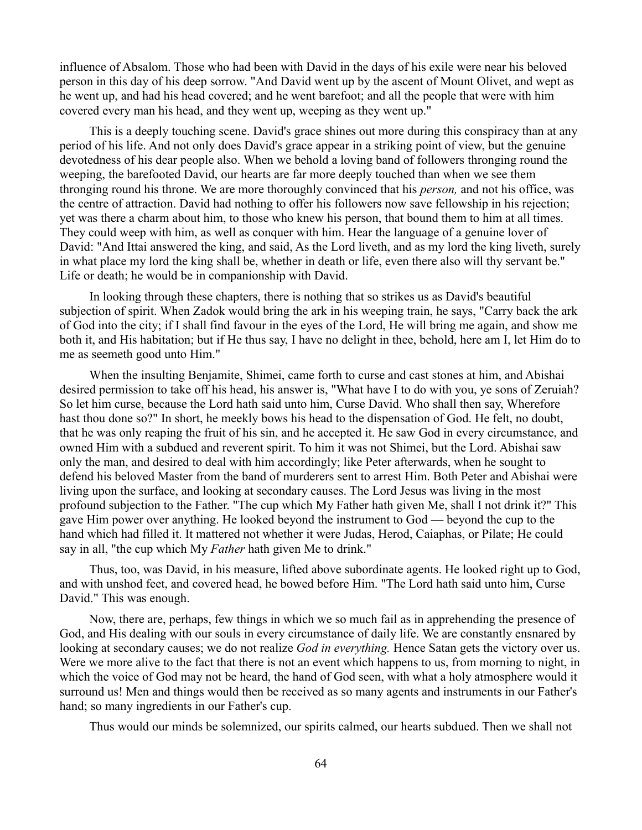influence of Absalom. Those who had been with David in the days of his exile were near his beloved person in this day of his deep sorrow. "And David went up by the ascent of Mount Olivet, and wept as he went up, and had his head covered; and he went barefoot; and all the people that were with him covered every man his head, and they went up, weeping as they went up."

This is a deeply touching scene. David's grace shines out more during this conspiracy than at any period of his life. And not only does David's grace appear in a striking point of view, but the genuine devotedness of his dear people also. When we behold a loving band of followers thronging round the weeping, the barefooted David, our hearts are far more deeply touched than when we see them thronging round his throne. We are more thoroughly convinced that his *person,* and not his office, was the centre of attraction. David had nothing to offer his followers now save fellowship in his rejection; yet was there a charm about him, to those who knew his person, that bound them to him at all times. They could weep with him, as well as conquer with him. Hear the language of a genuine lover of David: "And Ittai answered the king, and said, As the Lord liveth, and as my lord the king liveth, surely in what place my lord the king shall be, whether in death or life, even there also will thy servant be." Life or death; he would be in companionship with David.

In looking through these chapters, there is nothing that so strikes us as David's beautiful subjection of spirit. When Zadok would bring the ark in his weeping train, he says, "Carry back the ark of God into the city; if I shall find favour in the eyes of the Lord, He will bring me again, and show me both it, and His habitation; but if He thus say, I have no delight in thee, behold, here am I, let Him do to me as seemeth good unto Him."

When the insulting Benjamite, Shimei, came forth to curse and cast stones at him, and Abishai desired permission to take off his head, his answer is, "What have I to do with you, ye sons of Zeruiah? So let him curse, because the Lord hath said unto him, Curse David. Who shall then say, Wherefore hast thou done so?" In short, he meekly bows his head to the dispensation of God. He felt, no doubt, that he was only reaping the fruit of his sin, and he accepted it. He saw God in every circumstance, and owned Him with a subdued and reverent spirit. To him it was not Shimei, but the Lord. Abishai saw only the man, and desired to deal with him accordingly; like Peter afterwards, when he sought to defend his beloved Master from the band of murderers sent to arrest Him. Both Peter and Abishai were living upon the surface, and looking at secondary causes. The Lord Jesus was living in the most profound subjection to the Father. "The cup which My Father hath given Me, shall I not drink it?" This gave Him power over anything. He looked beyond the instrument to God — beyond the cup to the hand which had filled it. It mattered not whether it were Judas, Herod, Caiaphas, or Pilate; He could say in all, "the cup which My *Father* hath given Me to drink."

Thus, too, was David, in his measure, lifted above subordinate agents. He looked right up to God, and with unshod feet, and covered head, he bowed before Him. "The Lord hath said unto him, Curse David." This was enough.

Now, there are, perhaps, few things in which we so much fail as in apprehending the presence of God, and His dealing with our souls in every circumstance of daily life. We are constantly ensnared by looking at secondary causes; we do not realize *God in everything*. Hence Satan gets the victory over us. Were we more alive to the fact that there is not an event which happens to us, from morning to night, in which the voice of God may not be heard, the hand of God seen, with what a holy atmosphere would it surround us! Men and things would then be received as so many agents and instruments in our Father's hand; so many ingredients in our Father's cup.

Thus would our minds be solemnized, our spirits calmed, our hearts subdued. Then we shall not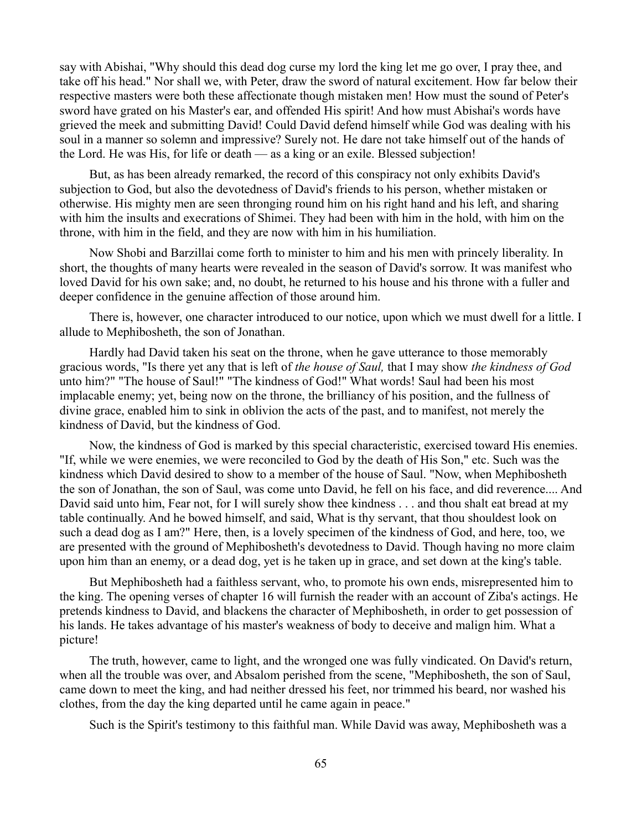say with Abishai, "Why should this dead dog curse my lord the king let me go over, I pray thee, and take off his head." Nor shall we, with Peter, draw the sword of natural excitement. How far below their respective masters were both these affectionate though mistaken men! How must the sound of Peter's sword have grated on his Master's ear, and offended His spirit! And how must Abishai's words have grieved the meek and submitting David! Could David defend himself while God was dealing with his soul in a manner so solemn and impressive? Surely not. He dare not take himself out of the hands of the Lord. He was His, for life or death — as a king or an exile. Blessed subjection!

But, as has been already remarked, the record of this conspiracy not only exhibits David's subjection to God, but also the devotedness of David's friends to his person, whether mistaken or otherwise. His mighty men are seen thronging round him on his right hand and his left, and sharing with him the insults and execrations of Shimei. They had been with him in the hold, with him on the throne, with him in the field, and they are now with him in his humiliation.

Now Shobi and Barzillai come forth to minister to him and his men with princely liberality. In short, the thoughts of many hearts were revealed in the season of David's sorrow. It was manifest who loved David for his own sake; and, no doubt, he returned to his house and his throne with a fuller and deeper confidence in the genuine affection of those around him.

There is, however, one character introduced to our notice, upon which we must dwell for a little. I allude to Mephibosheth, the son of Jonathan.

Hardly had David taken his seat on the throne, when he gave utterance to those memorably gracious words, "Is there yet any that is left of *the house of Saul,* that I may show *the kindness of God* unto him?" "The house of Saul!" "The kindness of God!" What words! Saul had been his most implacable enemy; yet, being now on the throne, the brilliancy of his position, and the fullness of divine grace, enabled him to sink in oblivion the acts of the past, and to manifest, not merely the kindness of David, but the kindness of God.

Now, the kindness of God is marked by this special characteristic, exercised toward His enemies. "If, while we were enemies, we were reconciled to God by the death of His Son," etc. Such was the kindness which David desired to show to a member of the house of Saul. "Now, when Mephibosheth the son of Jonathan, the son of Saul, was come unto David, he fell on his face, and did reverence.... And David said unto him, Fear not, for I will surely show thee kindness . . . and thou shalt eat bread at my table continually. And he bowed himself, and said, What is thy servant, that thou shouldest look on such a dead dog as I am?" Here, then, is a lovely specimen of the kindness of God, and here, too, we are presented with the ground of Mephibosheth's devotedness to David. Though having no more claim upon him than an enemy, or a dead dog, yet is he taken up in grace, and set down at the king's table.

But Mephibosheth had a faithless servant, who, to promote his own ends, misrepresented him to the king. The opening verses of chapter 16 will furnish the reader with an account of Ziba's actings. He pretends kindness to David, and blackens the character of Mephibosheth, in order to get possession of his lands. He takes advantage of his master's weakness of body to deceive and malign him. What a picture!

The truth, however, came to light, and the wronged one was fully vindicated. On David's return, when all the trouble was over, and Absalom perished from the scene, "Mephibosheth, the son of Saul, came down to meet the king, and had neither dressed his feet, nor trimmed his beard, nor washed his clothes, from the day the king departed until he came again in peace."

Such is the Spirit's testimony to this faithful man. While David was away, Mephibosheth was a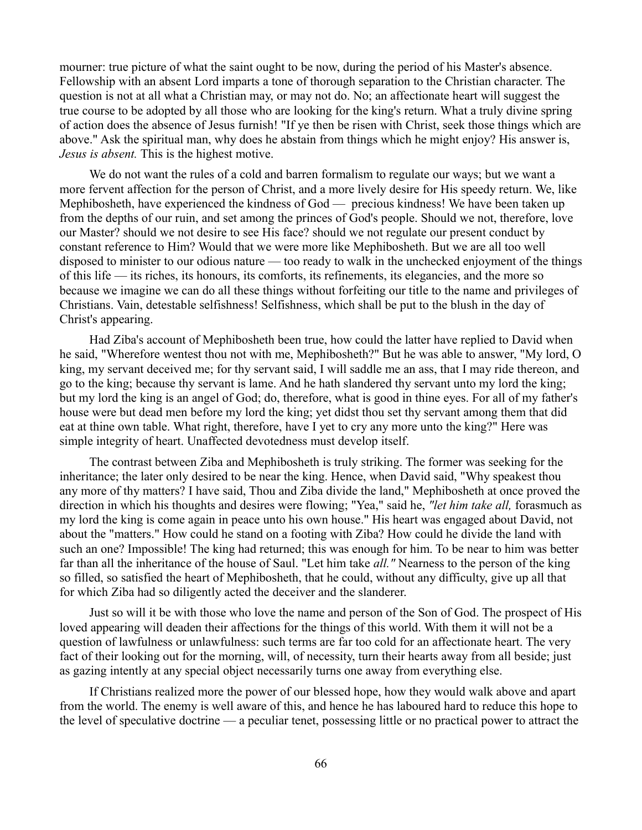mourner: true picture of what the saint ought to be now, during the period of his Master's absence. Fellowship with an absent Lord imparts a tone of thorough separation to the Christian character. The question is not at all what a Christian may, or may not do. No; an affectionate heart will suggest the true course to be adopted by all those who are looking for the king's return. What a truly divine spring of action does the absence of Jesus furnish! "If ye then be risen with Christ, seek those things which are above." Ask the spiritual man, why does he abstain from things which he might enjoy? His answer is, *Jesus is absent.* This is the highest motive.

We do not want the rules of a cold and barren formalism to regulate our ways; but we want a more fervent affection for the person of Christ, and a more lively desire for His speedy return. We, like Mephibosheth, have experienced the kindness of God — precious kindness! We have been taken up from the depths of our ruin, and set among the princes of God's people. Should we not, therefore, love our Master? should we not desire to see His face? should we not regulate our present conduct by constant reference to Him? Would that we were more like Mephibosheth. But we are all too well disposed to minister to our odious nature — too ready to walk in the unchecked enjoyment of the things of this life — its riches, its honours, its comforts, its refinements, its elegancies, and the more so because we imagine we can do all these things without forfeiting our title to the name and privileges of Christians. Vain, detestable selfishness! Selfishness, which shall be put to the blush in the day of Christ's appearing.

Had Ziba's account of Mephibosheth been true, how could the latter have replied to David when he said, "Wherefore wentest thou not with me, Mephibosheth?" But he was able to answer, "My lord, O king, my servant deceived me; for thy servant said, I will saddle me an ass, that I may ride thereon, and go to the king; because thy servant is lame. And he hath slandered thy servant unto my lord the king; but my lord the king is an angel of God; do, therefore, what is good in thine eyes. For all of my father's house were but dead men before my lord the king; yet didst thou set thy servant among them that did eat at thine own table. What right, therefore, have I yet to cry any more unto the king?" Here was simple integrity of heart. Unaffected devotedness must develop itself.

The contrast between Ziba and Mephibosheth is truly striking. The former was seeking for the inheritance; the later only desired to be near the king. Hence, when David said, "Why speakest thou any more of thy matters? I have said, Thou and Ziba divide the land," Mephibosheth at once proved the direction in which his thoughts and desires were flowing; "Yea," said he, *"let him take all,* forasmuch as my lord the king is come again in peace unto his own house." His heart was engaged about David, not about the "matters." How could he stand on a footing with Ziba? How could he divide the land with such an one? Impossible! The king had returned; this was enough for him. To be near to him was better far than all the inheritance of the house of Saul. "Let him take *all."* Nearness to the person of the king so filled, so satisfied the heart of Mephibosheth, that he could, without any difficulty, give up all that for which Ziba had so diligently acted the deceiver and the slanderer.

Just so will it be with those who love the name and person of the Son of God. The prospect of His loved appearing will deaden their affections for the things of this world. With them it will not be a question of lawfulness or unlawfulness: such terms are far too cold for an affectionate heart. The very fact of their looking out for the morning, will, of necessity, turn their hearts away from all beside; just as gazing intently at any special object necessarily turns one away from everything else.

If Christians realized more the power of our blessed hope, how they would walk above and apart from the world. The enemy is well aware of this, and hence he has laboured hard to reduce this hope to the level of speculative doctrine — a peculiar tenet, possessing little or no practical power to attract the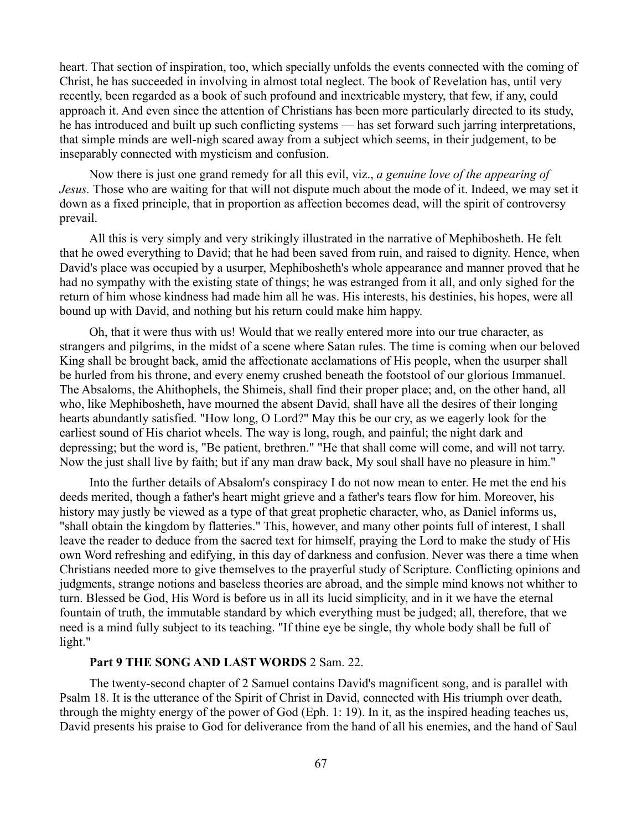heart. That section of inspiration, too, which specially unfolds the events connected with the coming of Christ, he has succeeded in involving in almost total neglect. The book of Revelation has, until very recently, been regarded as a book of such profound and inextricable mystery, that few, if any, could approach it. And even since the attention of Christians has been more particularly directed to its study, he has introduced and built up such conflicting systems — has set forward such jarring interpretations, that simple minds are well-nigh scared away from a subject which seems, in their judgement, to be inseparably connected with mysticism and confusion.

Now there is just one grand remedy for all this evil, viz., *a genuine love of the appearing of Jesus.* Those who are waiting for that will not dispute much about the mode of it. Indeed, we may set it down as a fixed principle, that in proportion as affection becomes dead, will the spirit of controversy prevail.

All this is very simply and very strikingly illustrated in the narrative of Mephibosheth. He felt that he owed everything to David; that he had been saved from ruin, and raised to dignity. Hence, when David's place was occupied by a usurper, Mephibosheth's whole appearance and manner proved that he had no sympathy with the existing state of things; he was estranged from it all, and only sighed for the return of him whose kindness had made him all he was. His interests, his destinies, his hopes, were all bound up with David, and nothing but his return could make him happy.

Oh, that it were thus with us! Would that we really entered more into our true character, as strangers and pilgrims, in the midst of a scene where Satan rules. The time is coming when our beloved King shall be brought back, amid the affectionate acclamations of His people, when the usurper shall be hurled from his throne, and every enemy crushed beneath the footstool of our glorious Immanuel. The Absaloms, the Ahithophels, the Shimeis, shall find their proper place; and, on the other hand, all who, like Mephibosheth, have mourned the absent David, shall have all the desires of their longing hearts abundantly satisfied. "How long, O Lord?" May this be our cry, as we eagerly look for the earliest sound of His chariot wheels. The way is long, rough, and painful; the night dark and depressing; but the word is, "Be patient, brethren." "He that shall come will come, and will not tarry. Now the just shall live by faith; but if any man draw back, My soul shall have no pleasure in him."

Into the further details of Absalom's conspiracy I do not now mean to enter. He met the end his deeds merited, though a father's heart might grieve and a father's tears flow for him. Moreover, his history may justly be viewed as a type of that great prophetic character, who, as Daniel informs us, "shall obtain the kingdom by flatteries." This, however, and many other points full of interest, I shall leave the reader to deduce from the sacred text for himself, praying the Lord to make the study of His own Word refreshing and edifying, in this day of darkness and confusion. Never was there a time when Christians needed more to give themselves to the prayerful study of Scripture. Conflicting opinions and judgments, strange notions and baseless theories are abroad, and the simple mind knows not whither to turn. Blessed be God, His Word is before us in all its lucid simplicity, and in it we have the eternal fountain of truth, the immutable standard by which everything must be judged; all, therefore, that we need is a mind fully subject to its teaching. "If thine eye be single, thy whole body shall be full of light."

### **Part 9 THE SONG AND LAST WORDS** 2 Sam. 22.

The twenty-second chapter of 2 Samuel contains David's magnificent song, and is parallel with Psalm 18. It is the utterance of the Spirit of Christ in David, connected with His triumph over death, through the mighty energy of the power of God (Eph. 1: 19). In it, as the inspired heading teaches us, David presents his praise to God for deliverance from the hand of all his enemies, and the hand of Saul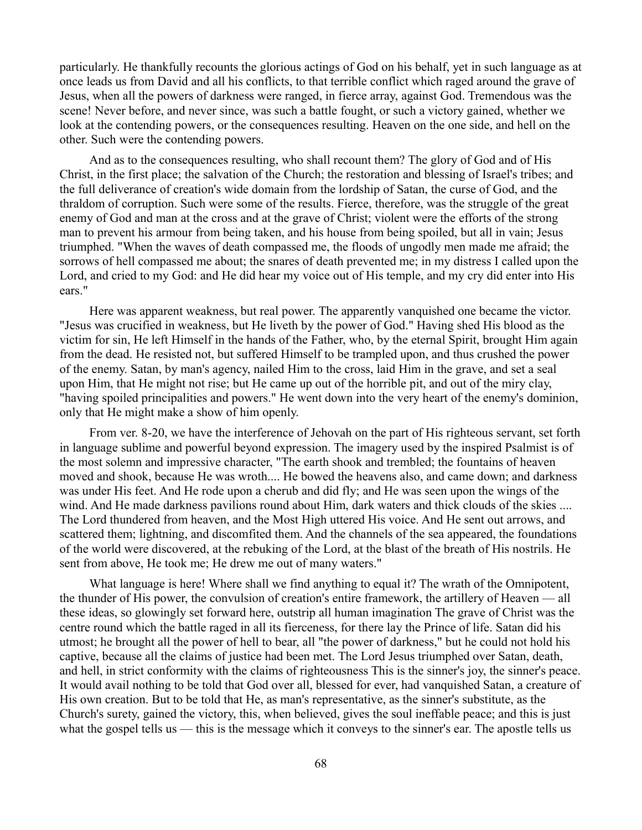particularly. He thankfully recounts the glorious actings of God on his behalf, yet in such language as at once leads us from David and all his conflicts, to that terrible conflict which raged around the grave of Jesus, when all the powers of darkness were ranged, in fierce array, against God. Tremendous was the scene! Never before, and never since, was such a battle fought, or such a victory gained, whether we look at the contending powers, or the consequences resulting. Heaven on the one side, and hell on the other. Such were the contending powers.

And as to the consequences resulting, who shall recount them? The glory of God and of His Christ, in the first place; the salvation of the Church; the restoration and blessing of Israel's tribes; and the full deliverance of creation's wide domain from the lordship of Satan, the curse of God, and the thraldom of corruption. Such were some of the results. Fierce, therefore, was the struggle of the great enemy of God and man at the cross and at the grave of Christ; violent were the efforts of the strong man to prevent his armour from being taken, and his house from being spoiled, but all in vain; Jesus triumphed. "When the waves of death compassed me, the floods of ungodly men made me afraid; the sorrows of hell compassed me about; the snares of death prevented me; in my distress I called upon the Lord, and cried to my God: and He did hear my voice out of His temple, and my cry did enter into His ears."

Here was apparent weakness, but real power. The apparently vanquished one became the victor. "Jesus was crucified in weakness, but He liveth by the power of God." Having shed His blood as the victim for sin, He left Himself in the hands of the Father, who, by the eternal Spirit, brought Him again from the dead. He resisted not, but suffered Himself to be trampled upon, and thus crushed the power of the enemy. Satan, by man's agency, nailed Him to the cross, laid Him in the grave, and set a seal upon Him, that He might not rise; but He came up out of the horrible pit, and out of the miry clay, "having spoiled principalities and powers." He went down into the very heart of the enemy's dominion, only that He might make a show of him openly.

From ver. 8-20, we have the interference of Jehovah on the part of His righteous servant, set forth in language sublime and powerful beyond expression. The imagery used by the inspired Psalmist is of the most solemn and impressive character, "The earth shook and trembled; the fountains of heaven moved and shook, because He was wroth.... He bowed the heavens also, and came down; and darkness was under His feet. And He rode upon a cherub and did fly; and He was seen upon the wings of the wind. And He made darkness pavilions round about Him, dark waters and thick clouds of the skies .... The Lord thundered from heaven, and the Most High uttered His voice. And He sent out arrows, and scattered them; lightning, and discomfited them. And the channels of the sea appeared, the foundations of the world were discovered, at the rebuking of the Lord, at the blast of the breath of His nostrils. He sent from above, He took me; He drew me out of many waters."

What language is here! Where shall we find anything to equal it? The wrath of the Omnipotent, the thunder of His power, the convulsion of creation's entire framework, the artillery of Heaven — all these ideas, so glowingly set forward here, outstrip all human imagination The grave of Christ was the centre round which the battle raged in all its fierceness, for there lay the Prince of life. Satan did his utmost; he brought all the power of hell to bear, all "the power of darkness," but he could not hold his captive, because all the claims of justice had been met. The Lord Jesus triumphed over Satan, death, and hell, in strict conformity with the claims of righteousness This is the sinner's joy, the sinner's peace. It would avail nothing to be told that God over all, blessed for ever, had vanquished Satan, a creature of His own creation. But to be told that He, as man's representative, as the sinner's substitute, as the Church's surety, gained the victory, this, when believed, gives the soul ineffable peace; and this is just what the gospel tells us — this is the message which it conveys to the sinner's ear. The apostle tells us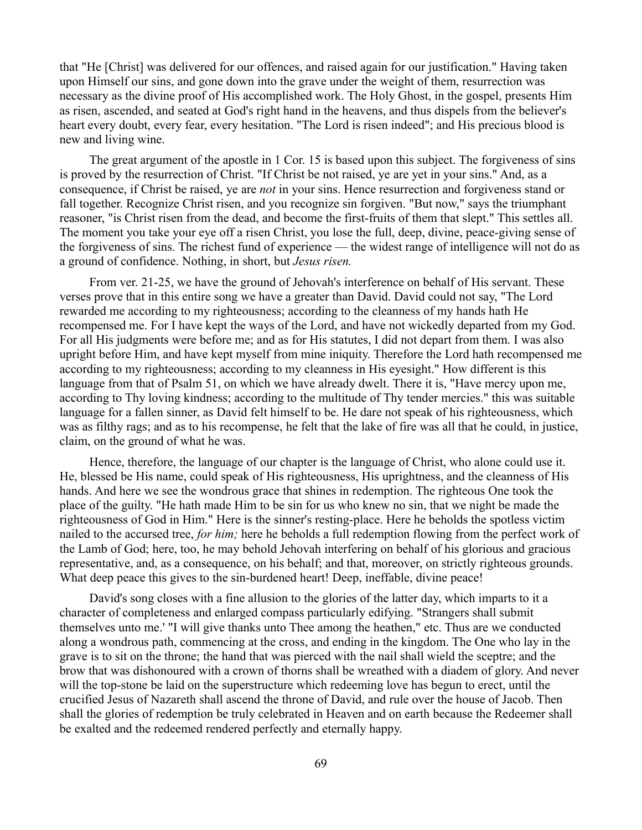that "He [Christ] was delivered for our offences, and raised again for our justification." Having taken upon Himself our sins, and gone down into the grave under the weight of them, resurrection was necessary as the divine proof of His accomplished work. The Holy Ghost, in the gospel, presents Him as risen, ascended, and seated at God's right hand in the heavens, and thus dispels from the believer's heart every doubt, every fear, every hesitation. "The Lord is risen indeed"; and His precious blood is new and living wine.

The great argument of the apostle in 1 Cor. 15 is based upon this subject. The forgiveness of sins is proved by the resurrection of Christ. "If Christ be not raised, ye are yet in your sins." And, as a consequence, if Christ be raised, ye are *not* in your sins. Hence resurrection and forgiveness stand or fall together. Recognize Christ risen, and you recognize sin forgiven. "But now," says the triumphant reasoner, "is Christ risen from the dead, and become the first-fruits of them that slept." This settles all. The moment you take your eye off a risen Christ, you lose the full, deep, divine, peace-giving sense of the forgiveness of sins. The richest fund of experience — the widest range of intelligence will not do as a ground of confidence. Nothing, in short, but *Jesus risen.*

From ver. 21-25, we have the ground of Jehovah's interference on behalf of His servant. These verses prove that in this entire song we have a greater than David. David could not say, "The Lord rewarded me according to my righteousness; according to the cleanness of my hands hath He recompensed me. For I have kept the ways of the Lord, and have not wickedly departed from my God. For all His judgments were before me; and as for His statutes, I did not depart from them. I was also upright before Him, and have kept myself from mine iniquity. Therefore the Lord hath recompensed me according to my righteousness; according to my cleanness in His eyesight." How different is this language from that of Psalm 51, on which we have already dwelt. There it is, "Have mercy upon me, according to Thy loving kindness; according to the multitude of Thy tender mercies." this was suitable language for a fallen sinner, as David felt himself to be. He dare not speak of his righteousness, which was as filthy rags; and as to his recompense, he felt that the lake of fire was all that he could, in justice, claim, on the ground of what he was.

Hence, therefore, the language of our chapter is the language of Christ, who alone could use it. He, blessed be His name, could speak of His righteousness, His uprightness, and the cleanness of His hands. And here we see the wondrous grace that shines in redemption. The righteous One took the place of the guilty. "He hath made Him to be sin for us who knew no sin, that we night be made the righteousness of God in Him." Here is the sinner's resting-place. Here he beholds the spotless victim nailed to the accursed tree, *for him;* here he beholds a full redemption flowing from the perfect work of the Lamb of God; here, too, he may behold Jehovah interfering on behalf of his glorious and gracious representative, and, as a consequence, on his behalf; and that, moreover, on strictly righteous grounds. What deep peace this gives to the sin-burdened heart! Deep, ineffable, divine peace!

David's song closes with a fine allusion to the glories of the latter day, which imparts to it a character of completeness and enlarged compass particularly edifying. "Strangers shall submit themselves unto me.' "I will give thanks unto Thee among the heathen," etc. Thus are we conducted along a wondrous path, commencing at the cross, and ending in the kingdom. The One who lay in the grave is to sit on the throne; the hand that was pierced with the nail shall wield the sceptre; and the brow that was dishonoured with a crown of thorns shall be wreathed with a diadem of glory. And never will the top-stone be laid on the superstructure which redeeming love has begun to erect, until the crucified Jesus of Nazareth shall ascend the throne of David, and rule over the house of Jacob. Then shall the glories of redemption be truly celebrated in Heaven and on earth because the Redeemer shall be exalted and the redeemed rendered perfectly and eternally happy.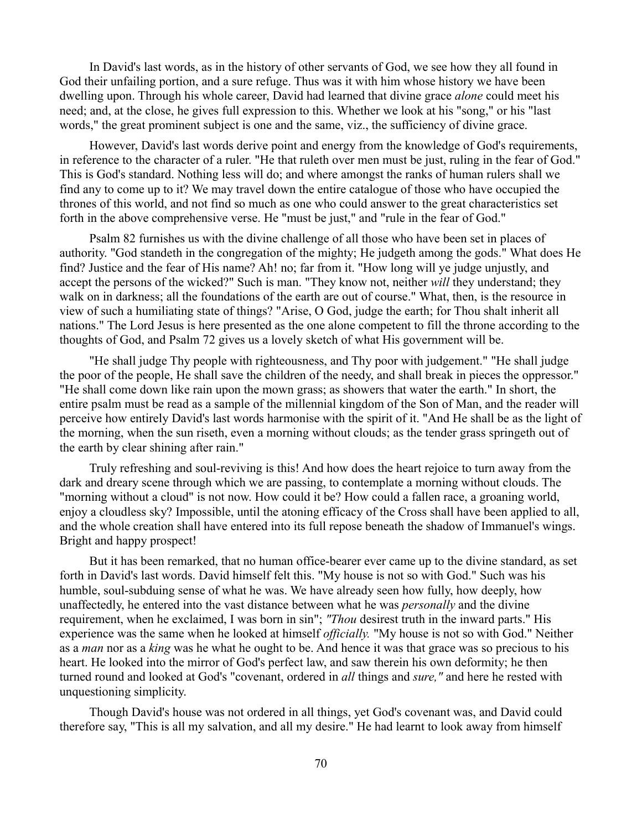In David's last words, as in the history of other servants of God, we see how they all found in God their unfailing portion, and a sure refuge. Thus was it with him whose history we have been dwelling upon. Through his whole career, David had learned that divine grace *alone* could meet his need; and, at the close, he gives full expression to this. Whether we look at his "song," or his "last words," the great prominent subject is one and the same, viz., the sufficiency of divine grace.

However, David's last words derive point and energy from the knowledge of God's requirements, in reference to the character of a ruler. "He that ruleth over men must be just, ruling in the fear of God." This is God's standard. Nothing less will do; and where amongst the ranks of human rulers shall we find any to come up to it? We may travel down the entire catalogue of those who have occupied the thrones of this world, and not find so much as one who could answer to the great characteristics set forth in the above comprehensive verse. He "must be just," and "rule in the fear of God."

Psalm 82 furnishes us with the divine challenge of all those who have been set in places of authority. "God standeth in the congregation of the mighty; He judgeth among the gods." What does He find? Justice and the fear of His name? Ah! no; far from it. "How long will ye judge unjustly, and accept the persons of the wicked?" Such is man. "They know not, neither *will* they understand; they walk on in darkness; all the foundations of the earth are out of course." What, then, is the resource in view of such a humiliating state of things? "Arise, O God, judge the earth; for Thou shalt inherit all nations." The Lord Jesus is here presented as the one alone competent to fill the throne according to the thoughts of God, and Psalm 72 gives us a lovely sketch of what His government will be.

"He shall judge Thy people with righteousness, and Thy poor with judgement." "He shall judge the poor of the people, He shall save the children of the needy, and shall break in pieces the oppressor." "He shall come down like rain upon the mown grass; as showers that water the earth." In short, the entire psalm must be read as a sample of the millennial kingdom of the Son of Man, and the reader will perceive how entirely David's last words harmonise with the spirit of it. "And He shall be as the light of the morning, when the sun riseth, even a morning without clouds; as the tender grass springeth out of the earth by clear shining after rain."

Truly refreshing and soul-reviving is this! And how does the heart rejoice to turn away from the dark and dreary scene through which we are passing, to contemplate a morning without clouds. The "morning without a cloud" is not now. How could it be? How could a fallen race, a groaning world, enjoy a cloudless sky? Impossible, until the atoning efficacy of the Cross shall have been applied to all, and the whole creation shall have entered into its full repose beneath the shadow of Immanuel's wings. Bright and happy prospect!

But it has been remarked, that no human office-bearer ever came up to the divine standard, as set forth in David's last words. David himself felt this. "My house is not so with God." Such was his humble, soul-subduing sense of what he was. We have already seen how fully, how deeply, how unaffectedly, he entered into the vast distance between what he was *personally* and the divine requirement, when he exclaimed, I was born in sin"; *"Thou* desirest truth in the inward parts." His experience was the same when he looked at himself *officially.* "My house is not so with God." Neither as a *man* nor as a *king* was he what he ought to be. And hence it was that grace was so precious to his heart. He looked into the mirror of God's perfect law, and saw therein his own deformity; he then turned round and looked at God's "covenant, ordered in *all* things and *sure,"* and here he rested with unquestioning simplicity.

Though David's house was not ordered in all things, yet God's covenant was, and David could therefore say, "This is all my salvation, and all my desire." He had learnt to look away from himself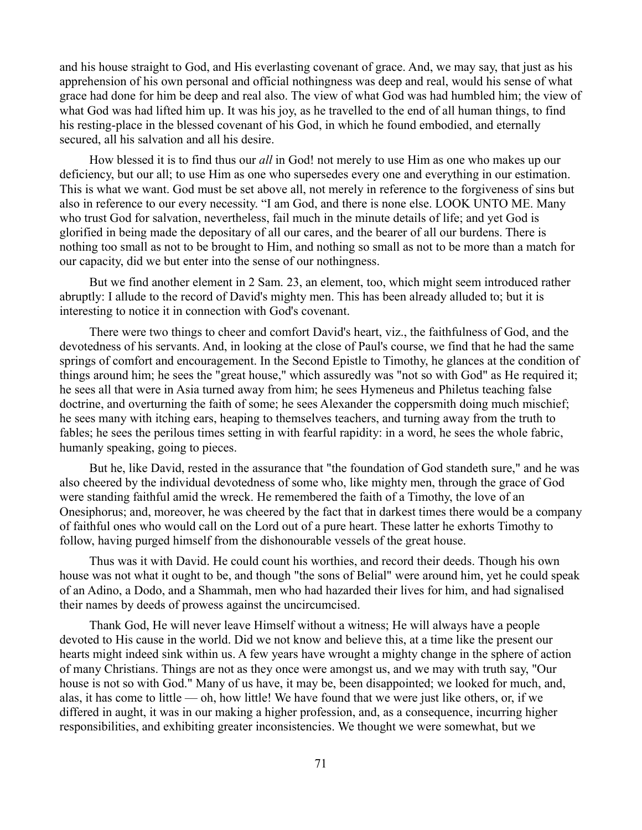and his house straight to God, and His everlasting covenant of grace. And, we may say, that just as his apprehension of his own personal and official nothingness was deep and real, would his sense of what grace had done for him be deep and real also. The view of what God was had humbled him; the view of what God was had lifted him up. It was his joy, as he travelled to the end of all human things, to find his resting-place in the blessed covenant of his God, in which he found embodied, and eternally secured, all his salvation and all his desire.

How blessed it is to find thus our *all* in God! not merely to use Him as one who makes up our deficiency, but our all; to use Him as one who supersedes every one and everything in our estimation. This is what we want. God must be set above all, not merely in reference to the forgiveness of sins but also in reference to our every necessity. "I am God, and there is none else. LOOK UNTO ME. Many who trust God for salvation, nevertheless, fail much in the minute details of life; and yet God is glorified in being made the depositary of all our cares, and the bearer of all our burdens. There is nothing too small as not to be brought to Him, and nothing so small as not to be more than a match for our capacity, did we but enter into the sense of our nothingness.

But we find another element in 2 Sam. 23, an element, too, which might seem introduced rather abruptly: I allude to the record of David's mighty men. This has been already alluded to; but it is interesting to notice it in connection with God's covenant.

There were two things to cheer and comfort David's heart, viz., the faithfulness of God, and the devotedness of his servants. And, in looking at the close of Paul's course, we find that he had the same springs of comfort and encouragement. In the Second Epistle to Timothy, he glances at the condition of things around him; he sees the "great house," which assuredly was "not so with God" as He required it; he sees all that were in Asia turned away from him; he sees Hymeneus and Philetus teaching false doctrine, and overturning the faith of some; he sees Alexander the coppersmith doing much mischief; he sees many with itching ears, heaping to themselves teachers, and turning away from the truth to fables; he sees the perilous times setting in with fearful rapidity: in a word, he sees the whole fabric, humanly speaking, going to pieces.

But he, like David, rested in the assurance that "the foundation of God standeth sure," and he was also cheered by the individual devotedness of some who, like mighty men, through the grace of God were standing faithful amid the wreck. He remembered the faith of a Timothy, the love of an Onesiphorus; and, moreover, he was cheered by the fact that in darkest times there would be a company of faithful ones who would call on the Lord out of a pure heart. These latter he exhorts Timothy to follow, having purged himself from the dishonourable vessels of the great house.

Thus was it with David. He could count his worthies, and record their deeds. Though his own house was not what it ought to be, and though "the sons of Belial" were around him, yet he could speak of an Adino, a Dodo, and a Shammah, men who had hazarded their lives for him, and had signalised their names by deeds of prowess against the uncircumcised.

Thank God, He will never leave Himself without a witness; He will always have a people devoted to His cause in the world. Did we not know and believe this, at a time like the present our hearts might indeed sink within us. A few years have wrought a mighty change in the sphere of action of many Christians. Things are not as they once were amongst us, and we may with truth say, "Our house is not so with God." Many of us have, it may be, been disappointed; we looked for much, and, alas, it has come to little — oh, how little! We have found that we were just like others, or, if we differed in aught, it was in our making a higher profession, and, as a consequence, incurring higher responsibilities, and exhibiting greater inconsistencies. We thought we were somewhat, but we